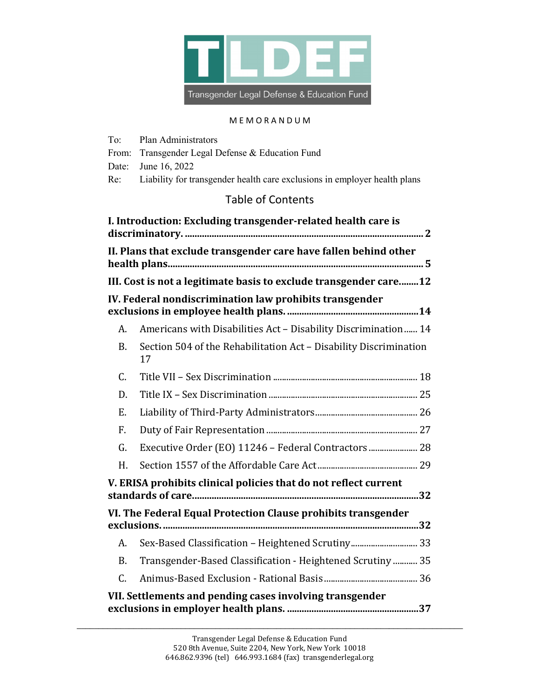

### M E M O R A N D U M

To: Plan Administrators

From: Transgender Legal Defense & Education Fund

| Date:           | June 16, 2022                                                             |
|-----------------|---------------------------------------------------------------------------|
| Re:             | Liability for transgender health care exclusions in employer health plans |
|                 | <b>Table of Contents</b>                                                  |
|                 | I. Introduction: Excluding transgender-related health care is             |
|                 | II. Plans that exclude transgender care have fallen behind other          |
|                 | III. Cost is not a legitimate basis to exclude transgender care12         |
|                 | IV. Federal nondiscrimination law prohibits transgender                   |
| А.              | Americans with Disabilities Act - Disability Discrimination 14            |
| B.              | Section 504 of the Rehabilitation Act - Disability Discrimination<br>17   |
| $\mathcal{C}$ . |                                                                           |
| D.              |                                                                           |
| E.              |                                                                           |
| $F_{\cdot}$     |                                                                           |
| G.              | Executive Order (EO) 11246 - Federal Contractors  28                      |
| H.              |                                                                           |
|                 | V. ERISA prohibits clinical policies that do not reflect current          |
|                 | VI. The Federal Equal Protection Clause prohibits transgender             |
| А.              | Sex-Based Classification - Heightened Scrutiny 33                         |
| B.              | Transgender-Based Classification - Heightened Scrutiny  35                |
| C.              |                                                                           |
|                 | VII. Settlements and pending cases involving transgender                  |

\_\_\_\_\_\_\_\_\_\_\_\_\_\_\_\_\_\_\_\_\_\_\_\_\_\_\_\_\_\_\_\_\_\_\_\_\_\_\_\_\_\_\_\_\_\_\_\_\_\_\_\_\_\_\_\_\_\_\_\_\_\_\_\_\_\_\_\_\_\_\_\_\_\_\_\_\_\_\_\_\_\_\_\_\_\_\_\_\_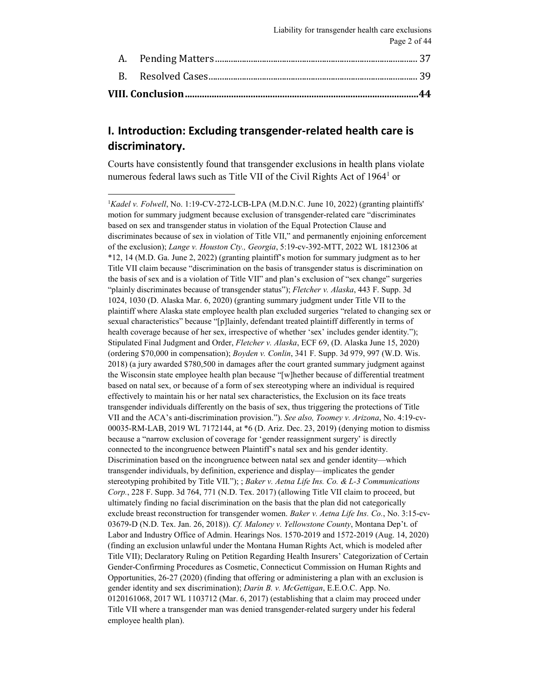# <span id="page-1-0"></span>**I. Introduction: Excluding transgender-related health care is discriminatory.**

Courts have consistently found that transgender exclusions in health plans violate numerous federal laws such as Title VII of the Civil Rights Act of  $1964<sup>1</sup>$  $1964<sup>1</sup>$  or

<span id="page-1-2"></span><span id="page-1-1"></span> $\frac{1}{1}$ <sup>1</sup>Kadel v. Folwell, No. 1:19-CV-272-LCB-LPA (M.D.N.C. June 10, 2022) (granting plaintiffs' motion for summary judgment because exclusion of transgender-related care "discriminates based on sex and transgender status in violation of the Equal Protection Clause and discriminates because of sex in violation of Title VII," and permanently enjoining enforcement of the exclusion); *Lange v. Houston Cty., Georgia*, 5:19-cv-392-MTT, 2022 WL 1812306 at \*12, 14 (M.D. Ga. June 2, 2022) (granting plaintiff's motion for summary judgment as to her Title VII claim because "discrimination on the basis of transgender status is discrimination on the basis of sex and is a violation of Title VII" and plan's exclusion of "sex change" surgeries "plainly discriminates because of transgender status"); *Fletcher v. Alaska*, 443 F. Supp. 3d 1024, 1030 (D. Alaska Mar. 6, 2020) (granting summary judgment under Title VII to the plaintiff where Alaska state employee health plan excluded surgeries "related to changing sex or sexual characteristics" because "[p]lainly, defendant treated plaintiff differently in terms of health coverage because of her sex, irrespective of whether 'sex' includes gender identity."); Stipulated Final Judgment and Order, *Fletcher v. Alaska*, ECF 69, (D. Alaska June 15, 2020) (ordering \$70,000 in compensation); *Boyden v. Conlin*, 341 F. Supp. 3d 979, 997 (W.D. Wis. 2018) (a jury awarded \$780,500 in damages after the court granted summary judgment against the Wisconsin state employee health plan because "[w]hether because of differential treatment based on natal sex, or because of a form of sex stereotyping where an individual is required effectively to maintain his or her natal sex characteristics, the Exclusion on its face treats transgender individuals differently on the basis of sex, thus triggering the protections of Title VII and the ACA's anti-discrimination provision."). *See also, Toomey v. Arizona*, No. 4:19-cv-00035-RM-LAB, 2019 WL 7172144, at \*6 (D. Ariz. Dec. 23, 2019) (denying motion to dismiss because a "narrow exclusion of coverage for 'gender reassignment surgery' is directly connected to the incongruence between Plaintiff's natal sex and his gender identity. Discrimination based on the incongruence between natal sex and gender identity—which transgender individuals, by definition, experience and display—implicates the gender stereotyping prohibited by Title VII."); ; *Baker v. Aetna Life Ins. Co. & L-3 Communications Corp.*, 228 F. Supp. 3d 764, 771 (N.D. Tex. 2017) (allowing Title VII claim to proceed, but ultimately finding no facial discrimination on the basis that the plan did not categorically exclude breast reconstruction for transgender women. *Baker v. Aetna Life Ins. Co.*, No. 3:15-cv-03679-D (N.D. Tex. Jan. 26, 2018)). *Cf. Maloney v. Yellowstone County*, Montana Dep't. of Labor and Industry Office of Admin. Hearings Nos. 1570-2019 and 1572-2019 (Aug. 14, 2020) (finding an exclusion unlawful under the Montana Human Rights Act, which is modeled after Title VII); Declaratory Ruling on Petition Regarding Health Insurers' Categorization of Certain Gender-Confirming Procedures as Cosmetic, Connecticut Commission on Human Rights and Opportunities, 26-27 (2020) (finding that offering or administering a plan with an exclusion is gender identity and sex discrimination); *Darin B. v. McGettigan*, E.E.O.C. App. No. 0120161068, 2017 WL 1103712 (Mar. 6, 2017) (establishing that a claim may proceed under Title VII where a transgender man was denied transgender-related surgery under his federal employee health plan).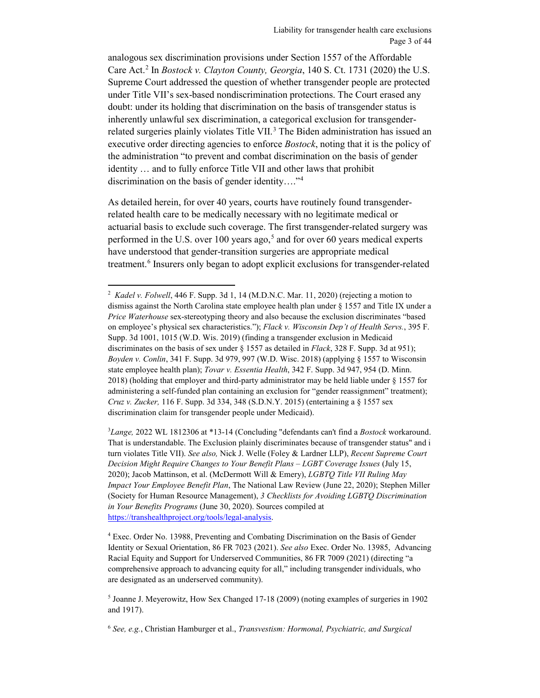<span id="page-2-5"></span>analogous sex discrimination provisions under Section 1557 of the Affordable Care Act.[2](#page-2-0) In *Bostock v. Clayton County, Georgia*, 140 S. Ct. 1731 (2020) the U.S. Supreme Court addressed the question of whether transgender people are protected under Title VII's sex-based nondiscrimination protections. The Court erased any doubt: under its holding that discrimination on the basis of transgender status is inherently unlawful sex discrimination, a categorical exclusion for transgender-related surgeries plainly violates Title VII.<sup>[3](#page-2-1)</sup> The Biden administration has issued an executive order directing agencies to enforce *Bostock*, noting that it is the policy of the administration "to prevent and combat discrimination on the basis of gender identity … and to fully enforce Title VII and other laws that prohibit discrimination on the basis of gender identity…."[4](#page-2-2)

As detailed herein, for over 40 years, courts have routinely found transgenderrelated health care to be medically necessary with no legitimate medical or actuarial basis to exclude such coverage. The first transgender-related surgery was performed in the U.S. over  $100$  years ago,<sup>[5](#page-2-3)</sup> and for over 60 years medical experts have understood that gender-transition surgeries are appropriate medical treatment.<sup>[6](#page-2-4)</sup> Insurers only began to adopt explicit exclusions for transgender-related

 $\overline{a}$ 

<span id="page-2-1"></span>3 *Lange,* 2022 WL 1812306 at \*13-14 (Concluding "defendants can't find a *Bostock* workaround. That is understandable. The Exclusion plainly discriminates because of transgender status" and i turn violates Title VII). *See also,* Nick J. Welle (Foley & Lardner LLP), *Recent Supreme Court Decision Might Require Changes to Your Benefit Plans – LGBT Coverage Issues* (July 15, 2020); Jacob Mattinson, et al. (McDermott Will & Emery), *LGBTQ Title VII Ruling May Impact Your Employee Benefit Plan*, The National Law Review (June 22, 2020); Stephen Miller (Society for Human Resource Management), *3 Checklists for Avoiding LGBTQ Discrimination in Your Benefits Programs* (June 30, 2020). Sources compiled at [https://transhealthproject.org/tools/legal-analysis.](https://transhealthproject.org/tools/legal-analysis)

<span id="page-2-0"></span><sup>&</sup>lt;sup>2</sup> Kadel v. Folwell, 446 F. Supp. 3d 1, 14 (M.D.N.C. Mar. 11, 2020) (rejecting a motion to dismiss against the North Carolina state employee health plan under § 1557 and Title IX under a *Price Waterhouse* sex-stereotyping theory and also because the exclusion discriminates "based on employee's physical sex characteristics."); *Flack v. Wisconsin Dep't of Health Servs.*, 395 F. Supp. 3d 1001, 1015 (W.D. Wis. 2019) (finding a transgender exclusion in Medicaid discriminates on the basis of sex under § 1557 as detailed in *Flack*, 328 F. Supp. 3d at 951); *Boyden v. Conlin*, 341 F. Supp. 3d 979, 997 (W.D. Wisc. 2018) (applying § 1557 to Wisconsin state employee health plan); *Tovar v. Essentia Health*, 342 F. Supp. 3d 947, 954 (D. Minn. 2018) (holding that employer and third-party administrator may be held liable under § 1557 for administering a self-funded plan containing an exclusion for "gender reassignment" treatment); *Cruz v. Zucker,* 116 F. Supp. 3d 334, 348 (S.D.N.Y. 2015) (entertaining a § 1557 sex discrimination claim for transgender people under Medicaid).

<span id="page-2-2"></span><sup>4</sup> Exec. Order No. 13988, Preventing and Combating Discrimination on the Basis of Gender Identity or Sexual Orientation, 86 FR 7023 (2021). *See also* Exec. Order No. 13985, Advancing Racial Equity and Support for Underserved Communities, 86 FR 7009 (2021) (directing "a comprehensive approach to advancing equity for all," including transgender individuals, who are designated as an underserved community).

<span id="page-2-3"></span><sup>5</sup> Joanne J. Meyerowitz, How Sex Changed 17-18 (2009) (noting examples of surgeries in 1902 and 1917).

<span id="page-2-4"></span><sup>6</sup> *See, e.g.*, Christian Hamburger et al., *Transvestism: Hormonal, Psychiatric, and Surgical*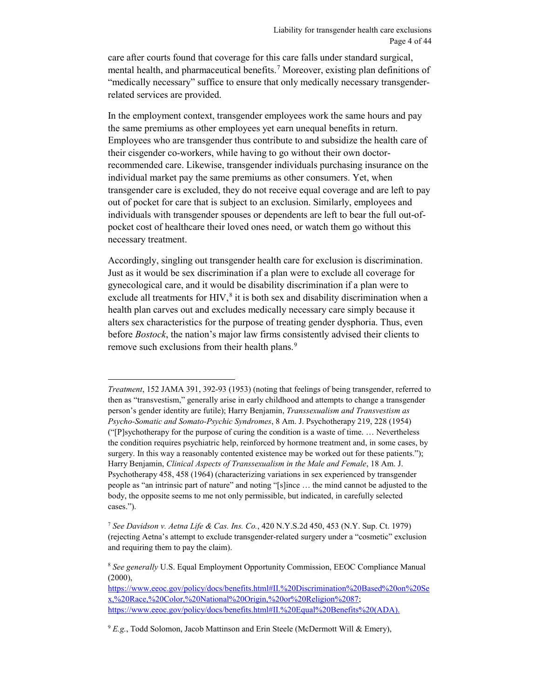care after courts found that coverage for this care falls under standard surgical, mental health, and pharmaceutical benefits.[7](#page-3-0) Moreover, existing plan definitions of "medically necessary" suffice to ensure that only medically necessary transgenderrelated services are provided.

In the employment context, transgender employees work the same hours and pay the same premiums as other employees yet earn unequal benefits in return. Employees who are transgender thus contribute to and subsidize the health care of their cisgender co-workers, while having to go without their own doctorrecommended care. Likewise, transgender individuals purchasing insurance on the individual market pay the same premiums as other consumers. Yet, when transgender care is excluded, they do not receive equal coverage and are left to pay out of pocket for care that is subject to an exclusion. Similarly, employees and individuals with transgender spouses or dependents are left to bear the full out-ofpocket cost of healthcare their loved ones need, or watch them go without this necessary treatment.

<span id="page-3-3"></span>Accordingly, singling out transgender health care for exclusion is discrimination. Just as it would be sex discrimination if a plan were to exclude all coverage for gynecological care, and it would be disability discrimination if a plan were to exclude all treatments for HIV,<sup>[8](#page-3-1)</sup> it is both sex and disability discrimination when a health plan carves out and excludes medically necessary care simply because it alters sex characteristics for the purpose of treating gender dysphoria. Thus, even before *Bostock*, the nation's major law firms consistently advised their clients to remove such exclusions from their health plans.<sup>[9](#page-3-2)</sup>

 $\overline{a}$ 

[https://www.eeoc.gov/policy/docs/benefits.html#II.%20Discrimination%20Based%20on%20Se](https://www.eeoc.gov/policy/docs/benefits.html#II.%20Discrimination%20Based%20on%20Sex,%20Race,%20Color,%20National%20Origin,%20or%20Religion%2087) [x,%20Race,%20Color,%20National%20Origin,%20or%20Religion%2087;](https://www.eeoc.gov/policy/docs/benefits.html#II.%20Discrimination%20Based%20on%20Sex,%20Race,%20Color,%20National%20Origin,%20or%20Religion%2087) https://www.eeoc.gov/policy/docs/benefits.html#II.%20Equal%20Benefits%20(ADA).

*Treatment*, 152 JAMA 391, 392-93 (1953) (noting that feelings of being transgender, referred to then as "transvestism," generally arise in early childhood and attempts to change a transgender person's gender identity are futile); Harry Benjamin, *Transsexualism and Transvestism as Psycho-Somatic and Somato-Psychic Syndromes*, 8 Am. J. Psychotherapy 219, 228 (1954) ("[P]sychotherapy for the purpose of curing the condition is a waste of time. … Nevertheless the condition requires psychiatric help, reinforced by hormone treatment and, in some cases, by surgery. In this way a reasonably contented existence may be worked out for these patients."); Harry Benjamin, *Clinical Aspects of Transsexualism in the Male and Female*, 18 Am. J. Psychotherapy 458, 458 (1964) (characterizing variations in sex experienced by transgender people as "an intrinsic part of nature" and noting "[s]ince … the mind cannot be adjusted to the body, the opposite seems to me not only permissible, but indicated, in carefully selected cases.").

<span id="page-3-0"></span><sup>7</sup> *See Davidson v. Aetna Life & Cas. Ins. Co.*, 420 N.Y.S.2d 450, 453 (N.Y. Sup. Ct. 1979) (rejecting Aetna's attempt to exclude transgender-related surgery under a "cosmetic" exclusion and requiring them to pay the claim).

<span id="page-3-1"></span><sup>8</sup> *See generally* U.S. Equal Employment Opportunity Commission, EEOC Compliance Manual  $(2000)$ ,

<span id="page-3-2"></span><sup>&</sup>lt;sup>9</sup> *E.g.*, Todd Solomon, Jacob Mattinson and Erin Steele (McDermott Will & Emery),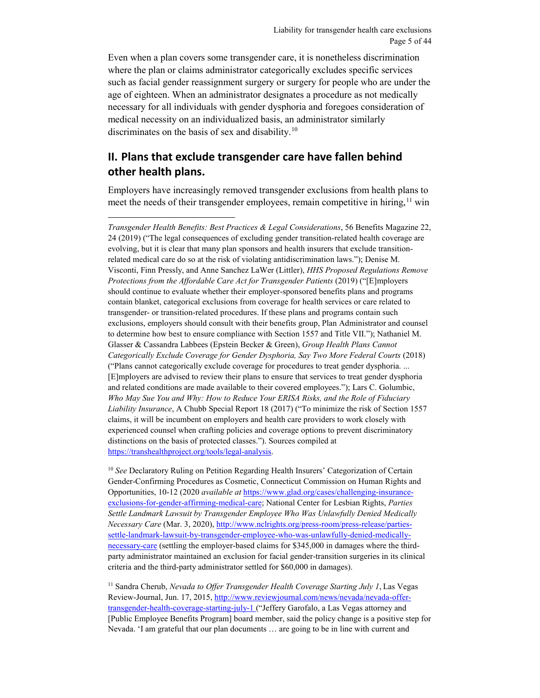Even when a plan covers some transgender care, it is nonetheless discrimination where the plan or claims administrator categorically excludes specific services such as facial gender reassignment surgery or surgery for people who are under the age of eighteen. When an administrator designates a procedure as not medically necessary for all individuals with gender dysphoria and foregoes consideration of medical necessity on an individualized basis, an administrator similarly discriminates on the basis of sex and disability.<sup>[10](#page-4-1)</sup>

## <span id="page-4-0"></span>**II. Plans that exclude transgender care have fallen behind other health plans.**

 $\overline{a}$ 

Employers have increasingly removed transgender exclusions from health plans to meet the needs of their transgender employees, remain competitive in hiring,  $\frac{11}{11}$  $\frac{11}{11}$  $\frac{11}{11}$  win

*Transgender Health Benefits: Best Practices & Legal Considerations*, 56 Benefits Magazine 22, 24 (2019) ("The legal consequences of excluding gender transition-related health coverage are evolving, but it is clear that many plan sponsors and health insurers that exclude transitionrelated medical care do so at the risk of violating antidiscrimination laws."); Denise M. Visconti, Finn Pressly, and Anne Sanchez LaWer (Littler), *HHS Proposed Regulations Remove Protections from the Affordable Care Act for Transgender Patients* (2019) ("[E]mployers should continue to evaluate whether their employer-sponsored benefits plans and programs contain blanket, categorical exclusions from coverage for health services or care related to transgender- or transition-related procedures. If these plans and programs contain such exclusions, employers should consult with their benefits group, Plan Administrator and counsel to determine how best to ensure compliance with Section 1557 and Title VII."); Nathaniel M. Glasser & Cassandra Labbees (Epstein Becker & Green), *Group Health Plans Cannot Categorically Exclude Coverage for Gender Dysphoria, Say Two More Federal Courts* (2018) ("Plans cannot categorically exclude coverage for procedures to treat gender dysphoria. ... [E]mployers are advised to review their plans to ensure that services to treat gender dysphoria and related conditions are made available to their covered employees."); Lars C. Golumbic, *Who May Sue You and Why: How to Reduce Your ERISA Risks, and the Role of Fiduciary Liability Insurance*, A Chubb Special Report 18 (2017) ("To minimize the risk of Section 1557 claims, it will be incumbent on employers and health care providers to work closely with experienced counsel when crafting policies and coverage options to prevent discriminatory distinctions on the basis of protected classes."). Sources compiled at [https://transhealthproject.org/tools/legal-analysis.](https://transhealthproject.org/tools/legal-analysis)

<span id="page-4-1"></span><sup>10</sup> See Declaratory Ruling on Petition Regarding Health Insurers' Categorization of Certain Gender-Confirming Procedures as Cosmetic, Connecticut Commission on Human Rights and Opportunities, 10-12 (2020 *available at* [https://www.glad.org/cases/challenging-insurance](https://www.glad.org/cases/challenging-insurance-exclusions-for-gender-affirming-medical-care)[exclusions-for-gender-affirming-medical-care;](https://www.glad.org/cases/challenging-insurance-exclusions-for-gender-affirming-medical-care) National Center for Lesbian Rights, *Parties Settle Landmark Lawsuit by Transgender Employee Who Was Unlawfully Denied Medically Necessary Care* (Mar. 3, 2020)[, http://www.nclrights.org/press-room/press-release/parties](http://www.nclrights.org/press-room/press-release/parties-settle-landmark-lawsuit-by-transgender-employee-who-was-unlawfully-denied-medically-necessary-care)[settle-landmark-lawsuit-by-transgender-employee-who-was-unlawfully-denied-medically](http://www.nclrights.org/press-room/press-release/parties-settle-landmark-lawsuit-by-transgender-employee-who-was-unlawfully-denied-medically-necessary-care)[necessary-care](http://www.nclrights.org/press-room/press-release/parties-settle-landmark-lawsuit-by-transgender-employee-who-was-unlawfully-denied-medically-necessary-care) (settling the employer-based claims for \$345,000 in damages where the thirdparty administrator maintained an exclusion for facial gender-transition surgeries in its clinical criteria and the third-party administrator settled for \$60,000 in damages).

<span id="page-4-2"></span><sup>11</sup> Sandra Cherub, *Nevada to Offer Transgender Health Coverage Starting July 1*, Las Vegas Review-Journal, Jun. 17, 2015, [http://www.reviewjournal.com/news/nevada/nevada-offer](http://www.reviewjournal.com/news/nevada/nevada-offer-transgender-health-coverage-starting-july-1)[transgender-health-coverage-starting-july-1](http://www.reviewjournal.com/news/nevada/nevada-offer-transgender-health-coverage-starting-july-1) ("Jeffery Garofalo, a Las Vegas attorney and [Public Employee Benefits Program] board member, said the policy change is a positive step for Nevada. 'I am grateful that our plan documents … are going to be in line with current and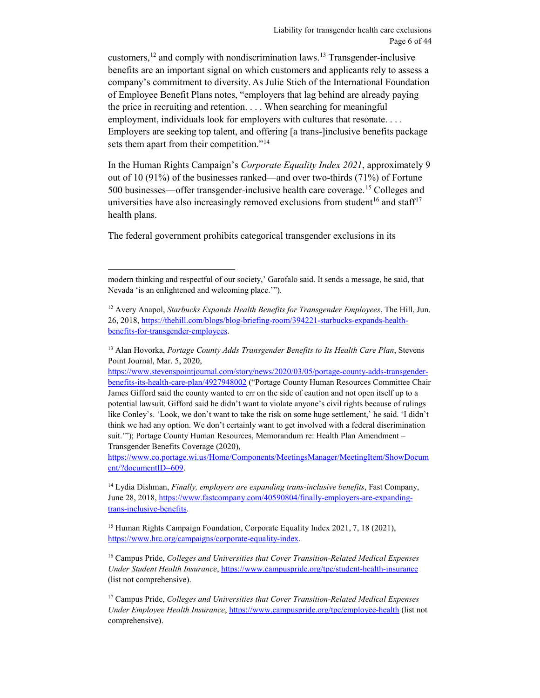customers,  $^{12}$  $^{12}$  $^{12}$  and comply with nondiscrimination laws.<sup>13</sup> Transgender-inclusive benefits are an important signal on which customers and applicants rely to assess a company's commitment to diversity. As Julie Stich of the International Foundation of Employee Benefit Plans notes, "employers that lag behind are already paying the price in recruiting and retention. . . . When searching for meaningful employment, individuals look for employers with cultures that resonate. . . . Employers are seeking top talent, and offering [a trans-]inclusive benefits package sets them apart from their competition."<sup>[14](#page-5-2)</sup>

In the Human Rights Campaign's *Corporate Equality Index 2021*, approximately 9 out of 10 (91%) of the businesses ranked—and over two-thirds (71%) of Fortune 500 businesses—offer transgender-inclusive health care coverage.[15](#page-5-3) Colleges and universities have also increasingly removed exclusions from student<sup>[16](#page-5-4)</sup> and staff<sup>17</sup> health plans.

The federal government prohibits categorical transgender exclusions in its

 $\overline{a}$ 

[https://www.co.portage.wi.us/Home/Components/MeetingsManager/MeetingItem/ShowDocum](https://www.co.portage.wi.us/Home/Components/MeetingsManager/MeetingItem/ShowDocument/?documentID=609) [ent/?documentID=609.](https://www.co.portage.wi.us/Home/Components/MeetingsManager/MeetingItem/ShowDocument/?documentID=609)

<span id="page-5-2"></span><sup>14</sup> Lydia Dishman, *Finally, employers are expanding trans-inclusive benefits*, Fast Company, June 28, 2018, [https://www.fastcompany.com/40590804/finally-employers-are-expanding](https://www.fastcompany.com/40590804/finally-employers-are-expanding-trans-inclusive-benefits)[trans-inclusive-benefits.](https://www.fastcompany.com/40590804/finally-employers-are-expanding-trans-inclusive-benefits) 

<span id="page-5-3"></span><sup>15</sup> Human Rights Campaign Foundation, Corporate Equality Index 2021, 7, 18 (2021), [https://www.hrc.org/campaigns/corporate-equality-index.](https://www.hrc.org/campaigns/corporate-equality-index)

<span id="page-5-4"></span><sup>16</sup> Campus Pride, *Colleges and Universities that Cover Transition-Related Medical Expenses Under Student Health Insurance*,<https://www.campuspride.org/tpc/student-health-insurance> (list not comprehensive).

<span id="page-5-5"></span><sup>17</sup> Campus Pride, *Colleges and Universities that Cover Transition-Related Medical Expenses Under Employee Health Insurance*,<https://www.campuspride.org/tpc/employee-health> (list not comprehensive).

modern thinking and respectful of our society,' Garofalo said. It sends a message, he said, that Nevada 'is an enlightened and welcoming place.'").

<span id="page-5-0"></span><sup>12</sup> Avery Anapol, *Starbucks Expands Health Benefits for Transgender Employees*, The Hill, Jun. 26, 2018[, https://thehill.com/blogs/blog-briefing-room/394221-starbucks-expands-health](https://thehill.com/blogs/blog-briefing-room/394221-starbucks-expands-health-benefits-for-transgender-employees)[benefits-for-transgender-employees.](https://thehill.com/blogs/blog-briefing-room/394221-starbucks-expands-health-benefits-for-transgender-employees)

<span id="page-5-1"></span><sup>13</sup> Alan Hovorka, *Portage County Adds Transgender Benefits to Its Health Care Plan*, Stevens Point Journal, Mar. 5, 2020,

[https://www.stevenspointjournal.com/story/news/2020/03/05/portage-county-adds-transgender](https://www.stevenspointjournal.com/story/news/2020/03/05/portage-county-adds-transgender-benefits-its-health-care-plan/4927948002)[benefits-its-health-care-plan/4927948002](https://www.stevenspointjournal.com/story/news/2020/03/05/portage-county-adds-transgender-benefits-its-health-care-plan/4927948002) ("Portage County Human Resources Committee Chair James Gifford said the county wanted to err on the side of caution and not open itself up to a potential lawsuit. Gifford said he didn't want to violate anyone's civil rights because of rulings like Conley's. 'Look, we don't want to take the risk on some huge settlement,' he said. 'I didn't think we had any option. We don't certainly want to get involved with a federal discrimination suit.'"); Portage County Human Resources, Memorandum re: Health Plan Amendment – Transgender Benefits Coverage (2020),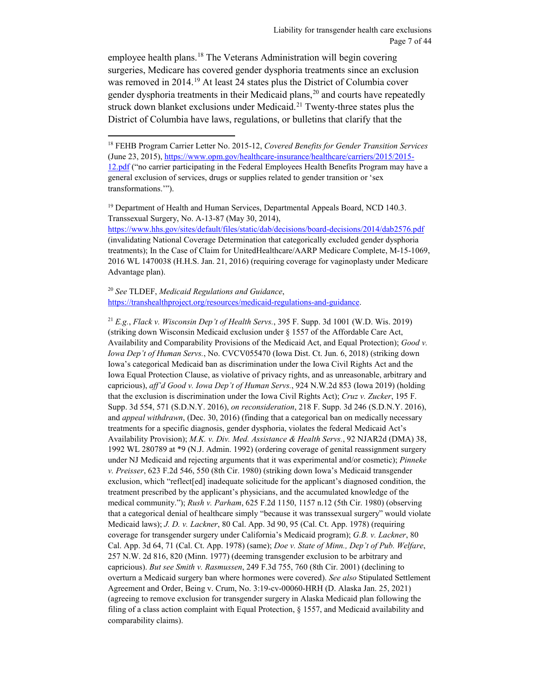employee health plans.<sup>[18](#page-6-0)</sup> The Veterans Administration will begin covering surgeries, Medicare has covered gender dysphoria treatments since an exclusion was removed in 2014.<sup>[19](#page-6-1)</sup> At least 24 states plus the District of Columbia cover gender dysphoria treatments in their Medicaid plans,  $2<sup>0</sup>$  and courts have repeatedly struck down blanket exclusions under Medicaid.<sup>[21](#page-6-3)</sup> Twenty-three states plus the District of Columbia have laws, regulations, or bulletins that clarify that the

<span id="page-6-1"></span><sup>19</sup> Department of Health and Human Services, Departmental Appeals Board, NCD 140.3. Transsexual Surgery, No. A-13-87 (May 30, 2014),

<https://www.hhs.gov/sites/default/files/static/dab/decisions/board-decisions/2014/dab2576.pdf> (invalidating National Coverage Determination that categorically excluded gender dysphoria treatments); In the Case of Claim for UnitedHealthcare/AARP Medicare Complete, M-15-1069, 2016 WL 1470038 (H.H.S. Jan. 21, 2016) (requiring coverage for vaginoplasty under Medicare Advantage plan).

<span id="page-6-2"></span><sup>20</sup> *See* TLDEF, *Medicaid Regulations and Guidance*, [https://transhealthproject.org/resources/medicaid-regulations-and-guidance.](https://transhealthproject.org/resources/medicaid-regulations-and-guidance)

 $\overline{a}$ 

<span id="page-6-3"></span><sup>21</sup> *E.g.*, *Flack v. Wisconsin Dep't of Health Servs.*, 395 F. Supp. 3d 1001 (W.D. Wis. 2019) (striking down Wisconsin Medicaid exclusion under § 1557 of the Affordable Care Act, Availability and Comparability Provisions of the Medicaid Act, and Equal Protection); *Good v. Iowa Dep't of Human Servs.*, No. CVCV055470 (Iowa Dist. Ct. Jun. 6, 2018) (striking down Iowa's categorical Medicaid ban as discrimination under the Iowa Civil Rights Act and the Iowa Equal Protection Clause, as violative of privacy rights, and as unreasonable, arbitrary and capricious), *aff'd Good v. Iowa Dep't of Human Servs.*, 924 N.W.2d 853 (Iowa 2019) (holding that the exclusion is discrimination under the Iowa Civil Rights Act); *Cruz v. Zucker*, 195 F. Supp. 3d 554, 571 (S.D.N.Y. 2016), *on reconsideration*, 218 F. Supp. 3d 246 (S.D.N.Y. 2016), and *appeal withdrawn*, (Dec. 30, 2016) (finding that a categorical ban on medically necessary treatments for a specific diagnosis, gender dysphoria, violates the federal Medicaid Act's Availability Provision); *M.K. v. Div. Med. Assistance & Health Servs.*, 92 NJAR2d (DMA) 38, 1992 WL 280789 at \*9 (N.J. Admin. 1992) (ordering coverage of genital reassignment surgery under NJ Medicaid and rejecting arguments that it was experimental and/or cosmetic); *Pinneke v. Preisser*, 623 F.2d 546, 550 (8th Cir. 1980) (striking down Iowa's Medicaid transgender exclusion, which "reflect[ed] inadequate solicitude for the applicant's diagnosed condition, the treatment prescribed by the applicant's physicians, and the accumulated knowledge of the medical community."); *Rush v. Parham*, 625 F.2d 1150, 1157 n.12 (5th Cir. 1980) (observing that a categorical denial of healthcare simply "because it was transsexual surgery" would violate Medicaid laws); *J. D. v. Lackner*, 80 Cal. App. 3d 90, 95 (Cal. Ct. App. 1978) (requiring coverage for transgender surgery under California's Medicaid program); *G.B. v. Lackner*, 80 Cal. App. 3d 64, 71 (Cal. Ct. App. 1978) (same); *Doe v. State of Minn., Dep't of Pub. Welfare*, 257 N.W. 2d 816, 820 (Minn. 1977) (deeming transgender exclusion to be arbitrary and capricious). *But see Smith v. Rasmussen*, 249 F.3d 755, 760 (8th Cir. 2001) (declining to overturn a Medicaid surgery ban where hormones were covered). *See also* Stipulated Settlement Agreement and Order, Being v. Crum, No. 3:19-cv-00060-HRH (D. Alaska Jan. 25, 2021) (agreeing to remove exclusion for transgender surgery in Alaska Medicaid plan following the filing of a class action complaint with Equal Protection, § 1557, and Medicaid availability and comparability claims).

<span id="page-6-0"></span><sup>18</sup> FEHB Program Carrier Letter No. 2015-12, *Covered Benefits for Gender Transition Services*  (June 23, 2015)[, https://www.opm.gov/healthcare-insurance/healthcare/carriers/2015/2015-](https://www.opm.gov/healthcare-insurance/healthcare/carriers/2015/2015-12.pdf) [12.pdf](https://www.opm.gov/healthcare-insurance/healthcare/carriers/2015/2015-12.pdf) ("no carrier participating in the Federal Employees Health Benefits Program may have a general exclusion of services, drugs or supplies related to gender transition or 'sex transformations.'").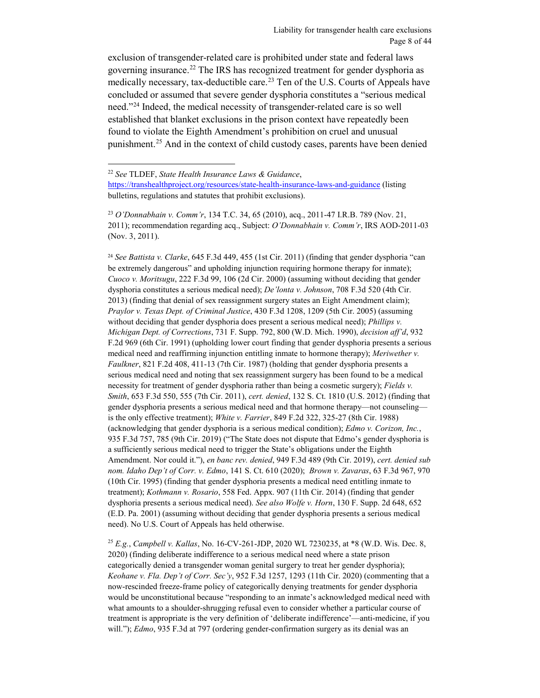exclusion of transgender-related care is prohibited under state and federal laws governing insurance.[22](#page-7-0) The IRS has recognized treatment for gender dysphoria as medically necessary, tax-deductible care.<sup>[23](#page-7-1)</sup> Ten of the U.S. Courts of Appeals have concluded or assumed that severe gender dysphoria constitutes a "serious medical need."[24](#page-7-2) Indeed, the medical necessity of transgender-related care is so well established that blanket exclusions in the prison context have repeatedly been found to violate the Eighth Amendment's prohibition on cruel and unusual punishment.<sup>25</sup> And in the context of child custody cases, parents have been denied

 $\overline{a}$ 

<span id="page-7-2"></span><sup>24</sup> *See Battista v. Clarke*, 645 F.3d 449, 455 (1st Cir. 2011) (finding that gender dysphoria "can be extremely dangerous" and upholding injunction requiring hormone therapy for inmate); *Cuoco v. Moritsugu*, 222 F.3d 99, 106 (2d Cir. 2000) (assuming without deciding that gender dysphoria constitutes a serious medical need); *De'lonta v. Johnson*, 708 F.3d 520 (4th Cir. 2013) (finding that denial of sex reassignment surgery states an Eight Amendment claim); *Praylor v. Texas Dept. of Criminal Justice*, 430 F.3d 1208, 1209 (5th Cir. 2005) (assuming without deciding that gender dysphoria does present a serious medical need); *Phillips v. Michigan Dept. of Corrections*, 731 F. Supp. 792, 800 (W.D. Mich. 1990), *decision aff'd*, 932 F.2d 969 (6th Cir. 1991) (upholding lower court finding that gender dysphoria presents a serious medical need and reaffirming injunction entitling inmate to hormone therapy); *Meriwether v. Faulkner*, 821 F.2d 408, 411-13 (7th Cir. 1987) (holding that gender dysphoria presents a serious medical need and noting that sex reassignment surgery has been found to be a medical necessity for treatment of gender dysphoria rather than being a cosmetic surgery); *Fields v. Smith*, 653 F.3d 550, 555 (7th Cir. 2011), *cert. denied*, 132 S. Ct. 1810 (U.S. 2012) (finding that gender dysphoria presents a serious medical need and that hormone therapy—not counseling is the only effective treatment); *White v. Farrier*, 849 F.2d 322, 325-27 (8th Cir. 1988) (acknowledging that gender dysphoria is a serious medical condition); *Edmo v. Corizon, Inc.*, 935 F.3d 757, 785 (9th Cir. 2019) ("The State does not dispute that Edmo's gender dysphoria is a sufficiently serious medical need to trigger the State's obligations under the Eighth Amendment. Nor could it."), *en banc rev. denied*, 949 F.3d 489 (9th Cir. 2019), *cert. denied sub nom. Idaho Dep't of Corr. v. Edmo*, 141 S. Ct. 610 (2020); *Brown v. Zavaras*, 63 F.3d 967, 970 (10th Cir. 1995) (finding that gender dysphoria presents a medical need entitling inmate to treatment); *Kothmann v. Rosario*, 558 Fed. Appx. 907 (11th Cir. 2014) (finding that gender dysphoria presents a serious medical need). *See also Wolfe v. Horn*, 130 F. Supp. 2d 648, 652 (E.D. Pa. 2001) (assuming without deciding that gender dysphoria presents a serious medical need). No U.S. Court of Appeals has held otherwise.

<span id="page-7-3"></span><sup>25</sup> *E.g.*, *Campbell v. Kallas*, No. 16-CV-261-JDP, 2020 WL 7230235, at \*8 (W.D. Wis. Dec. 8, 2020) (finding deliberate indifference to a serious medical need where a state prison categorically denied a transgender woman genital surgery to treat her gender dysphoria); *Keohane v. Fla. Dep't of Corr. Sec'y*, 952 F.3d 1257, 1293 (11th Cir. 2020) (commenting that a now-rescinded freeze-frame policy of categorically denying treatments for gender dysphoria would be unconstitutional because "responding to an inmate's acknowledged medical need with what amounts to a shoulder-shrugging refusal even to consider whether a particular course of treatment is appropriate is the very definition of 'deliberate indifference'—anti-medicine, if you will."); *Edmo*, 935 F.3d at 797 (ordering gender-confirmation surgery as its denial was an

<span id="page-7-0"></span><sup>22</sup> *See* TLDEF, *State Health Insurance Laws & Guidance*,

<https://transhealthproject.org/resources/state-health-insurance-laws-and-guidance> (listing bulletins, regulations and statutes that prohibit exclusions).

<span id="page-7-1"></span><sup>23</sup> *O'Donnabhain v. Comm'r*, 134 T.C. 34, 65 (2010), acq., 2011-47 I.R.B. 789 (Nov. 21, 2011); recommendation regarding acq., Subject: *O'Donnabhain v. Comm'r*, IRS AOD-2011-03 (Nov. 3, 2011).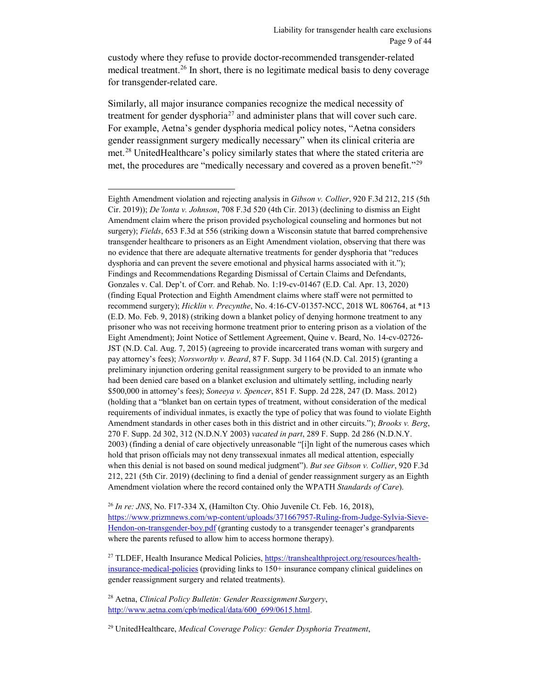custody where they refuse to provide doctor-recommended transgender-related medical treatment.<sup>[26](#page-8-0)</sup> In short, there is no legitimate medical basis to deny coverage for transgender-related care.

Similarly, all major insurance companies recognize the medical necessity of treatment for gender dysphoria<sup>27</sup> and administer plans that will cover such care. For example, Aetna's gender dysphoria medical policy notes, "Aetna considers gender reassignment surgery medically necessary" when its clinical criteria are met.<sup>[28](#page-8-2)</sup> UnitedHealthcare's policy similarly states that where the stated criteria are met, the procedures are "medically necessary and covered as a proven benefit."<sup>[29](#page-8-3)</sup>

 $\overline{a}$ 

<span id="page-8-0"></span><sup>26</sup> *In re: JNS*, No. F17-334 X, (Hamilton Cty. Ohio Juvenile Ct. Feb. 16, 2018), [https://www.prizmnews.com/wp-content/uploads/371667957-Ruling-from-Judge-Sylvia-Sieve-](https://www.prizmnews.com/wp-content/uploads/371667957-Ruling-from-Judge-Sylvia-Sieve-Hendon-on-transgender-boy.pdf)[Hendon-on-transgender-boy.pdf](https://www.prizmnews.com/wp-content/uploads/371667957-Ruling-from-Judge-Sylvia-Sieve-Hendon-on-transgender-boy.pdf) (granting custody to a transgender teenager's grandparents where the parents refused to allow him to access hormone therapy).

<span id="page-8-1"></span><sup>27</sup> TLDEF, Health Insurance Medical Policies[, https://transhealthproject.org/resources/health](https://transhealthproject.org/resources/health-insurance-medical-policies)[insurance-medical-policies](https://transhealthproject.org/resources/health-insurance-medical-policies) (providing links to 150+ insurance company clinical guidelines on gender reassignment surgery and related treatments).

<span id="page-8-2"></span><sup>28</sup> Aetna, *Clinical Policy Bulletin: Gender Reassignment Surgery*, [http://www.aetna.com/cpb/medical/data/600\\_699/0615.html.](http://www.aetna.com/cpb/medical/data/600_699/0615.html)

<span id="page-8-3"></span><sup>29</sup> UnitedHealthcare, *Medical Coverage Policy: Gender Dysphoria Treatment*,

Eighth Amendment violation and rejecting analysis in *Gibson v. Collier*, 920 F.3d 212, 215 (5th Cir. 2019)); *De'lonta v. Johnson*, 708 F.3d 520 (4th Cir. 2013) (declining to dismiss an Eight Amendment claim where the prison provided psychological counseling and hormones but not surgery); *Fields*, 653 F.3d at 556 (striking down a Wisconsin statute that barred comprehensive transgender healthcare to prisoners as an Eight Amendment violation, observing that there was no evidence that there are adequate alternative treatments for gender dysphoria that "reduces dysphoria and can prevent the severe emotional and physical harms associated with it."); Findings and Recommendations Regarding Dismissal of Certain Claims and Defendants, Gonzales v. Cal. Dep't. of Corr. and Rehab. No. 1:19-cv-01467 (E.D. Cal. Apr. 13, 2020) (finding Equal Protection and Eighth Amendment claims where staff were not permitted to recommend surgery); *Hicklin v. Precynthe*, No. 4:16-CV-01357-NCC, 2018 WL 806764, at \*13 (E.D. Mo. Feb. 9, 2018) (striking down a blanket policy of denying hormone treatment to any prisoner who was not receiving hormone treatment prior to entering prison as a violation of the Eight Amendment); Joint Notice of Settlement Agreement, Quine v. Beard, No. 14-cv-02726- JST (N.D. Cal. Aug. 7, 2015) (agreeing to provide incarcerated trans woman with surgery and pay attorney's fees); *Norsworthy v. Beard*, 87 F. Supp. 3d 1164 (N.D. Cal. 2015) (granting a preliminary injunction ordering genital reassignment surgery to be provided to an inmate who had been denied care based on a blanket exclusion and ultimately settling, including nearly \$500,000 in attorney's fees); *Soneeya v. Spencer*, 851 F. Supp. 2d 228, 247 (D. Mass. 2012) (holding that a "blanket ban on certain types of treatment, without consideration of the medical requirements of individual inmates, is exactly the type of policy that was found to violate Eighth Amendment standards in other cases both in this district and in other circuits."); *Brooks v. Berg*, 270 F. Supp. 2d 302, 312 (N.D.N.Y 2003) *vacated in part*, 289 F. Supp. 2d 286 (N.D.N.Y. 2003) (finding a denial of care objectively unreasonable "[i]n light of the numerous cases which hold that prison officials may not deny transsexual inmates all medical attention, especially when this denial is not based on sound medical judgment"). *But see Gibson v. Collier*, 920 F.3d 212, 221 (5th Cir. 2019) (declining to find a denial of gender reassignment surgery as an Eighth Amendment violation where the record contained only the WPATH *Standards of Care*).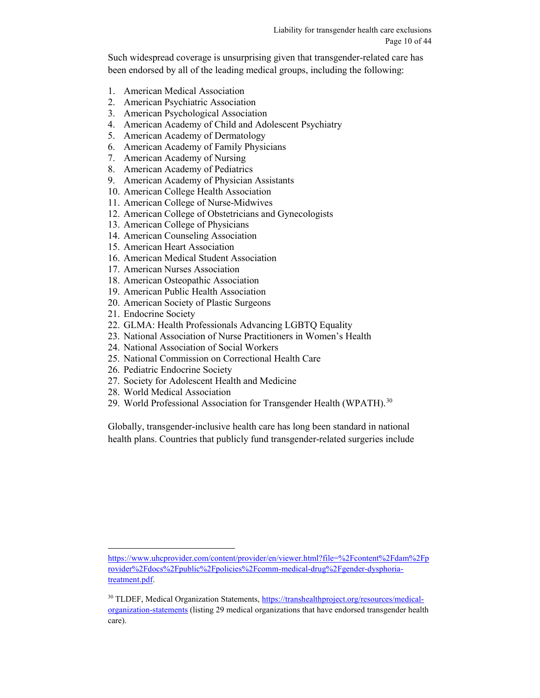Such widespread coverage is unsurprising given that transgender-related care has been endorsed by all of the leading medical groups, including the following:

- 1. American Medical Association
- 2. American Psychiatric Association
- 3. American Psychological Association
- 4. American Academy of Child and Adolescent Psychiatry
- 5. American Academy of Dermatology
- 6. American Academy of Family Physicians
- 7. American Academy of Nursing
- 8. American Academy of Pediatrics
- 9. American Academy of Physician Assistants
- 10. American College Health Association
- 11. American College of Nurse-Midwives
- 12. American College of Obstetricians and Gynecologists
- 13. American College of Physicians
- 14. American Counseling Association
- 15. American Heart Association
- 16. American Medical Student Association
- 17. American Nurses Association
- 18. American Osteopathic Association
- 19. American Public Health Association
- 20. American Society of Plastic Surgeons
- 21. Endocrine Society
- 22. GLMA: Health Professionals Advancing LGBTQ Equality
- 23. National Association of Nurse Practitioners in Women's Health
- 24. National Association of Social Workers
- 25. National Commission on Correctional Health Care
- 26. Pediatric Endocrine Society
- 27. Society for Adolescent Health and Medicine
- 28. World Medical Association
- 29. World Professional Association for Transgender Health (WPATH).<sup>[30](#page-9-0)</sup>

Globally, transgender-inclusive health care has long been standard in national health plans. Countries that publicly fund transgender-related surgeries include

 $\overline{a}$ [https://www.uhcprovider.com/content/provider/en/viewer.html?file=%2Fcontent%2Fdam%2Fp](https://www.uhcprovider.com/content/provider/en/viewer.html?file=%2Fcontent%2Fdam%2Fprovider%2Fdocs%2Fpublic%2Fpolicies%2Fcomm-medical-drug%2Fgender-dysphoria-treatment.pdf) [rovider%2Fdocs%2Fpublic%2Fpolicies%2Fcomm-medical-drug%2Fgender-dysphoria](https://www.uhcprovider.com/content/provider/en/viewer.html?file=%2Fcontent%2Fdam%2Fprovider%2Fdocs%2Fpublic%2Fpolicies%2Fcomm-medical-drug%2Fgender-dysphoria-treatment.pdf)[treatment.pdf.](https://www.uhcprovider.com/content/provider/en/viewer.html?file=%2Fcontent%2Fdam%2Fprovider%2Fdocs%2Fpublic%2Fpolicies%2Fcomm-medical-drug%2Fgender-dysphoria-treatment.pdf) 

<span id="page-9-0"></span><sup>&</sup>lt;sup>30</sup> TLDEF, Medical Organization Statements, [https://transhealthproject.org/resources/medical](https://transhealthproject.org/resources/medical-organization-statements)[organization-statements](https://transhealthproject.org/resources/medical-organization-statements) (listing 29 medical organizations that have endorsed transgender health care).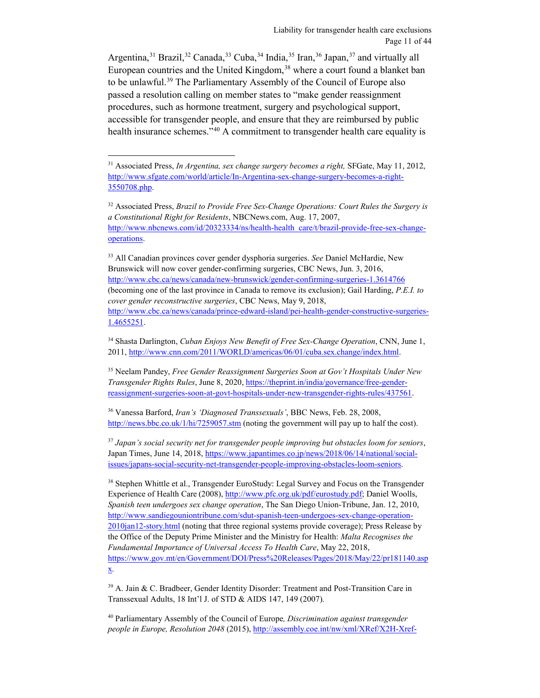Argentina,<sup>[31](#page-10-0)</sup> Brazil,<sup>[32](#page-10-1)</sup> Canada,<sup>33</sup> Cuba,<sup>34</sup> India,<sup>[35](#page-10-4)</sup> Iran,<sup>36</sup> Japan,<sup>37</sup> and virtually all European countries and the United Kingdom,<sup>38</sup> where a court found a blanket ban to be unlawful.<sup>[39](#page-10-8)</sup> The Parliamentary Assembly of the Council of Europe also passed a resolution calling on member states to "make gender reassignment procedures, such as hormone treatment, surgery and psychological support, accessible for transgender people, and ensure that they are reimbursed by public health insurance schemes."<sup>[40](#page-10-9)</sup> A commitment to transgender health care equality is

 $\overline{a}$ 

<span id="page-10-2"></span><sup>33</sup> All Canadian provinces cover gender dysphoria surgeries. *See* Daniel McHardie, New Brunswick will now cover gender-confirming surgeries, CBC News, Jun. 3, 2016, <http://www.cbc.ca/news/canada/new-brunswick/gender-confirming-surgeries-1.3614766> (becoming one of the last province in Canada to remove its exclusion); Gail Harding, *P.E.I. to cover gender reconstructive surgeries*, CBC News, May 9, 2018, [http://www.cbc.ca/news/canada/prince-edward-island/pei-health-gender-constructive-surgeries-](http://www.cbc.ca/news/canada/prince-edward-island/pei-health-gender-constructive-surgeries-1.4655251)[1.4655251.](http://www.cbc.ca/news/canada/prince-edward-island/pei-health-gender-constructive-surgeries-1.4655251)

<span id="page-10-4"></span><sup>35</sup> Neelam Pandey, *Free Gender Reassignment Surgeries Soon at Gov't Hospitals Under New Transgender Rights Rules*, June 8, 2020, [https://theprint.in/india/governance/free-gender](https://theprint.in/india/governance/free-gender-reassignment-surgeries-soon-at-govt-hospitals-under-new-transgender-rights-rules/437561)[reassignment-surgeries-soon-at-govt-hospitals-under-new-transgender-rights-rules/437561.](https://theprint.in/india/governance/free-gender-reassignment-surgeries-soon-at-govt-hospitals-under-new-transgender-rights-rules/437561)

<span id="page-10-5"></span><sup>36</sup> Vanessa Barford, *Iran's 'Diagnosed Transsexuals'*, BBC News, Feb. 28, 2008, <http://news.bbc.co.uk/1/hi/7259057.stm> (noting the government will pay up to half the cost).

<span id="page-10-6"></span><sup>37</sup> *Japan's social security net for transgender people improving but obstacles loom for seniors*, Japan Times, June 14, 2018[, https://www.japantimes.co.jp/news/2018/06/14/national/social](https://www.japantimes.co.jp/news/2018/06/14/national/social-issues/japans-social-security-net-transgender-people-improving-obstacles-loom-seniors)[issues/japans-social-security-net-transgender-people-improving-obstacles-loom-seniors.](https://www.japantimes.co.jp/news/2018/06/14/national/social-issues/japans-social-security-net-transgender-people-improving-obstacles-loom-seniors)

<span id="page-10-7"></span><sup>38</sup> Stephen Whittle et al., Transgender EuroStudy: Legal Survey and Focus on the Transgender Experience of Health Care (2008)[, http://www.pfc.org.uk/pdf/eurostudy.pdf;](http://www.pfc.org.uk/pdf/eurostudy.pdf) Daniel Woolls, *Spanish teen undergoes sex change operation*, The San Diego Union-Tribune, Jan. 12, 2010, [http://www.sandiegouniontribune.com/sdut-spanish-teen-undergoes-sex-change-operation-](http://www.sandiegouniontribune.com/sdut-spanish-teen-undergoes-sex-change-operation-2010jan12-story.html)[2010jan12-story.html](http://www.sandiegouniontribune.com/sdut-spanish-teen-undergoes-sex-change-operation-2010jan12-story.html) (noting that three regional systems provide coverage); Press Release by the Office of the Deputy Prime Minister and the Ministry for Health: *Malta Recognises the Fundamental Importance of Universal Access To Health Care*, May 22, 2018, [https://www.gov.mt/en/Government/DOI/Press%20Releases/Pages/2018/May/22/pr181140.asp](https://www.gov.mt/en/Government/DOI/Press%20Releases/Pages/2018/May/22/pr181140.aspx) [x.](https://www.gov.mt/en/Government/DOI/Press%20Releases/Pages/2018/May/22/pr181140.aspx)

<span id="page-10-8"></span><sup>39</sup> A. Jain & C. Bradbeer, Gender Identity Disorder: Treatment and Post-Transition Care in Transsexual Adults, 18 Int'l J. of STD & AIDS 147, 149 (2007).

<span id="page-10-9"></span><sup>40</sup> Parliamentary Assembly of the Council of Europe*, Discrimination against transgender people in Europe, Resolution 2048* (2015), [http://assembly.coe.int/nw/xml/XRef/X2H-Xref-](http://assembly.coe.int/nw/xml/XRef/X2H-Xref-ViewPDF.asp?FileID=21736&lang=en.)

<span id="page-10-0"></span><sup>31</sup> Associated Press, *In Argentina, sex change surgery becomes a right,* SFGate, May 11, 2012, [http://www.sfgate.com/world/article/In-Argentina-sex-change-surgery-becomes-a-right-](http://www.sfgate.com/world/article/In-Argentina-sex-change-surgery-becomes-a-right-3550708.php)[3550708.php.](http://www.sfgate.com/world/article/In-Argentina-sex-change-surgery-becomes-a-right-3550708.php) 

<span id="page-10-1"></span><sup>32</sup> Associated Press, *Brazil to Provide Free Sex-Change Operations: Court Rules the Surgery is a Constitutional Right for Residents*, NBCNews.com, Aug. 17, 2007, [http://www.nbcnews.com/id/20323334/ns/health-health\\_care/t/brazil-provide-free-sex-change](http://www.nbcnews.com/id/20323334/ns/health-health_care/t/brazil-provide-free-sex-change-operations)[operations.](http://www.nbcnews.com/id/20323334/ns/health-health_care/t/brazil-provide-free-sex-change-operations)

<span id="page-10-3"></span><sup>34</sup> Shasta Darlington, *Cuban Enjoys New Benefit of Free Sex-Change Operation*, CNN, June 1, 2011, [http://www.cnn.com/2011/WORLD/americas/06/01/cuba.sex.change/index.html.](http://www.cnn.com/2011/WORLD/americas/06/01/cuba.sex.change/index.html)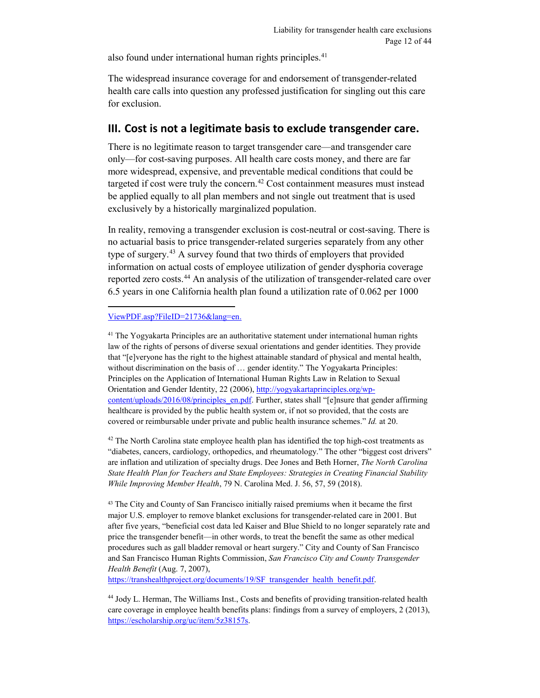also found under international human rights principles.<sup>41</sup>

The widespread insurance coverage for and endorsement of transgender-related health care calls into question any professed justification for singling out this care for exclusion.

## <span id="page-11-0"></span>**III. Cost is not a legitimate basis to exclude transgender care.**

There is no legitimate reason to target transgender care—and transgender care only—for cost-saving purposes. All health care costs money, and there are far more widespread, expensive, and preventable medical conditions that could be targeted if cost were truly the concern.<sup>[42](#page-11-2)</sup> Cost containment measures must instead be applied equally to all plan members and not single out treatment that is used exclusively by a historically marginalized population.

In reality, removing a transgender exclusion is cost-neutral or cost-saving. There is no actuarial basis to price transgender-related surgeries separately from any other type of surgery.<sup>[43](#page-11-3)</sup> A survey found that two thirds of employers that provided information on actual costs of employee utilization of gender dysphoria coverage reported zero costs.<sup>44</sup> An analysis of the utilization of transgender-related care over 6.5 years in one California health plan found a utilization rate of 0.062 per 1000

#### $\overline{a}$ [ViewPDF.asp?FileID=21736&lang=en.](http://assembly.coe.int/nw/xml/XRef/X2H-Xref-ViewPDF.asp?FileID=21736&lang=en.)

<span id="page-11-1"></span><sup>41</sup> The Yogyakarta Principles are an authoritative statement under international human rights law of the rights of persons of diverse sexual orientations and gender identities. They provide that "[e]veryone has the right to the highest attainable standard of physical and mental health, without discrimination on the basis of … gender identity." The Yogyakarta Principles: Principles on the Application of International Human Rights Law in Relation to Sexual Orientation and Gender Identity, 22 (2006)[, http://yogyakartaprinciples.org/wp](http://yogyakartaprinciples.org/wp-content/uploads/2016/08/principles_en.pdf)[content/uploads/2016/08/principles\\_en.pdf.](http://yogyakartaprinciples.org/wp-content/uploads/2016/08/principles_en.pdf) Further, states shall "[e]nsure that gender affirming healthcare is provided by the public health system or, if not so provided, that the costs are covered or reimbursable under private and public health insurance schemes." *Id.* at 20.

<span id="page-11-2"></span> $42$  The North Carolina state employee health plan has identified the top high-cost treatments as "diabetes, cancers, cardiology, orthopedics, and rheumatology." The other "biggest cost drivers" are inflation and utilization of specialty drugs. Dee Jones and Beth Horner, *The North Carolina State Health Plan for Teachers and State Employees: Strategies in Creating Financial Stability While Improving Member Health*, 79 N. Carolina Med. J. 56, 57, 59 (2018).

<span id="page-11-3"></span><sup>43</sup> The City and County of San Francisco initially raised premiums when it became the first major U.S. employer to remove blanket exclusions for transgender-related care in 2001. But after five years, "beneficial cost data led Kaiser and Blue Shield to no longer separately rate and price the transgender benefit—in other words, to treat the benefit the same as other medical procedures such as gall bladder removal or heart surgery." City and County of San Francisco and San Francisco Human Rights Commission, *San Francisco City and County Transgender Health Benefit* (Aug. 7, 2007),

[https://transhealthproject.org/documents/19/SF\\_transgender\\_health\\_benefit.pdf.](https://transhealthproject.org/documents/19/SF_transgender_health_benefit.pdf)

<span id="page-11-4"></span><sup>44</sup> Jody L. Herman, The Williams Inst., Costs and benefits of providing transition-related health care coverage in employee health benefits plans: findings from a survey of employers, 2 (2013), [https://escholarship.org/uc/item/5z38157s.](https://escholarship.org/uc/item/5z38157s)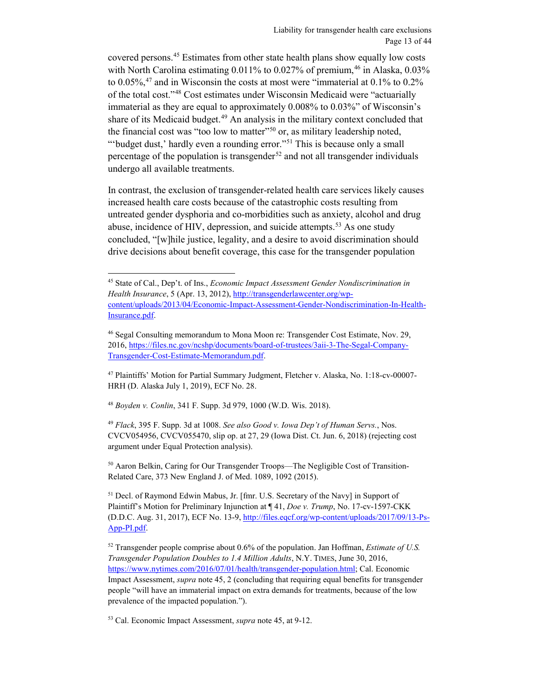<span id="page-12-0"></span>covered persons.[45](#page-12-1) Estimates from other state health plans show equally low costs with North Carolina estimating  $0.011\%$  to  $0.027\%$  of premium,<sup>46</sup> in Alaska,  $0.03\%$ to  $0.05\%$ ,  $47$  and in Wisconsin the costs at most were "immaterial at  $0.1\%$  to  $0.2\%$ of the total cost."[48](#page-12-4) Cost estimates under Wisconsin Medicaid were "actuarially immaterial as they are equal to approximately 0.008% to 0.03%" of Wisconsin's share of its Medicaid budget. $49$  An analysis in the military context concluded that the financial cost was "too low to matter"<sup>50</sup> or, as military leadership noted, "'budget dust,' hardly even a rounding error."<sup>[51](#page-12-7)</sup> This is because only a small percentage of the population is transgender<sup>[52](#page-12-8)</sup> and not all transgender individuals undergo all available treatments.

In contrast, the exclusion of transgender-related health care services likely causes increased health care costs because of the catastrophic costs resulting from untreated gender dysphoria and co-morbidities such as anxiety, alcohol and drug abuse, incidence of HIV, depression, and suicide attempts.<sup>53</sup> As one study concluded, "[w]hile justice, legality, and a desire to avoid discrimination should drive decisions about benefit coverage, this case for the transgender population

<span id="page-12-4"></span><sup>48</sup> *Boyden v. Conlin*, 341 F. Supp. 3d 979, 1000 (W.D. Wis. 2018).

 $\overline{a}$ 

<span id="page-12-5"></span><sup>49</sup> *Flack*, 395 F. Supp. 3d at 1008. *See also Good v. Iowa Dep't of Human Servs.*, Nos. CVCV054956, CVCV055470, slip op. at 27, 29 (Iowa Dist. Ct. Jun. 6, 2018) (rejecting cost argument under Equal Protection analysis).

<span id="page-12-6"></span>50 Aaron Belkin, Caring for Our Transgender Troops—The Negligible Cost of Transition-Related Care, 373 New England J. of Med. 1089, 1092 (2015).

<span id="page-12-7"></span><sup>51</sup> Decl. of Raymond Edwin Mabus, Jr. [fmr. U.S. Secretary of the Navy] in Support of Plaintiff's Motion for Preliminary Injunction at ¶ 41, *Doe v. Trump*, No. 17-cv-1597-CKK (D.D.C. Aug. 31, 2017), ECF No. 13-9[, http://files.eqcf.org/wp-content/uploads/2017/09/13-Ps-](http://files.eqcf.org/wp-content/uploads/2017/09/13-Ps-App-PI.pdf)[App-PI.pdf.](http://files.eqcf.org/wp-content/uploads/2017/09/13-Ps-App-PI.pdf) 

<span id="page-12-8"></span><sup>52</sup> Transgender people comprise about 0.6% of the population. Jan Hoffman, *Estimate of U.S. Transgender Population Doubles to 1.4 Million Adults*, N.Y. TIMES, June 30, 2016, [https://www.nytimes.com/2016/07/01/health/transgender-population.html;](https://www.nytimes.com/2016/07/01/health/transgender-population.html) Cal. Economic Impact Assessment, *supra* not[e 45,](#page-12-0) 2 (concluding that requiring equal benefits for transgender people "will have an immaterial impact on extra demands for treatments, because of the low prevalence of the impacted population.").

<span id="page-12-9"></span><sup>53</sup> Cal. Economic Impact Assessment, *supra* not[e 45,](#page-12-0) at 9-12.

<span id="page-12-1"></span><sup>45</sup> State of Cal., Dep't. of Ins., *Economic Impact Assessment Gender Nondiscrimination in Health Insurance*, 5 (Apr. 13, 2012)[, http://transgenderlawcenter.org/wp](http://transgenderlawcenter.org/wp-content/uploads/2013/04/Economic-Impact-Assessment-Gender-Nondiscrimination-In-Health-Insurance.pdf)[content/uploads/2013/04/Economic-Impact-Assessment-Gender-Nondiscrimination-In-Health-](http://transgenderlawcenter.org/wp-content/uploads/2013/04/Economic-Impact-Assessment-Gender-Nondiscrimination-In-Health-Insurance.pdf)[Insurance.pdf.](http://transgenderlawcenter.org/wp-content/uploads/2013/04/Economic-Impact-Assessment-Gender-Nondiscrimination-In-Health-Insurance.pdf) 

<span id="page-12-2"></span><sup>46</sup> Segal Consulting memorandum to Mona Moon re: Transgender Cost Estimate, Nov. 29, 2016, [https://files.nc.gov/ncshp/documents/board-of-trustees/3aii-3-The-Segal-Company-](https://files.nc.gov/ncshp/documents/board-of-trustees/3aii-3-The-Segal-Company-Transgender-Cost-Estimate-Memorandum.pdf)[Transgender-Cost-Estimate-Memorandum.pdf.](https://files.nc.gov/ncshp/documents/board-of-trustees/3aii-3-The-Segal-Company-Transgender-Cost-Estimate-Memorandum.pdf)

<span id="page-12-3"></span><sup>47</sup> Plaintiffs' Motion for Partial Summary Judgment, Fletcher v. Alaska, No. 1:18-cv-00007- HRH (D. Alaska July 1, 2019), ECF No. 28.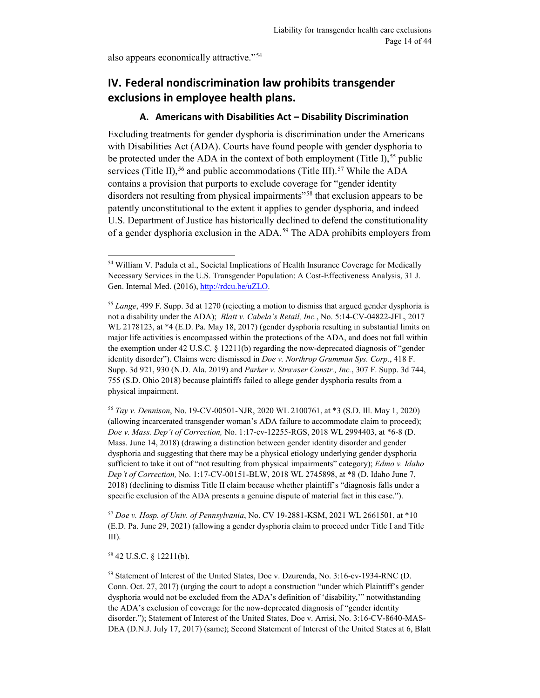also appears economically attractive."[54](#page-13-2)

# <span id="page-13-0"></span>**IV. Federal nondiscrimination law prohibits transgender exclusions in employee health plans.**

### **A. Americans with Disabilities Act – Disability Discrimination**

<span id="page-13-1"></span>Excluding treatments for gender dysphoria is discrimination under the Americans with Disabilities Act (ADA). Courts have found people with gender dysphoria to be protected under the ADA in the context of both employment (Title I),<sup>[55](#page-13-3)</sup> public services (Title II),<sup>56</sup> and public accommodations (Title III).<sup>[57](#page-13-5)</sup> While the ADA contains a provision that purports to exclude coverage for "gender identity disorders not resulting from physical impairments"<sup>[58](#page-13-6)</sup> that exclusion appears to be patently unconstitutional to the extent it applies to gender dysphoria, and indeed U.S. Department of Justice has historically declined to defend the constitutionality of a gender dysphoria exclusion in the ADA. [59](#page-13-7) The ADA prohibits employers from

<span id="page-13-4"></span><sup>56</sup> *Tay v. Dennison*, No. 19-CV-00501-NJR, 2020 WL 2100761, at \*3 (S.D. Ill. May 1, 2020) (allowing incarcerated transgender woman's ADA failure to accommodate claim to proceed); *Doe v. Mass. Dep't of Correction,* No. 1:17-cv-12255-RGS, 2018 WL 2994403, at \*6-8 (D. Mass. June 14, 2018) (drawing a distinction between gender identity disorder and gender dysphoria and suggesting that there may be a physical etiology underlying gender dysphoria sufficient to take it out of "not resulting from physical impairments" category); *Edmo v. Idaho Dep't of Correction,* No. 1:17-CV-00151-BLW, 2018 WL 2745898, at \*8 (D. Idaho June 7, 2018) (declining to dismiss Title II claim because whether plaintiff's "diagnosis falls under a specific exclusion of the ADA presents a genuine dispute of material fact in this case.").

<span id="page-13-5"></span><sup>57</sup> *Doe v. Hosp. of Univ. of Pennsylvania*, No. CV 19-2881-KSM, 2021 WL 2661501, at \*10 (E.D. Pa. June 29, 2021) (allowing a gender dysphoria claim to proceed under Title I and Title III).

<span id="page-13-6"></span><sup>58</sup> 42 U.S.C. § 12211(b).

 $\overline{a}$ 

<span id="page-13-2"></span><sup>&</sup>lt;sup>54</sup> William V. Padula et al., Societal Implications of Health Insurance Coverage for Medically Necessary Services in the U.S. Transgender Population: A Cost-Effectiveness Analysis, 31 J. Gen. Internal Med. (2016), [http://rdcu.be/uZLO.](http://rdcu.be/uZLO)

<span id="page-13-3"></span><sup>55</sup> *Lange*, 499 F. Supp. 3d at 1270 (rejecting a motion to dismiss that argued gender dysphoria is not a disability under the ADA); *Blatt v. Cabela's Retail, Inc.*, No. 5:14-CV-04822-JFL, 2017 WL 2178123, at \*4 (E.D. Pa. May 18, 2017) (gender dysphoria resulting in substantial limits on major life activities is encompassed within the protections of the ADA, and does not fall within the exemption under 42 U.S.C. § 12211(b) regarding the now-deprecated diagnosis of "gender identity disorder"). Claims were dismissed in *Doe v. Northrop Grumman Sys. Corp.*, 418 F. Supp. 3d 921, 930 (N.D. Ala. 2019) and *Parker v. Strawser Constr., Inc.*, 307 F. Supp. 3d 744, 755 (S.D. Ohio 2018) because plaintiffs failed to allege gender dysphoria results from a physical impairment.

<span id="page-13-7"></span><sup>59</sup> Statement of Interest of the United States, Doe v. Dzurenda, No. 3:16-cv-1934-RNC (D. Conn. Oct. 27, 2017) (urging the court to adopt a construction "under which Plaintiff's gender dysphoria would not be excluded from the ADA's definition of 'disability,'" notwithstanding the ADA's exclusion of coverage for the now-deprecated diagnosis of "gender identity disorder."); Statement of Interest of the United States, Doe v. Arrisi, No. 3:16-CV-8640-MAS-DEA (D.N.J. July 17, 2017) (same); Second Statement of Interest of the United States at 6, Blatt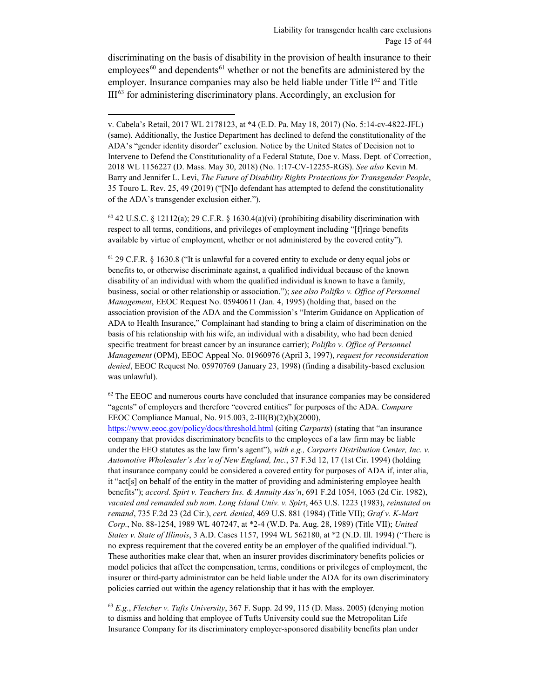discriminating on the basis of disability in the provision of health insurance to their  $employees<sup>60</sup>$  and dependents<sup>[61](#page-14-1)</sup> whether or not the benefits are administered by the employer. Insurance companies may also be held liable under Title  $I<sup>62</sup>$  and Title  $III<sup>63</sup>$  for administering discriminatory plans. Accordingly, an exclusion for

 $\overline{a}$ 

<span id="page-14-0"></span><sup>60</sup> 42 U.S.C. § 12112(a); 29 C.F.R. § 1630.4(a)(vi) (prohibiting disability discrimination with respect to all terms, conditions, and privileges of employment including "[f]ringe benefits available by virtue of employment, whether or not administered by the covered entity").

<span id="page-14-1"></span><sup>61</sup> 29 C.F.R. § 1630.8 ("It is unlawful for a covered entity to exclude or deny equal jobs or benefits to, or otherwise discriminate against, a qualified individual because of the known disability of an individual with whom the qualified individual is known to have a family, business, social or other relationship or association."); *see also Polifko v. Office of Personnel Management*, EEOC Request No. 05940611 (Jan. 4, 1995) (holding that, based on the association provision of the ADA and the Commission's "Interim Guidance on Application of ADA to Health Insurance," Complainant had standing to bring a claim of discrimination on the basis of his relationship with his wife, an individual with a disability, who had been denied specific treatment for breast cancer by an insurance carrier); *Polifko v. Office of Personnel Management* (OPM), EEOC Appeal No. 01960976 (April 3, 1997), *request for reconsideration denied*, EEOC Request No. 05970769 (January 23, 1998) (finding a disability-based exclusion was unlawful).

<span id="page-14-2"></span> $62$  The EEOC and numerous courts have concluded that insurance companies may be considered "agents" of employers and therefore "covered entities" for purposes of the ADA. *Compare* EEOC Compliance Manual, No. 915.003, 2-III(B)(2)(b)(2000),

<https://www.eeoc.gov/policy/docs/threshold.html> (citing *Carparts*) (stating that "an insurance company that provides discriminatory benefits to the employees of a law firm may be liable under the EEO statutes as the law firm's agent"), *with e.g., Carparts Distribution Center, Inc. v. Automotive Wholesaler's Ass'n of New England, Inc.*, 37 F.3d 12, 17 (1st Cir. 1994) (holding that insurance company could be considered a covered entity for purposes of ADA if, inter alia, it "act[s] on behalf of the entity in the matter of providing and administering employee health benefits"); *accord. Spirt v. Teachers Ins. & Annuity Ass'n*, 691 F.2d 1054, 1063 (2d Cir. 1982), *vacated and remanded sub nom*. *Long Island Univ. v. Spirt*, 463 U.S. 1223 (1983), *reinstated on remand*, 735 F.2d 23 (2d Cir.), *cert. denied*, 469 U.S. 881 (1984) (Title VII); *Graf v. K-Mart Corp.*, No. 88-1254, 1989 WL 407247, at \*2-4 (W.D. Pa. Aug. 28, 1989) (Title VII); *United States v. State of Illinois*, 3 A.D. Cases 1157, 1994 WL 562180, at \*2 (N.D. Ill. 1994) ("There is no express requirement that the covered entity be an employer of the qualified individual."). These authorities make clear that, when an insurer provides discriminatory benefits policies or model policies that affect the compensation, terms, conditions or privileges of employment, the insurer or third-party administrator can be held liable under the ADA for its own discriminatory policies carried out within the agency relationship that it has with the employer.

<span id="page-14-3"></span><sup>63</sup> *E.g.*, *Fletcher v. Tufts University*, 367 F. Supp. 2d 99, 115 (D. Mass. 2005) (denying motion to dismiss and holding that employee of Tufts University could sue the Metropolitan Life Insurance Company for its discriminatory employer-sponsored disability benefits plan under

v. Cabela's Retail, 2017 WL 2178123, at \*4 (E.D. Pa. May 18, 2017) (No. 5:14-cv-4822-JFL) (same). Additionally, the Justice Department has declined to defend the constitutionality of the ADA's "gender identity disorder" exclusion. Notice by the United States of Decision not to Intervene to Defend the Constitutionality of a Federal Statute, Doe v. Mass. Dept. of Correction, 2018 WL 1156227 (D. Mass. May 30, 2018) (No. 1:17-CV-12255-RGS). *See also* Kevin M. Barry and Jennifer L. Levi, *The Future of Disability Rights Protections for Transgender People*, 35 Touro L. Rev. 25, 49 (2019) ("[N]o defendant has attempted to defend the constitutionality of the ADA's transgender exclusion either.").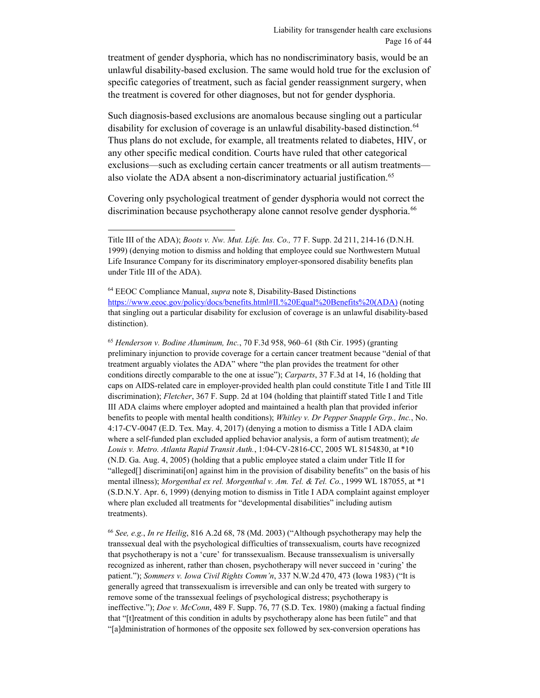treatment of gender dysphoria, which has no nondiscriminatory basis, would be an unlawful disability-based exclusion. The same would hold true for the exclusion of specific categories of treatment, such as facial gender reassignment surgery, when the treatment is covered for other diagnoses, but not for gender dysphoria.

Such diagnosis-based exclusions are anomalous because singling out a particular disability for exclusion of coverage is an unlawful disability-based distinction.<sup>[64](#page-15-0)</sup> Thus plans do not exclude, for example, all treatments related to diabetes, HIV, or any other specific medical condition. Courts have ruled that other categorical exclusions—such as excluding certain cancer treatments or all autism treatments— also violate the ADA absent a non-discriminatory actuarial justification.<sup>[65](#page-15-1)</sup>

Covering only psychological treatment of gender dysphoria would not correct the discrimination because psychotherapy alone cannot resolve gender dysphoria.<sup>[66](#page-15-2)</sup>

 $\overline{a}$ 

<span id="page-15-1"></span><sup>65</sup> *Henderson v. Bodine Aluminum, Inc.*, 70 F.3d 958, 960–61 (8th Cir. 1995) (granting preliminary injunction to provide coverage for a certain cancer treatment because "denial of that treatment arguably violates the ADA" where "the plan provides the treatment for other conditions directly comparable to the one at issue"); *Carparts*, 37 F.3d at 14, 16 (holding that caps on AIDS-related care in employer-provided health plan could constitute Title I and Title III discrimination); *Fletcher*, 367 F. Supp. 2d at 104 (holding that plaintiff stated Title I and Title III ADA claims where employer adopted and maintained a health plan that provided inferior benefits to people with mental health conditions); *Whitley v. Dr Pepper Snapple Grp., Inc.*, No. 4:17-CV-0047 (E.D. Tex. May. 4, 2017) (denying a motion to dismiss a Title I ADA claim where a self-funded plan excluded applied behavior analysis, a form of autism treatment); *de Louis v. Metro. Atlanta Rapid Transit Auth.*, 1:04-CV-2816-CC, 2005 WL 8154830, at \*10 (N.D. Ga. Aug. 4, 2005) (holding that a public employee stated a claim under Title II for "alleged[] discriminati[on] against him in the provision of disability benefits" on the basis of his mental illness); *Morgenthal ex rel. Morgenthal v. Am. Tel. & Tel. Co.*, 1999 WL 187055, at \*1 (S.D.N.Y. Apr. 6, 1999) (denying motion to dismiss in Title I ADA complaint against employer where plan excluded all treatments for "developmental disabilities" including autism treatments).

<span id="page-15-2"></span><sup>66</sup> *See, e.g.*, *In re Heilig*, 816 A.2d 68, 78 (Md. 2003) ("Although psychotherapy may help the transsexual deal with the psychological difficulties of transsexualism, courts have recognized that psychotherapy is not a 'cure' for transsexualism. Because transsexualism is universally recognized as inherent, rather than chosen, psychotherapy will never succeed in 'curing' the patient."); *Sommers v. Iowa Civil Rights Comm'n*, 337 N.W.2d 470, 473 (Iowa 1983) ("It is generally agreed that transsexualism is irreversible and can only be treated with surgery to remove some of the transsexual feelings of psychological distress; psychotherapy is ineffective."); *Doe v. McConn*, 489 F. Supp. 76, 77 (S.D. Tex. 1980) (making a factual finding that "[t]reatment of this condition in adults by psychotherapy alone has been futile" and that "[a]dministration of hormones of the opposite sex followed by sex-conversion operations has

Title III of the ADA); *Boots v. Nw. Mut. Life. Ins. Co.,* 77 F. Supp. 2d 211, 214-16 (D.N.H. 1999) (denying motion to dismiss and holding that employee could sue Northwestern Mutual Life Insurance Company for its discriminatory employer-sponsored disability benefits plan under Title III of the ADA).

<span id="page-15-0"></span><sup>64</sup> EEOC Compliance Manual, *supra* note [8,](#page-3-3) Disability-Based Distinctions https://www.eeoc.gov/policy/docs/benefits.html#II.%20Equal%20Benefits%20(ADA) (noting that singling out a particular disability for exclusion of coverage is an unlawful disability-based distinction).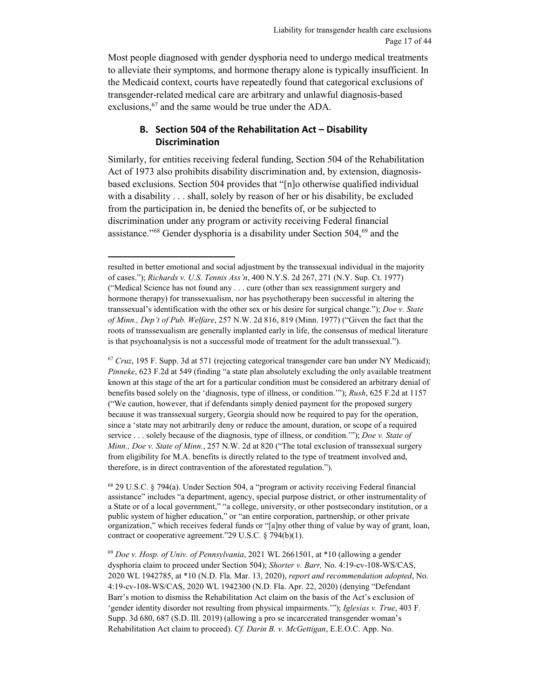Most people diagnosed with gender dysphoria need to undergo medical treatments to alleviate their symptoms, and hormone therapy alone is typically insufficient. In the Medicaid context, courts have repeatedly found that categorical exclusions of transgender-related medical care are arbitrary and unlawful diagnosis-based exclusions, <sup>[67](#page-16-1)</sup> and the same would be true under the ADA.

## **B. Section 504 of the Rehabilitation Act – Disability Discrimination**

<span id="page-16-0"></span>Similarly, for entities receiving federal funding, Section 504 of the Rehabilitation Act of 1973 also prohibits disability discrimination and, by extension, diagnosisbased exclusions. Section 504 provides that "[n]o otherwise qualified individual with a disability . . . shall, solely by reason of her or his disability, be excluded from the participation in, be denied the benefits of, or be subjected to discrimination under any program or activity receiving Federal financial assistance."<sup>68</sup> Gender dysphoria is a disability under Section 504,<sup>[69](#page-16-3)</sup> and the

<span id="page-16-1"></span><sup>67</sup> *Cruz*, 195 F. Supp. 3d at 571 (rejecting categorical transgender care ban under NY Medicaid); *Pinneke*, 623 F.2d at 549 (finding "a state plan absolutely excluding the only available treatment known at this stage of the art for a particular condition must be considered an arbitrary denial of benefits based solely on the 'diagnosis, type of illness, or condition.'"); *Rush*, 625 F.2d at 1157 ("We caution, however, that if defendants simply denied payment for the proposed surgery because it was transsexual surgery, Georgia should now be required to pay for the operation, since a 'state may not arbitrarily deny or reduce the amount, duration, or scope of a required service . . . solely because of the diagnosis, type of illness, or condition.'"); *Doe v. State of Minn., Doe v. State of Minn.*, 257 N.W. 2d at 820 ("The total exclusion of transsexual surgery from eligibility for M.A. benefits is directly related to the type of treatment involved and, therefore, is in direct contravention of the aforestated regulation.").

<span id="page-16-2"></span><sup>68</sup> 29 U.S.C. § 794(a). Under Section 504, a "program or activity receiving Federal financial assistance" includes "a department, agency, special purpose district, or other instrumentality of a State or of a local government," "a college, university, or other postsecondary institution, or a public system of higher education," or "an entire corporation, partnership, or other private organization," which receives federal funds or "[a]ny other thing of value by way of grant, loan, contract or cooperative agreement."29 U.S.C. § 794(b)(1).

<span id="page-16-3"></span><sup>69</sup> *Doe v. Hosp. of Univ. of Pennsylvania*, 2021 WL 2661501, at \*10 (allowing a gender dysphoria claim to proceed under Section 504); *Shorter v. Barr,* No. 4:19-cv-108-WS/CAS, 2020 WL 1942785, at \*10 (N.D. Fla. Mar. 13, 2020), *report and recommendation adopted*, No. 4:19-cv-108-WS/CAS, 2020 WL 1942300 (N.D. Fla. Apr. 22, 2020) (denying "Defendant Barr's motion to dismiss the Rehabilitation Act claim on the basis of the Act's exclusion of 'gender identity disorder not resulting from physical impairments.'"); *Iglesias v. True*, 403 F. Supp. 3d 680, 687 (S.D. Ill. 2019) (allowing a pro se incarcerated transgender woman's Rehabilitation Act claim to proceed). *Cf. Darin B. v. McGettigan*, E.E.O.C. App. No.

resulted in better emotional and social adjustment by the transsexual individual in the majority of cases."); *Richards v. U.S. Tennis Ass'n*, 400 N.Y.S. 2d 267, 271 (N.Y. Sup. Ct. 1977) ("Medical Science has not found any . . . cure (other than sex reassignment surgery and hormone therapy) for transsexualism, nor has psychotherapy been successful in altering the transsexual's identification with the other sex or his desire for surgical change."); *Doe v. State of Minn., Dep't of Pub. Welfare*, 257 N.W. 2d 816, 819 (Minn. 1977) ("Given the fact that the roots of transsexualism are generally implanted early in life, the consensus of medical literature is that psychoanalysis is not a successful mode of treatment for the adult transsexual.").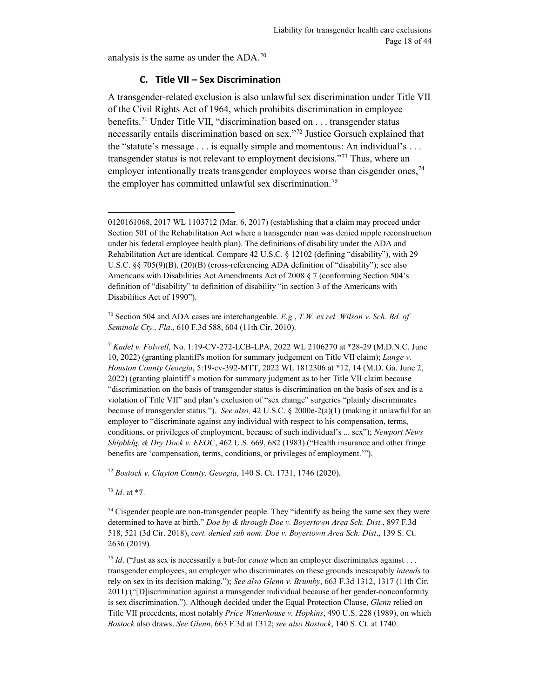analysis is the same as under the ADA.[70](#page-17-1)

#### **C. Title VII – Sex Discrimination**

<span id="page-17-0"></span>A transgender-related exclusion is also unlawful sex discrimination under Title VII of the Civil Rights Act of 1964, which prohibits discrimination in employee benefits.<sup>[71](#page-17-2)</sup> Under Title VII, "discrimination based on . . . transgender status necessarily entails discrimination based on sex."[72](#page-17-3) Justice Gorsuch explained that the "statute's message . . . is equally simple and momentous: An individual's . . . transgender status is not relevant to employment decisions."<sup>73</sup> Thus, where an employer intentionally treats transgender employees worse than cisgender ones,  $74$ the employer has committed unlawful sex discrimination.<sup>[75](#page-17-6)</sup>

<span id="page-17-1"></span><sup>70</sup> Section 504 and ADA cases are interchangeable. *E.g.*, *T.W. ex rel. Wilson v. Sch. Bd. of Seminole Cty., Fla*., 610 F.3d 588, 604 (11th Cir. 2010).

<span id="page-17-2"></span><sup>71</sup>*Kadel v. Folwell*, No. 1:19-CV-272-LCB-LPA, 2022 WL 2106270 at \*28-29 (M.D.N.C. June 10, 2022) (granting plantiff's motion for summary judgement on Title VII claim); *Lange v. Houston County Georgia*, 5:19-cv-392-MTT, 2022 WL 1812306 at \*12, 14 (M.D. Ga. June 2, 2022) (granting plaintiff's motion for summary judgment as to her Title VII claim because "discrimination on the basis of transgender status is discrimination on the basis of sex and is a violation of Title VII" and plan's exclusion of "sex change" surgeries "plainly discriminates because of transgender status."). *See also,* 42 U.S.C. § 2000e-2(a)(1) (making it unlawful for an employer to "discriminate against any individual with respect to his compensation, terms, conditions, or privileges of employment, because of such individual's ... sex"); *Newport News Shipbldg. & Dry Dock v. EEOC*, 462 U.S. 669, 682 (1983) ("Health insurance and other fringe benefits are 'compensation, terms, conditions, or privileges of employment.'").

<span id="page-17-3"></span><sup>72</sup> *Bostock v. Clayton County, Georgia*, 140 S. Ct. 1731, 1746 (2020).

<span id="page-17-4"></span><sup>73</sup> *Id*. at \*7.

 $\overline{a}$ 

<span id="page-17-5"></span> $74$  Cisgender people are non-transgender people. They "identify as being the same sex they were determined to have at birth." *Doe by & through Doe v. Boyertown Area Sch. Dist.*, 897 F.3d 518, 521 (3d Cir. 2018), *cert. denied sub nom. Doe v. Boyertown Area Sch. Dist*., 139 S. Ct. 2636 (2019).

<span id="page-17-6"></span><sup>75</sup> *Id*. ("Just as sex is necessarily a but-for *cause* when an employer discriminates against . . . transgender employees, an employer who discriminates on these grounds inescapably *intends* to rely on sex in its decision making."); *See also Glenn v. Brumby*, 663 F.3d 1312, 1317 (11th Cir. 2011) ("[D]iscrimination against a transgender individual because of her gender-nonconformity is sex discrimination."). Although decided under the Equal Protection Clause, *Glenn* relied on Title VII precedents, most notably *Price Waterhouse v. Hopkins*, 490 U.S. 228 (1989), on which *Bostock* also draws. *See Glenn*, 663 F.3d at 1312; *see also Bostock*, 140 S. Ct. at 1740.

<sup>0120161068, 2017</sup> WL 1103712 (Mar. 6, 2017) (establishing that a claim may proceed under Section 501 of the Rehabilitation Act where a transgender man was denied nipple reconstruction under his federal employee health plan). The definitions of disability under the ADA and Rehabilitation Act are identical. Compare 42 U.S.C. § 12102 (defining "disability"), with 29 U.S.C. §§ 705(9)(B), (20)(B) (cross-referencing ADA definition of "disability"); see also Americans with Disabilities Act Amendments Act of 2008 § 7 (conforming Section 504's definition of "disability" to definition of disability "in section 3 of the Americans with Disabilities Act of 1990").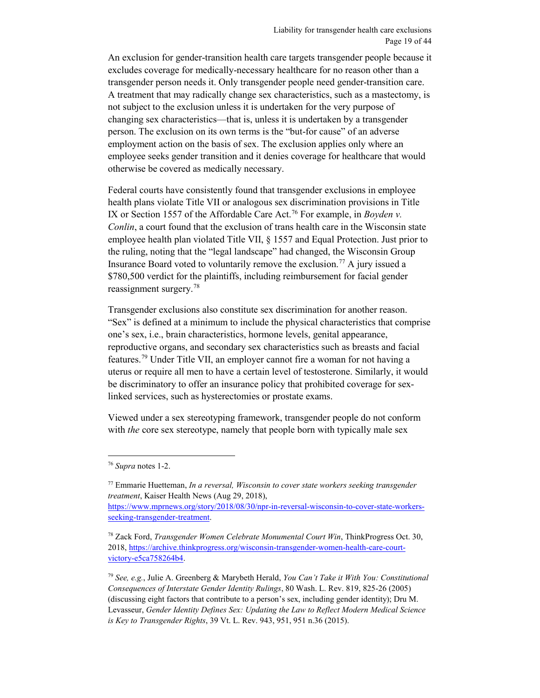An exclusion for gender-transition health care targets transgender people because it excludes coverage for medically-necessary healthcare for no reason other than a transgender person needs it. Only transgender people need gender-transition care. A treatment that may radically change sex characteristics, such as a mastectomy, is not subject to the exclusion unless it is undertaken for the very purpose of changing sex characteristics—that is, unless it is undertaken by a transgender person. The exclusion on its own terms is the "but-for cause" of an adverse employment action on the basis of sex. The exclusion applies only where an employee seeks gender transition and it denies coverage for healthcare that would otherwise be covered as medically necessary.

Federal courts have consistently found that transgender exclusions in employee health plans violate Title VII or analogous sex discrimination provisions in Title IX or Section 1557 of the Affordable Care Act.[76](#page-18-0) For example, in *Boyden v. Conlin*, a court found that the exclusion of trans health care in the Wisconsin state employee health plan violated Title VII, § 1557 and Equal Protection. Just prior to the ruling, noting that the "legal landscape" had changed, the Wisconsin Group Insurance Board voted to voluntarily remove the exclusion.<sup>77</sup> A jury issued a \$780,500 verdict for the plaintiffs, including reimbursement for facial gender reassignment surgery.[78](#page-18-2)

Transgender exclusions also constitute sex discrimination for another reason. "Sex" is defined at a minimum to include the physical characteristics that comprise one's sex, i.e., brain characteristics, hormone levels, genital appearance, reproductive organs, and secondary sex characteristics such as breasts and facial features. [79](#page-18-3) Under Title VII, an employer cannot fire a woman for not having a uterus or require all men to have a certain level of testosterone. Similarly, it would be discriminatory to offer an insurance policy that prohibited coverage for sexlinked services, such as hysterectomies or prostate exams.

Viewed under a sex stereotyping framework, transgender people do not conform with *the* core sex stereotype, namely that people born with typically male sex

<span id="page-18-0"></span> $\overline{a}$ <sup>76</sup> *Supra* note[s 1](#page-1-2)[-2.](#page-2-5)

<span id="page-18-1"></span><sup>77</sup> Emmarie Huetteman, *In a reversal, Wisconsin to cover state workers seeking transgender treatment*, Kaiser Health News (Aug 29, 2018),

[https://www.mprnews.org/story/2018/08/30/npr-in-reversal-wisconsin-to-cover-state-workers](https://www.mprnews.org/story/2018/08/30/npr-in-reversal-wisconsin-to-cover-state-workers-seeking-transgender-treatment)[seeking-transgender-treatment.](https://www.mprnews.org/story/2018/08/30/npr-in-reversal-wisconsin-to-cover-state-workers-seeking-transgender-treatment)

<span id="page-18-2"></span><sup>78</sup> Zack Ford, *Transgender Women Celebrate Monumental Court Win*, ThinkProgress Oct. 30, 2018, [https://archive.thinkprogress.org/wisconsin-transgender-women-health-care-court](https://archive.thinkprogress.org/wisconsin-transgender-women-health-care-court-victory-e5ca758264b4)[victory-e5ca758264b4.](https://archive.thinkprogress.org/wisconsin-transgender-women-health-care-court-victory-e5ca758264b4)

<span id="page-18-3"></span><sup>79</sup> *See, e.g.*, Julie A. Greenberg & Marybeth Herald, *You Can't Take it With You: Constitutional Consequences of Interstate Gender Identity Rulings*, 80 Wash. L. Rev. 819, 825-26 (2005) (discussing eight factors that contribute to a person's sex, including gender identity); Dru M. Levasseur, *Gender Identity Defines Sex: Updating the Law to Reflect Modern Medical Science is Key to Transgender Rights*, 39 Vt. L. Rev. 943, 951, 951 n.36 (2015).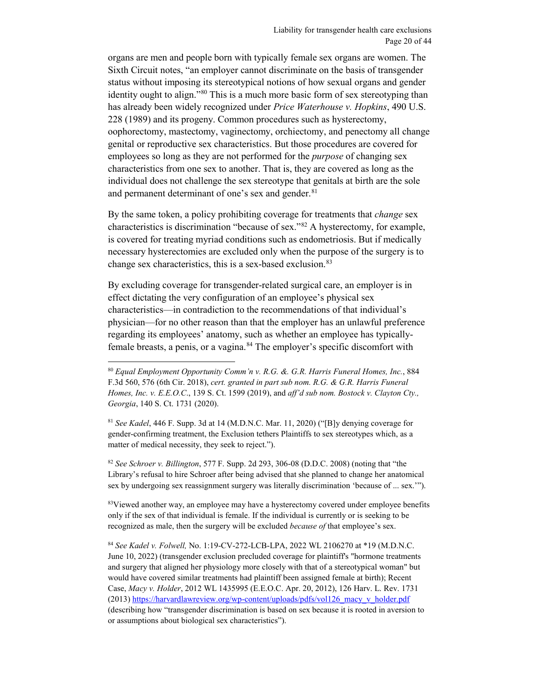organs are men and people born with typically female sex organs are women. The Sixth Circuit notes, "an employer cannot discriminate on the basis of transgender status without imposing its stereotypical notions of how sexual organs and gender identity ought to align."<sup>[80](#page-19-0)</sup> This is a much more basic form of sex stereotyping than has already been widely recognized under *Price Waterhouse v. Hopkins*, 490 U.S. 228 (1989) and its progeny. Common procedures such as hysterectomy, oophorectomy, mastectomy, vaginectomy, orchiectomy, and penectomy all change genital or reproductive sex characteristics. But those procedures are covered for employees so long as they are not performed for the *purpose* of changing sex characteristics from one sex to another. That is, they are covered as long as the individual does not challenge the sex stereotype that genitals at birth are the sole and permanent determinant of one's sex and gender.<sup>[81](#page-19-1)</sup>

By the same token, a policy prohibiting coverage for treatments that *change* sex characteristics is discrimination "because of sex."[82](#page-19-2) A hysterectomy, for example, is covered for treating myriad conditions such as endometriosis. But if medically necessary hysterectomies are excluded only when the purpose of the surgery is to change sex characteristics, this is a sex-based exclusion.<sup>[83](#page-19-3)</sup>

By excluding coverage for transgender-related surgical care, an employer is in effect dictating the very configuration of an employee's physical sex characteristics—in contradiction to the recommendations of that individual's physician—for no other reason than that the employer has an unlawful preference regarding its employees' anatomy, such as whether an employee has typicallyfemale breasts, a penis, or a vagina.<sup>84</sup> The employer's specific discomfort with

 $\overline{a}$ 

<span id="page-19-2"></span><sup>82</sup> *See Schroer v. Billington*, 577 F. Supp. 2d 293, 306-08 (D.D.C. 2008) (noting that "the Library's refusal to hire Schroer after being advised that she planned to change her anatomical sex by undergoing sex reassignment surgery was literally discrimination 'because of ... sex.'").

<span id="page-19-3"></span><sup>83</sup>Viewed another way, an employee may have a hysterectomy covered under employee benefits only if the sex of that individual is female. If the individual is currently or is seeking to be recognized as male, then the surgery will be excluded *because of* that employee's sex.

<span id="page-19-4"></span><sup>84</sup> *See Kadel v. Folwell,* No. 1:19-CV-272-LCB-LPA, 2022 WL 2106270 at \*19 (M.D.N.C. June 10, 2022) (transgender exclusion precluded coverage for plaintiff's "hormone treatments and surgery that aligned her physiology more closely with that of a stereotypical woman" but would have covered similar treatments had plaintiff been assigned female at birth); Recent Case, *Macy v. Holder*, 2012 WL 1435995 (E.E.O.C. Apr. 20, 2012), 126 Harv. L. Rev. 1731 (2013) [https://harvardlawreview.org/wp-content/uploads/pdfs/vol126\\_macy\\_v\\_holder.pdf](https://harvardlawreview.org/wp-content/uploads/pdfs/vol126_macy_v_holder.pdf) (describing how "transgender discrimination is based on sex because it is rooted in aversion to or assumptions about biological sex characteristics").

<span id="page-19-0"></span><sup>80</sup> *Equal Employment Opportunity Comm'n v. R.G. &. G.R. Harris Funeral Homes, Inc.*, 884 F.3d 560, 576 (6th Cir. 2018), *cert. granted in part sub nom. R.G. & G.R. Harris Funeral Homes, Inc. v. E.E.O.C*., 139 S. Ct. 1599 (2019), and *aff'd sub nom. Bostock v. Clayton Cty., Georgia*, 140 S. Ct. 1731 (2020).

<span id="page-19-1"></span><sup>81</sup> *See Kadel*, 446 F. Supp. 3d at 14 (M.D.N.C. Mar. 11, 2020) ("[B]y denying coverage for gender-confirming treatment, the Exclusion tethers Plaintiffs to sex stereotypes which, as a matter of medical necessity, they seek to reject.").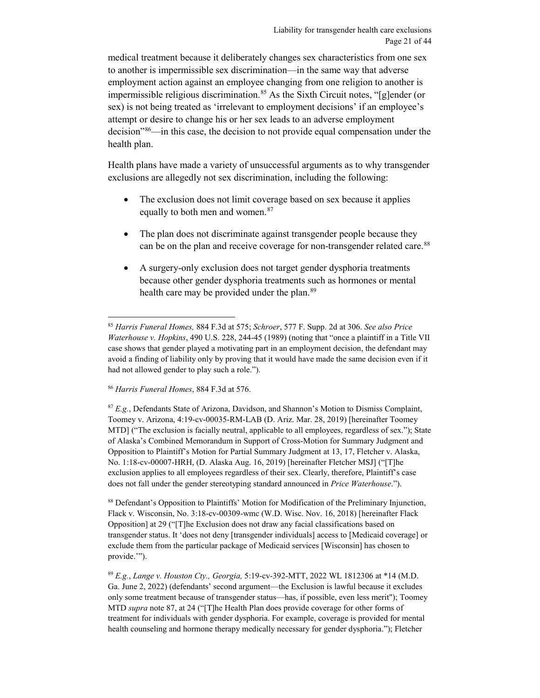medical treatment because it deliberately changes sex characteristics from one sex to another is impermissible sex discrimination—in the same way that adverse employment action against an employee changing from one religion to another is impermissible religious discrimination.<sup>[85](#page-20-1)</sup> As the Sixth Circuit notes, "[g]ender (or sex) is not being treated as 'irrelevant to employment decisions' if an employee's attempt or desire to change his or her sex leads to an adverse employment decision["86](#page-20-2)—in this case, the decision to not provide equal compensation under the health plan.

Health plans have made a variety of unsuccessful arguments as to why transgender exclusions are allegedly not sex discrimination, including the following:

- <span id="page-20-0"></span>• The exclusion does not limit coverage based on sex because it applies equally to both men and women.<sup>[87](#page-20-3)</sup>
- <span id="page-20-6"></span>• The plan does not discriminate against transgender people because they can be on the plan and receive coverage for non-transgender related care.<sup>[88](#page-20-4)</sup>
- A surgery-only exclusion does not target gender dysphoria treatments because other gender dysphoria treatments such as hormones or mental health care may be provided under the plan.<sup>[89](#page-20-5)</sup>

<span id="page-20-2"></span><sup>86</sup> *Harris Funeral Homes*, 884 F.3d at 576.

<span id="page-20-3"></span><sup>87</sup> *E.g.*, Defendants State of Arizona, Davidson, and Shannon's Motion to Dismiss Complaint, Toomey v. Arizona, 4:19-cv-00035-RM-LAB (D. Ariz. Mar. 28, 2019) [hereinafter Toomey MTD] ("The exclusion is facially neutral, applicable to all employees, regardless of sex."); State of Alaska's Combined Memorandum in Support of Cross-Motion for Summary Judgment and Opposition to Plaintiff's Motion for Partial Summary Judgment at 13, 17, Fletcher v. Alaska, No. 1:18-cv-00007-HRH, (D. Alaska Aug. 16, 2019) [hereinafter Fletcher MSJ] ("[T]he exclusion applies to all employees regardless of their sex. Clearly, therefore, Plaintiff's case does not fall under the gender stereotyping standard announced in *Price Waterhouse*.").

<span id="page-20-4"></span><sup>88</sup> Defendant's Opposition to Plaintiffs' Motion for Modification of the Preliminary Injunction, Flack v. Wisconsin, No. 3:18-cv-00309-wmc (W.D. Wisc. Nov. 16, 2018) [hereinafter Flack Opposition] at 29 ("[T]he Exclusion does not draw any facial classifications based on transgender status. It 'does not deny [transgender individuals] access to [Medicaid coverage] or exclude them from the particular package of Medicaid services [Wisconsin] has chosen to provide."").

<span id="page-20-5"></span><sup>89</sup> *E.g.*, *Lange v. Houston Cty., Georgia,* 5:19-cv-392-MTT, 2022 WL 1812306 at \*14 (M.D. Ga. June 2, 2022) (defendants' second argument—the Exclusion is lawful because it excludes only some treatment because of transgender status—has, if possible, even less merit"); Toomey MTD *supra* not[e 87,](#page-20-0) at 24 ("[T]he Health Plan does provide coverage for other forms of treatment for individuals with gender dysphoria. For example, coverage is provided for mental health counseling and hormone therapy medically necessary for gender dysphoria."); Fletcher

<span id="page-20-1"></span> <sup>85</sup> *Harris Funeral Homes,* 884 F.3d at 575; *Schroer*, 577 F. Supp. 2d at 306. *See also Price Waterhouse v. Hopkins*, 490 U.S. 228, 244-45 (1989) (noting that "once a plaintiff in a Title VII case shows that gender played a motivating part in an employment decision, the defendant may avoid a finding of liability only by proving that it would have made the same decision even if it had not allowed gender to play such a role.").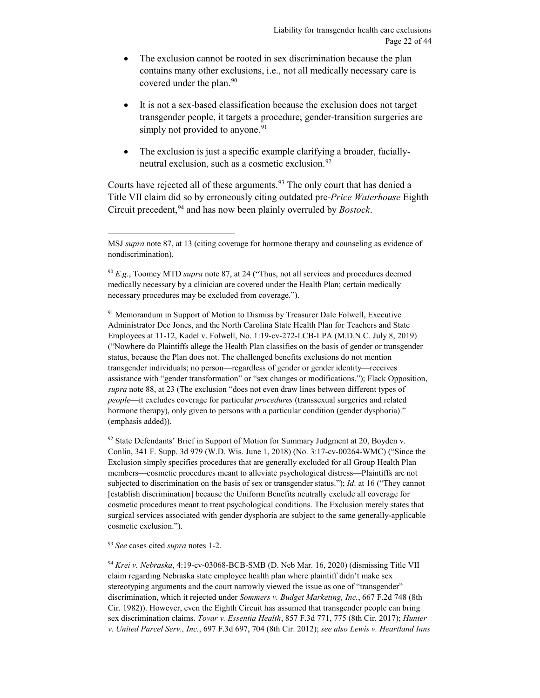- The exclusion cannot be rooted in sex discrimination because the plan contains many other exclusions, i.e., not all medically necessary care is covered under the plan.<sup>[90](#page-21-0)</sup>
- It is not a sex-based classification because the exclusion does not target transgender people, it targets a procedure; gender-transition surgeries are simply not provided to anyone.<sup>[91](#page-21-1)</sup>
- The exclusion is just a specific example clarifying a broader, facially-neutral exclusion, such as a cosmetic exclusion.<sup>[92](#page-21-2)</sup>

Courts have rejected all of these arguments.<sup>[93](#page-21-3)</sup> The only court that has denied a Title VII claim did so by erroneously citing outdated pre-*Price Waterhouse* Eighth Circuit precedent, [94](#page-21-4) and has now been plainly overruled by *Bostock*.

<span id="page-21-1"></span><sup>91</sup> Memorandum in Support of Motion to Dismiss by Treasurer Dale Folwell, Executive Administrator Dee Jones, and the North Carolina State Health Plan for Teachers and State Employees at 11-12, Kadel v. Folwell, No. 1:19-cv-272-LCB-LPA (M.D.N.C. July 8, 2019) ("Nowhere do Plaintiffs allege the Health Plan classifies on the basis of gender or transgender status, because the Plan does not. The challenged benefits exclusions do not mention transgender individuals; no person—regardless of gender or gender identity—receives assistance with "gender transformation" or "sex changes or modifications."); Flack Opposition, *supra* note [88,](#page-20-6) at 23 (The exclusion "does not even draw lines between different types of *people*—it excludes coverage for particular *procedures* (transsexual surgeries and related hormone therapy), only given to persons with a particular condition (gender dysphoria)." (emphasis added)).

<span id="page-21-2"></span><sup>92</sup> State Defendants' Brief in Support of Motion for Summary Judgment at 20, Boyden v. Conlin, 341 F. Supp. 3d 979 (W.D. Wis. June 1, 2018) (No. 3:17-cv-00264-WMC) ("Since the Exclusion simply specifies procedures that are generally excluded for all Group Health Plan members—cosmetic procedures meant to alleviate psychological distress—Plaintiffs are not subjected to discrimination on the basis of sex or transgender status."); *Id*. at 16 ("They cannot [establish discrimination] because the Uniform Benefits neutrally exclude all coverage for cosmetic procedures meant to treat psychological conditions. The Exclusion merely states that surgical services associated with gender dysphoria are subject to the same generally-applicable cosmetic exclusion.").

<span id="page-21-3"></span><sup>93</sup> *See* cases cited *supra* notes [1](#page-1-2)[-2.](#page-2-5)

<span id="page-21-4"></span><sup>94</sup> *Krei v. Nebraska*, 4:19-cv-03068-BCB-SMB (D. Neb Mar. 16, 2020) (dismissing Title VII claim regarding Nebraska state employee health plan where plaintiff didn't make sex stereotyping arguments and the court narrowly viewed the issue as one of "transgender" discrimination, which it rejected under *Sommers v. Budget Marketing, Inc.*, 667 F.2d 748 (8th Cir. 1982)). However, even the Eighth Circuit has assumed that transgender people can bring sex discrimination claims. *Tovar v. Essentia Health*, 857 F.3d 771, 775 (8th Cir. 2017); *Hunter v. United Parcel Serv., Inc.*, 697 F.3d 697, 704 (8th Cir. 2012); *see also Lewis v. Heartland Inns* 

MSJ *supra* note [87,](#page-20-0) at 13 (citing coverage for hormone therapy and counseling as evidence of nondiscrimination).

<span id="page-21-0"></span><sup>90</sup> *E.g.*, Toomey MTD *supra* note [87,](#page-20-0) at 24 ("Thus, not all services and procedures deemed medically necessary by a clinician are covered under the Health Plan; certain medically necessary procedures may be excluded from coverage.").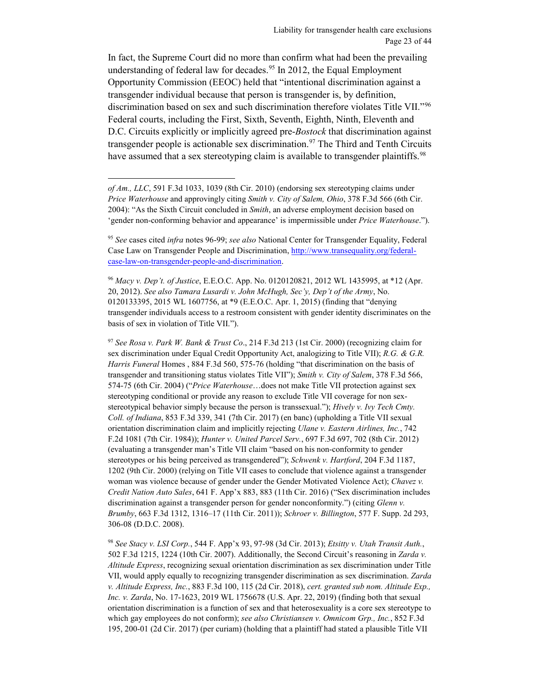<span id="page-22-0"></span>In fact, the Supreme Court did no more than confirm what had been the prevailing understanding of federal law for decades.<sup>95</sup> In 2012, the Equal Employment Opportunity Commission (EEOC) held that "intentional discrimination against a transgender individual because that person is transgender is, by definition, discrimination based on sex and such discrimination therefore violates Title VII."[96](#page-22-2) Federal courts, including the First, Sixth, Seventh, Eighth, Ninth, Eleventh and D.C. Circuits explicitly or implicitly agreed pre-*Bostock* that discrimination against transgender people is actionable sex discrimination.<sup>[97](#page-22-3)</sup> The Third and Tenth Circuits have assumed that a sex stereotyping claim is available to transgender plaintiffs.<sup>[98](#page-22-4)</sup>

 $\overline{a}$ 

<span id="page-22-3"></span><sup>97</sup> *See Rosa v. Park W. Bank & Trust Co*., 214 F.3d 213 (1st Cir. 2000) (recognizing claim for sex discrimination under Equal Credit Opportunity Act, analogizing to Title VII); *R.G. & G.R. Harris Funeral* Homes , 884 F.3d 560, 575-76 (holding "that discrimination on the basis of transgender and transitioning status violates Title VII"); *Smith v. City of Salem*, 378 F.3d 566, 574-75 (6th Cir. 2004) ("*Price Waterhouse*…does not make Title VII protection against sex stereotyping conditional or provide any reason to exclude Title VII coverage for non sexstereotypical behavior simply because the person is transsexual."); *Hively v. Ivy Tech Cmty. Coll. of Indiana*, 853 F.3d 339, 341 (7th Cir. 2017) (en banc) (upholding a Title VII sexual orientation discrimination claim and implicitly rejecting *Ulane v. Eastern Airlines, Inc.*, 742 F.2d 1081 (7th Cir. 1984)); *Hunter v. United Parcel Serv.*, 697 F.3d 697, 702 (8th Cir. 2012) (evaluating a transgender man's Title VII claim "based on his non-conformity to gender stereotypes or his being perceived as transgendered"); *Schwenk v. Hartford*, 204 F.3d 1187, 1202 (9th Cir. 2000) (relying on Title VII cases to conclude that violence against a transgender woman was violence because of gender under the Gender Motivated Violence Act); *Chavez v. Credit Nation Auto Sales*, 641 F. App'x 883, 883 (11th Cir. 2016) ("Sex discrimination includes discrimination against a transgender person for gender nonconformity.") (citing *Glenn v. Brumby*, 663 F.3d 1312, 1316–17 (11th Cir. 2011)); *Schroer v. Billington*, 577 F. Supp. 2d 293, 306-08 (D.D.C. 2008).

<span id="page-22-4"></span><sup>98</sup> *See Stacy v. LSI Corp.*, 544 F. App'x 93, 97-98 (3d Cir. 2013); *Etsitty v. Utah Transit Auth.*, 502 F.3d 1215, 1224 (10th Cir. 2007). Additionally, the Second Circuit's reasoning in *Zarda v. Altitude Express*, recognizing sexual orientation discrimination as sex discrimination under Title VII, would apply equally to recognizing transgender discrimination as sex discrimination. *Zarda v. Altitude Express, Inc.*, 883 F.3d 100, 115 (2d Cir. 2018), *cert. granted sub nom. Altitude Exp., Inc. v. Zarda*, No. 17-1623, 2019 WL 1756678 (U.S. Apr. 22, 2019) (finding both that sexual orientation discrimination is a function of sex and that heterosexuality is a core sex stereotype to which gay employees do not conform); *see also Christiansen v. Omnicom Grp., Inc.*, 852 F.3d 195, 200-01 (2d Cir. 2017) (per curiam) (holding that a plaintiff had stated a plausible Title VII

*of Am., LLC*, 591 F.3d 1033, 1039 (8th Cir. 2010) (endorsing sex stereotyping claims under *Price Waterhouse* and approvingly citing *Smith v. City of Salem, Ohio*, 378 F.3d 566 (6th Cir. 2004): "As the Sixth Circuit concluded in *Smith*, an adverse employment decision based on 'gender non-conforming behavior and appearance' is impermissible under *Price Waterhouse*.").

<span id="page-22-1"></span><sup>95</sup> *See* cases cited *infra* notes [96](#page-22-0)[-99;](#page-23-0) *see also* National Center for Transgender Equality, Federal Case Law on Transgender People and Discrimination, [http://www.transequality.org/federal](http://www.transequality.org/federal-case-law-on-transgender-people-and-discrimination)[case-law-on-transgender-people-and-discrimination.](http://www.transequality.org/federal-case-law-on-transgender-people-and-discrimination)

<span id="page-22-2"></span><sup>96</sup> *Macy v. Dep't. of Justice*, E.E.O.C. App. No. 0120120821, 2012 WL 1435995, at \*12 (Apr. 20, 2012). *See also Tamara Lusardi v. John McHugh, Sec'y, Dep't of the Army*, No. 0120133395, 2015 WL 1607756, at \*9 (E.E.O.C. Apr. 1, 2015) (finding that "denying transgender individuals access to a restroom consistent with gender identity discriminates on the basis of sex in violation of Title VII.").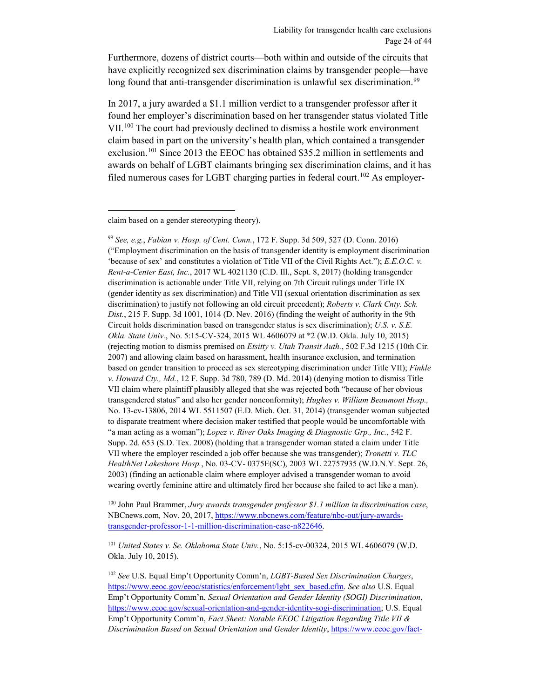Furthermore, dozens of district courts—both within and outside of the circuits that have explicitly recognized sex discrimination claims by transgender people—have long found that anti-transgender discrimination is unlawful sex discrimination.<sup>[99](#page-23-1)</sup>

<span id="page-23-0"></span>In 2017, a jury awarded a \$1.1 million verdict to a transgender professor after it found her employer's discrimination based on her transgender status violated Title VII.[100](#page-23-2) The court had previously declined to dismiss a hostile work environment claim based in part on the university's health plan, which contained a transgender exclusion.<sup>[101](#page-23-3)</sup> Since 2013 the EEOC has obtained \$35.2 million in settlements and awards on behalf of LGBT claimants bringing sex discrimination claims, and it has filed numerous cases for LGBT charging parties in federal court.<sup>[102](#page-23-4)</sup> As employer-

 $\overline{a}$ 

<span id="page-23-1"></span><sup>99</sup> *See, e.g.*, *Fabian v. Hosp. of Cent. Conn.*, 172 F. Supp. 3d 509, 527 (D. Conn. 2016) ("Employment discrimination on the basis of transgender identity is employment discrimination 'because of sex' and constitutes a violation of Title VII of the Civil Rights Act."); *E.E.O.C. v. Rent-a-Center East, Inc.*, 2017 WL 4021130 (C.D. Ill., Sept. 8, 2017) (holding transgender discrimination is actionable under Title VII, relying on 7th Circuit rulings under Title IX (gender identity as sex discrimination) and Title VII (sexual orientation discrimination as sex discrimination) to justify not following an old circuit precedent); *Roberts v. Clark Cnty. Sch. Dist.*, 215 F. Supp. 3d 1001, 1014 (D. Nev. 2016) (finding the weight of authority in the 9th Circuit holds discrimination based on transgender status is sex discrimination); *U.S. v. S.E. Okla. State Univ.*, No. 5:15-CV-324, 2015 WL 4606079 at \*2 (W.D. Okla. July 10, 2015) (rejecting motion to dismiss premised on *Etsitty v. Utah Transit Auth.*, 502 F.3d 1215 (10th Cir. 2007) and allowing claim based on harassment, health insurance exclusion, and termination based on gender transition to proceed as sex stereotyping discrimination under Title VII); *Finkle v. Howard Cty., Md.*, 12 F. Supp. 3d 780, 789 (D. Md. 2014) (denying motion to dismiss Title VII claim where plaintiff plausibly alleged that she was rejected both "because of her obvious transgendered status" and also her gender nonconformity); *Hughes v. William Beaumont Hosp.,*  No. 13-cv-13806, 2014 WL 5511507 (E.D. Mich. Oct. 31, 2014) (transgender woman subjected to disparate treatment where decision maker testified that people would be uncomfortable with "a man acting as a woman"); *Lopez v. River Oaks Imaging & Diagnostic Grp., Inc.*, 542 F. Supp. 2d. 653 (S.D. Tex. 2008) (holding that a transgender woman stated a claim under Title VII where the employer rescinded a job offer because she was transgender); *Tronetti v. TLC HealthNet Lakeshore Hosp.*, No. 03-CV- 0375E(SC), 2003 WL 22757935 (W.D.N.Y. Sept. 26, 2003) (finding an actionable claim where employer advised a transgender woman to avoid wearing overtly feminine attire and ultimately fired her because she failed to act like a man).

<span id="page-23-2"></span><sup>100</sup> John Paul Brammer, *Jury awards transgender professor \$1.1 million in discrimination case*, NBCnews.com*,* Nov. 20, 2017, [https://www.nbcnews.com/feature/nbc-out/jury-awards](https://www.nbcnews.com/feature/nbc-out/jury-awards-transgender-professor-1-1-million-discrimination-case-n822646)[transgender-professor-1-1-million-discrimination-case-n822646.](https://www.nbcnews.com/feature/nbc-out/jury-awards-transgender-professor-1-1-million-discrimination-case-n822646) 

<span id="page-23-3"></span><sup>101</sup> *United States v. Se. Oklahoma State Univ.*, No. 5:15-cv-00324, 2015 WL 4606079 (W.D. Okla. July 10, 2015).

<span id="page-23-4"></span><sup>102</sup> *See* U.S. Equal Emp't Opportunity Comm'n, *LGBT-Based Sex Discrimination Charges*, [https://www.eeoc.gov/eeoc/statistics/enforcement/lgbt\\_sex\\_based.cfm.](https://www.eeoc.gov/eeoc/statistics/enforcement/lgbt_sex_based.cfm) *See also* U.S. Equal Emp't Opportunity Comm'n, *Sexual Orientation and Gender Identity (SOGI) Discrimination*, [https://www.eeoc.gov/sexual-orientation-and-gender-identity-sogi-discrimination;](https://www.eeoc.gov/sexual-orientation-and-gender-identity-sogi-discrimination) U.S. Equal Emp't Opportunity Comm'n, *Fact Sheet: Notable EEOC Litigation Regarding Title VII & Discrimination Based on Sexual Orientation and Gender Identity*[, https://www.eeoc.gov/fact-](https://www.eeoc.gov/fact-sheet-notable-eeoc-litigation-regarding-title-vii-discrimination-based-sexual-orientation-and)

claim based on a gender stereotyping theory).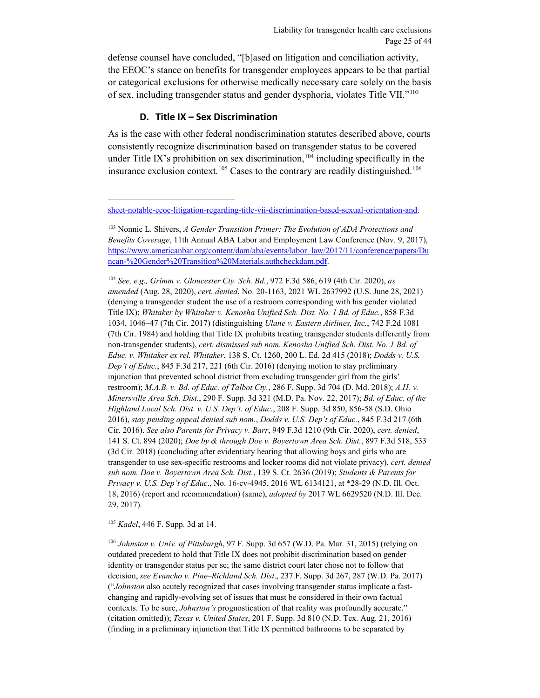defense counsel have concluded, "[b]ased on litigation and conciliation activity, the EEOC's stance on benefits for transgender employees appears to be that partial or categorical exclusions for otherwise medically necessary care solely on the basis of sex, including transgender status and gender dysphoria, violates Title VII."[103](#page-24-1)

#### **D. Title IX – Sex Discrimination**

 $\overline{a}$ 

<span id="page-24-0"></span>As is the case with other federal nondiscrimination statutes described above, courts consistently recognize discrimination based on transgender status to be covered under Title IX's prohibition on sex discrimination,  $104$  including specifically in the insurance exclusion context.<sup>[105](#page-24-3)</sup> Cases to the contrary are readily distinguished.<sup>[106](#page-24-4)</sup>

<span id="page-24-2"></span><sup>104</sup> *See, e.g., Grimm v. Gloucester Cty. Sch. Bd.*, 972 F.3d 586, 619 (4th Cir. 2020), *as amended* (Aug. 28, 2020), *cert. denied*, No. 20-1163, 2021 WL 2637992 (U.S. June 28, 2021) (denying a transgender student the use of a restroom corresponding with his gender violated Title IX); *Whitaker by Whitaker v. Kenosha Unified Sch. Dist. No. 1 Bd. of Educ.*, 858 F.3d 1034, 1046–47 (7th Cir. 2017) (distinguishing *Ulane v. Eastern Airlines, Inc.*, 742 F.2d 1081 (7th Cir. 1984) and holding that Title IX prohibits treating transgender students differently from non-transgender students), *cert. dismissed sub nom. Kenosha Unified Sch. Dist. No. 1 Bd. of Educ. v. Whitaker ex rel. Whitaker*, 138 S. Ct. 1260, 200 L. Ed. 2d 415 (2018); *Dodds v. U.S. Dep't of Educ.*, 845 F.3d 217, 221 (6th Cir. 2016) (denying motion to stay preliminary injunction that prevented school district from excluding transgender girl from the girls' restroom); *M.A.B. v. Bd. of Educ. of Talbot Cty.*, 286 F. Supp. 3d 704 (D. Md. 2018); *A.H. v. Minersville Area Sch. Dist.*, 290 F. Supp. 3d 321 (M.D. Pa. Nov. 22, 2017); *Bd. of Educ. of the Highland Local Sch. Dist. v. U.S. Dep't. of Educ.*, 208 F. Supp. 3d 850, 856-58 (S.D. Ohio 2016), *stay pending appeal denied sub nom.*, *Dodds v. U.S. Dep't of Educ.*, 845 F.3d 217 (6th Cir. 2016). *See also Parents for Privacy v. Barr*, 949 F.3d 1210 (9th Cir. 2020), *cert. denied*, 141 S. Ct. 894 (2020); *Doe by & through Doe v. Boyertown Area Sch. Dist.*, 897 F.3d 518, 533 (3d Cir. 2018) (concluding after evidentiary hearing that allowing boys and girls who are transgender to use sex-specific restrooms and locker rooms did not violate privacy), *cert. denied sub nom. Doe v. Boyertown Area Sch. Dist.*, 139 S. Ct. 2636 (2019); *Students & Parents for Privacy v. U.S. Dep't of Educ*., No. 16-cv-4945, 2016 WL 6134121, at \*28-29 (N.D. Ill. Oct. 18, 2016) (report and recommendation) (same), *adopted by* 2017 WL 6629520 (N.D. Ill. Dec. 29, 2017).

<span id="page-24-3"></span><sup>105</sup> *Kadel*, 446 F. Supp. 3d at 14.

<span id="page-24-4"></span><sup>106</sup> *Johnston v. Univ. of Pittsburgh*, 97 F. Supp. 3d 657 (W.D. Pa. Mar. 31, 2015) (relying on outdated precedent to hold that Title IX does not prohibit discrimination based on gender identity or transgender status per se; the same district court later chose not to follow that decision, *see Evancho v. Pine–Richland Sch. Dist*., 237 F. Supp. 3d 267, 287 (W.D. Pa. 2017) ("*Johnston* also acutely recognized that cases involving transgender status implicate a fastchanging and rapidly-evolving set of issues that must be considered in their own factual contexts. To be sure, *Johnston's* prognostication of that reality was profoundly accurate." (citation omitted)); *Texas v. United States*, 201 F. Supp. 3d 810 (N.D. Tex. Aug. 21, 2016) (finding in a preliminary injunction that Title IX permitted bathrooms to be separated by

[sheet-notable-eeoc-litigation-regarding-title-vii-discrimination-based-sexual-orientation-and.](https://www.eeoc.gov/fact-sheet-notable-eeoc-litigation-regarding-title-vii-discrimination-based-sexual-orientation-and)

<span id="page-24-1"></span><sup>103</sup> Nonnie L. Shivers, *A Gender Transition Primer: The Evolution of ADA Protections and Benefits Coverage*, 11th Annual ABA Labor and Employment Law Conference (Nov. 9, 2017), [https://www.americanbar.org/content/dam/aba/events/labor\\_law/2017/11/conference/papers/Du](https://www.americanbar.org/content/dam/aba/events/labor_law/2017/11/conference/papers/Duncan-%20Gender%20Transition%20Materials.authcheckdam.pdf) [ncan-%20Gender%20Transition%20Materials.authcheckdam.pdf.](https://www.americanbar.org/content/dam/aba/events/labor_law/2017/11/conference/papers/Duncan-%20Gender%20Transition%20Materials.authcheckdam.pdf)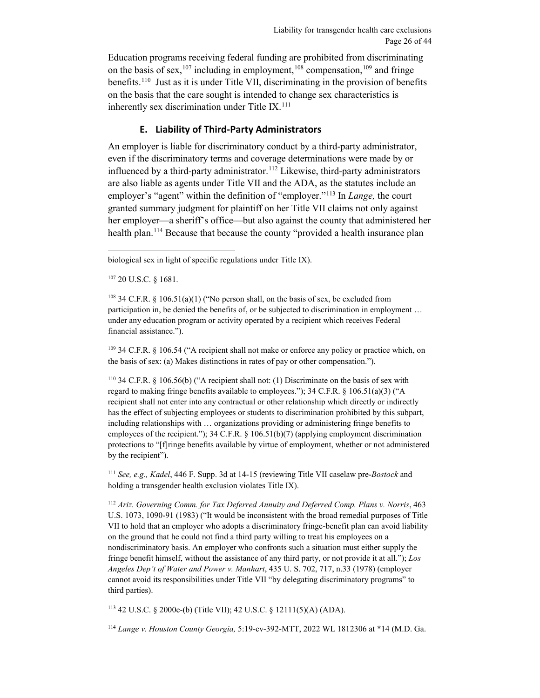Education programs receiving federal funding are prohibited from discriminating on the basis of sex,<sup>[107](#page-25-1)</sup> including in employment,<sup>[108](#page-25-2)</sup> compensation,<sup>109</sup> and fringe benefits.<sup>110</sup> Just as it is under Title VII, discriminating in the provision of benefits on the basis that the care sought is intended to change sex characteristics is inherently sex discrimination under Title IX.<sup>[111](#page-25-5)</sup>

#### **E. Liability of Third-Party Administrators**

<span id="page-25-0"></span>An employer is liable for discriminatory conduct by a third-party administrator, even if the discriminatory terms and coverage determinations were made by or influenced by a third-party administrator. [112](#page-25-6) Likewise, third-party administrators are also liable as agents under Title VII and the ADA, as the statutes include an employer's "agent" within the definition of "employer."[113](#page-25-7) In *Lange,* the court granted summary judgment for plaintiff on her Title VII claims not only against her employer—a sheriff's office—but also against the county that administered her health plan.<sup>[114](#page-25-8)</sup> Because that because the county "provided a health insurance plan

<span id="page-25-1"></span><sup>107</sup> 20 U.S.C. § 1681.

<span id="page-25-2"></span><sup>108</sup> 34 C.F.R. § 106.51(a)(1) ("No person shall, on the basis of sex, be excluded from participation in, be denied the benefits of, or be subjected to discrimination in employment … under any education program or activity operated by a recipient which receives Federal financial assistance.").

<span id="page-25-3"></span><sup>109</sup> 34 C.F.R. § 106.54 ("A recipient shall not make or enforce any policy or practice which, on the basis of sex: (a) Makes distinctions in rates of pay or other compensation.").

<span id="page-25-4"></span><sup>110</sup> 34 C.F.R. § 106.56(b) ("A recipient shall not: (1) Discriminate on the basis of sex with regard to making fringe benefits available to employees."); 34 C.F.R. § 106.51(a)(3) ("A recipient shall not enter into any contractual or other relationship which directly or indirectly has the effect of subjecting employees or students to discrimination prohibited by this subpart, including relationships with … organizations providing or administering fringe benefits to employees of the recipient."); 34 C.F.R. § 106.51(b)(7) (applying employment discrimination protections to "[f]ringe benefits available by virtue of employment, whether or not administered by the recipient").

<span id="page-25-5"></span><sup>111</sup> *See, e.g., Kadel*, 446 F. Supp. 3d at 14-15 (reviewing Title VII caselaw pre-*Bostock* and holding a transgender health exclusion violates Title IX).

<span id="page-25-6"></span><sup>112</sup> *Ariz. Governing Comm. for Tax Deferred Annuity and Deferred Comp. Plans v. Norris*, 463 U.S. 1073, 1090-91 (1983) ("It would be inconsistent with the broad remedial purposes of Title VII to hold that an employer who adopts a discriminatory fringe-benefit plan can avoid liability on the ground that he could not find a third party willing to treat his employees on a nondiscriminatory basis. An employer who confronts such a situation must either supply the fringe benefit himself, without the assistance of any third party, or not provide it at all."); *Los Angeles Dep't of Water and Power v. Manhart*, 435 U. S. 702, 717, n.33 (1978) (employer cannot avoid its responsibilities under Title VII "by delegating discriminatory programs" to third parties).

<span id="page-25-7"></span><sup>113</sup> 42 U.S.C. § 2000e-(b) (Title VII); 42 U.S.C. § 12111(5)(A) (ADA).

<span id="page-25-8"></span><sup>114</sup> *Lange v. Houston County Georgia,* 5:19-cv-392-MTT, 2022 WL 1812306 at \*14 (M.D. Ga.

biological sex in light of specific regulations under Title IX).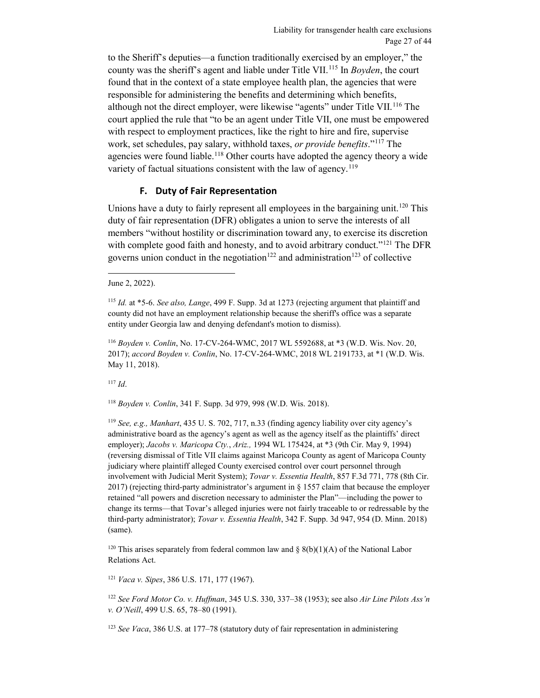to the Sheriff's deputies—a function traditionally exercised by an employer," the county was the sheriff's agent and liable under Title VII.[115](#page-26-1) In *Boyden*, the court found that in the context of a state employee health plan, the agencies that were responsible for administering the benefits and determining which benefits, although not the direct employer, were likewise "agents" under Title VII.<sup>[116](#page-26-2)</sup> The court applied the rule that "to be an agent under Title VII, one must be empowered with respect to employment practices, like the right to hire and fire, supervise work, set schedules, pay salary, withhold taxes, *or provide benefits*."[117](#page-26-3) The agencies were found liable.<sup>[118](#page-26-4)</sup> Other courts have adopted the agency theory a wide variety of factual situations consistent with the law of agency.<sup>[119](#page-26-5)</sup>

### **F. Duty of Fair Representation**

<span id="page-26-0"></span>Unions have a duty to fairly represent all employees in the bargaining unit.<sup>[120](#page-26-6)</sup> This duty of fair representation (DFR) obligates a union to serve the interests of all members "without hostility or discrimination toward any, to exercise its discretion with complete good faith and honesty, and to avoid arbitrary conduct."<sup>[121](#page-26-7)</sup> The DFR governs union conduct in the negotiation<sup>[122](#page-26-8)</sup> and administration<sup>[123](#page-26-9)</sup> of collective

<span id="page-26-3"></span><sup>117</sup> *Id*.

<span id="page-26-4"></span><sup>118</sup> *Boyden v. Conlin*, 341 F. Supp. 3d 979, 998 (W.D. Wis. 2018).

<span id="page-26-5"></span><sup>119</sup> *See, e.g., Manhart*, 435 U. S. 702, 717, n.33 (finding agency liability over city agency's administrative board as the agency's agent as well as the agency itself as the plaintiffs' direct employer); *Jacobs v. Maricopa Cty.*, *Ariz.,* 1994 WL 175424, at \*3 (9th Cir. May 9, 1994) (reversing dismissal of Title VII claims against Maricopa County as agent of Maricopa County judiciary where plaintiff alleged County exercised control over court personnel through involvement with Judicial Merit System); *Tovar v. Essentia Health*, 857 F.3d 771, 778 (8th Cir. 2017) (rejecting third-party administrator's argument in § 1557 claim that because the employer retained "all powers and discretion necessary to administer the Plan"—including the power to change its terms—that Tovar's alleged injuries were not fairly traceable to or redressable by the third-party administrator); *Tovar v. Essentia Health*, 342 F. Supp. 3d 947, 954 (D. Minn. 2018) (same).

<span id="page-26-6"></span><sup>120</sup> This arises separately from federal common law and  $\S 8(b)(1)(A)$  of the National Labor Relations Act.

<span id="page-26-7"></span><sup>121</sup> *Vaca v. Sipes*, 386 U.S. 171, 177 (1967).

<span id="page-26-8"></span><sup>122</sup> *See Ford Motor Co. v. Huffman*, 345 U.S. 330, 337–38 (1953); see also *Air Line Pilots Ass'n v. O'Neill*, 499 U.S. 65, 78–80 (1991).

<span id="page-26-9"></span><sup>123</sup> *See Vaca*, 386 U.S. at 177–78 (statutory duty of fair representation in administering

June 2, 2022).

<span id="page-26-1"></span><sup>115</sup> *Id.* at \*5-6. *See also, Lange*, 499 F. Supp. 3d at 1273 (rejecting argument that plaintiff and county did not have an employment relationship because the sheriff's office was a separate entity under Georgia law and denying defendant's motion to dismiss).

<span id="page-26-2"></span><sup>116</sup> *Boyden v. Conlin*, No. 17-CV-264-WMC, 2017 WL 5592688, at \*3 (W.D. Wis. Nov. 20, 2017); *accord Boyden v. Conlin*, No. 17-CV-264-WMC, 2018 WL 2191733, at \*1 (W.D. Wis. May 11, 2018).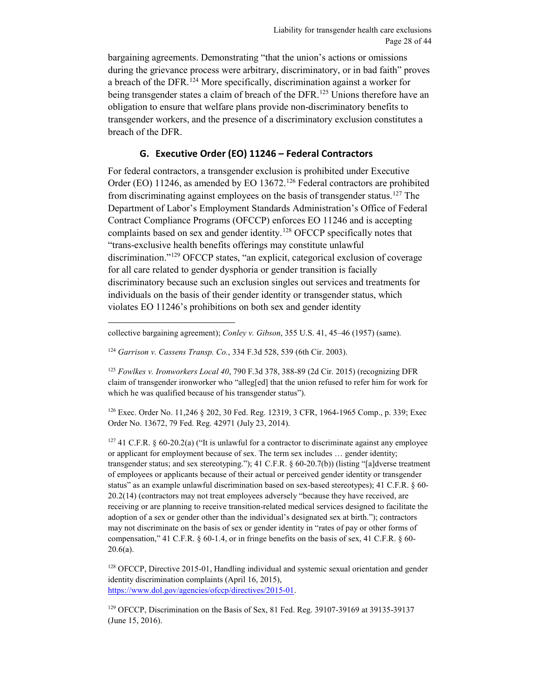bargaining agreements. Demonstrating "that the union's actions or omissions during the grievance process were arbitrary, discriminatory, or in bad faith" proves a breach of the DFR.<sup>[124](#page-27-1)</sup> More specifically, discrimination against a worker for being transgender states a claim of breach of the DFR.<sup>125</sup> Unions therefore have an obligation to ensure that welfare plans provide non-discriminatory benefits to transgender workers, and the presence of a discriminatory exclusion constitutes a breach of the DFR.

### **G. Executive Order (EO) 11246 – Federal Contractors**

<span id="page-27-0"></span>For federal contractors, a transgender exclusion is prohibited under Executive Order (EO) 11246, as amended by EO 13672.<sup>[126](#page-27-3)</sup> Federal contractors are prohibited from discriminating against employees on the basis of transgender status.<sup>127</sup> The Department of Labor's Employment Standards Administration's Office of Federal Contract Compliance Programs (OFCCP) enforces EO 11246 and is accepting complaints based on sex and gender identity.<sup>[128](#page-27-5)</sup> OFCCP specifically notes that "trans-exclusive health benefits offerings may constitute unlawful discrimination."<sup>[129](#page-27-6)</sup> OFCCP states, "an explicit, categorical exclusion of coverage for all care related to gender dysphoria or gender transition is facially discriminatory because such an exclusion singles out services and treatments for individuals on the basis of their gender identity or transgender status, which violates EO 11246's prohibitions on both sex and gender identity

 $\overline{a}$ 

<span id="page-27-2"></span><sup>125</sup> *Fowlkes v. Ironworkers Local 40*, 790 F.3d 378, 388-89 (2d Cir. 2015) (recognizing DFR claim of transgender ironworker who "alleg[ed] that the union refused to refer him for work for which he was qualified because of his transgender status").

<span id="page-27-3"></span><sup>126</sup> Exec. Order No. 11,246 § 202, 30 Fed. Reg. 12319, 3 CFR, 1964-1965 Comp., p. 339; Exec Order No. 13672, 79 Fed. Reg. 42971 (July 23, 2014).

<span id="page-27-4"></span> $127$  41 C.F.R. § 60-20.2(a) ("It is unlawful for a contractor to discriminate against any employee or applicant for employment because of sex. The term sex includes … gender identity; transgender status; and sex stereotyping."); 41 C.F.R. § 60-20.7(b)) (listing "[a]dverse treatment of employees or applicants because of their actual or perceived gender identity or transgender status" as an example unlawful discrimination based on sex-based stereotypes); 41 C.F.R. § 60- 20.2(14) (contractors may not treat employees adversely "because they have received, are receiving or are planning to receive transition-related medical services designed to facilitate the adoption of a sex or gender other than the individual's designated sex at birth."); contractors may not discriminate on the basis of sex or gender identity in "rates of pay or other forms of compensation," 41 C.F.R. § 60-1.4, or in fringe benefits on the basis of sex, 41 C.F.R. § 60-  $20.6(a)$ .

<span id="page-27-5"></span><sup>128</sup> OFCCP, Directive 2015-01, Handling individual and systemic sexual orientation and gender identity discrimination complaints (April 16, 2015), [https://www.dol.gov/agencies/ofccp/directives/2015-01.](https://www.dol.gov/agencies/ofccp/directives/2015-01) 

<span id="page-27-6"></span><sup>129</sup> OFCCP, Discrimination on the Basis of Sex, 81 Fed. Reg. 39107-39169 at 39135-39137 (June 15, 2016).

collective bargaining agreement); *Conley v. Gibson*, 355 U.S. 41, 45–46 (1957) (same).

<span id="page-27-1"></span><sup>124</sup> *Garrison v. Cassens Transp. Co.*, 334 F.3d 528, 539 (6th Cir. 2003).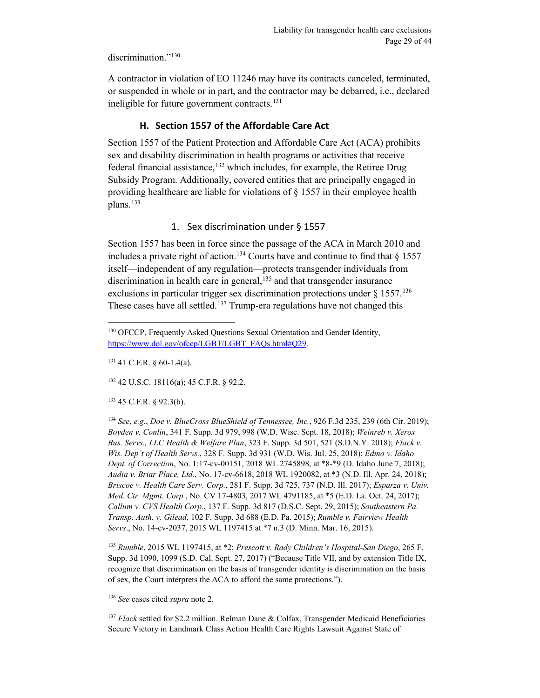discrimination."<sup>[130](#page-28-1)</sup>

A contractor in violation of EO 11246 may have its contracts canceled, terminated, or suspended in whole or in part, and the contractor may be debarred, i.e., declared ineligible for future government contracts. [131](#page-28-2) 

## **H. Section 1557 of the Affordable Care Act**

<span id="page-28-0"></span>Section 1557 of the Patient Protection and Affordable Care Act (ACA) prohibits sex and disability discrimination in health programs or activities that receive federal financial assistance, [132](#page-28-3) which includes, for example, the Retiree Drug Subsidy Program. Additionally, covered entities that are principally engaged in providing healthcare are liable for violations of § 1557 in their employee health plans.<sup>[133](#page-28-4)</sup>

#### 1. Sex discrimination under § 1557

Section 1557 has been in force since the passage of the ACA in March 2010 and includes a private right of action.<sup>134</sup> Courts have and continue to find that  $\S$  1557 itself—independent of any regulation—protects transgender individuals from discrimination in health care in general,  $135$  and that transgender insurance exclusions in particular trigger sex discrimination protections under  $\S 1557$ .<sup>[136](#page-28-7)</sup> These cases have all settled.<sup>[137](#page-28-8)</sup> Trump-era regulations have not changed this

<span id="page-28-2"></span> $131$  41 C.F.R. § 60-1.4(a).

 $\overline{a}$ 

<span id="page-28-3"></span><sup>132</sup> 42 U.S.C. 18116(a); 45 C.F.R. § 92.2.

<span id="page-28-4"></span><sup>133</sup> 45 C.F.R. § 92.3(b).

<span id="page-28-5"></span><sup>134</sup> *See*, *e.g.*, *Doe v. BlueCross BlueShield of Tennessee, Inc.*, 926 F.3d 235, 239 (6th Cir. 2019); *Boyden v. Conlin*, 341 F. Supp. 3d 979, 998 (W.D. Wisc. Sept. 18, 2018); *Weinreb v. Xerox Bus. Servs., LLC Health & Welfare Plan*, 323 F. Supp. 3d 501, 521 (S.D.N.Y. 2018); *Flack v. Wis. Dep't of Health Servs.*, 328 F. Supp. 3d 931 (W.D. Wis. Jul. 25, 2018); *Edmo v. Idaho Dept. of Correction*, No. 1:17-cv-00151, 2018 WL 2745898, at \*8-\*9 (D. Idaho June 7, 2018); *Audia v. Briar Place, Ltd.*, No. 17-cv-6618, 2018 WL 1920082, at \*3 (N.D. Ill. Apr. 24, 2018); *Briscoe v. Health Care Serv. Corp.*, 281 F. Supp. 3d 725, 737 (N.D. Ill. 2017); *Esparza v. Univ. Med. Ctr. Mgmt. Corp.*, No. CV 17-4803, 2017 WL 4791185, at \*5 (E.D. La. Oct. 24, 2017); *Callum v. CVS Health Corp.*, 137 F. Supp. 3d 817 (D.S.C. Sept. 29, 2015); *Southeastern Pa. Transp. Auth. v. Gilead*, 102 F. Supp. 3d 688 (E.D. Pa. 2015); *Rumble v. Fairview Health Servs*., No. 14-cv-2037, 2015 WL 1197415 at \*7 n.3 (D. Minn. Mar. 16, 2015).

<span id="page-28-6"></span><sup>135</sup> *Rumble*, 2015 WL 1197415, at \*2; *Prescott v. Rady Children's Hospital-San Diego*, 265 F. Supp. 3d 1090, 1099 (S.D. Cal. Sept. 27, 2017) ("Because Title VII, and by extension Title IX, recognize that discrimination on the basis of transgender identity is discrimination on the basis of sex, the Court interprets the ACA to afford the same protections.").

<span id="page-28-7"></span><sup>136</sup> *See* cases cited *supra* not[e 2.](#page-2-5)

<span id="page-28-8"></span><sup>137</sup> *Flack* settled for \$2.2 million. Relman Dane & Colfax, Transgender Medicaid Beneficiaries Secure Victory in Landmark Class Action Health Care Rights Lawsuit Against State of

<span id="page-28-1"></span><sup>&</sup>lt;sup>130</sup> OFCCP, Frequently Asked Questions Sexual Orientation and Gender Identity, [https://www.dol.gov/ofccp/LGBT/LGBT\\_FAQs.html#Q29.](https://www.dol.gov/ofccp/LGBT/LGBT_FAQs.html#Q29)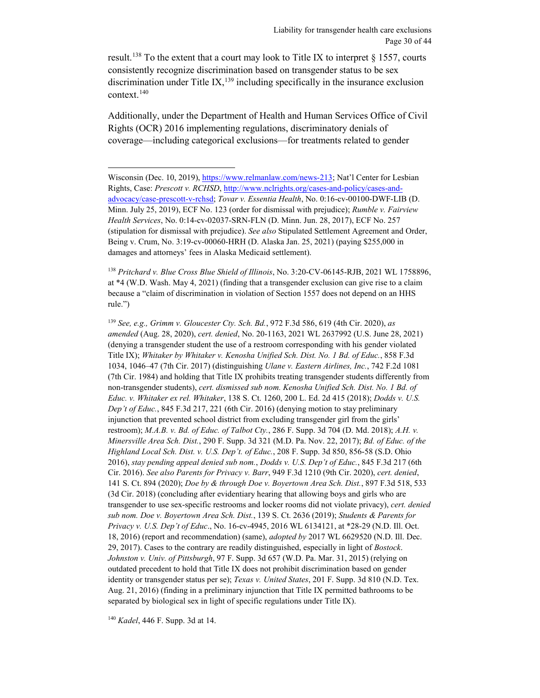result.<sup>[138](#page-29-0)</sup> To the extent that a court may look to Title IX to interpret  $\S$  1557, courts consistently recognize discrimination based on transgender status to be sex discrimination under Title  $IX$ ,  $^{139}$  $^{139}$  $^{139}$  including specifically in the insurance exclusion context.[140](#page-29-2)

Additionally, under the Department of Health and Human Services Office of Civil Rights (OCR) 2016 implementing regulations, discriminatory denials of coverage—including categorical exclusions—for treatments related to gender

<span id="page-29-0"></span><sup>138</sup> *Pritchard v. Blue Cross Blue Shield of Illinois*, No. 3:20-CV-06145-RJB, 2021 WL 1758896, at \*4 (W.D. Wash. May 4, 2021) (finding that a transgender exclusion can give rise to a claim because a "claim of discrimination in violation of Section 1557 does not depend on an HHS rule.")

<span id="page-29-1"></span><sup>139</sup> *See, e.g., Grimm v. Gloucester Cty. Sch. Bd.*, 972 F.3d 586, 619 (4th Cir. 2020), *as amended* (Aug. 28, 2020), *cert. denied*, No. 20-1163, 2021 WL 2637992 (U.S. June 28, 2021) (denying a transgender student the use of a restroom corresponding with his gender violated Title IX); *Whitaker by Whitaker v. Kenosha Unified Sch. Dist. No. 1 Bd. of Educ.*, 858 F.3d 1034, 1046–47 (7th Cir. 2017) (distinguishing *Ulane v. Eastern Airlines, Inc.*, 742 F.2d 1081 (7th Cir. 1984) and holding that Title IX prohibits treating transgender students differently from non-transgender students), *cert. dismissed sub nom. Kenosha Unified Sch. Dist. No. 1 Bd. of Educ. v. Whitaker ex rel. Whitaker*, 138 S. Ct. 1260, 200 L. Ed. 2d 415 (2018); *Dodds v. U.S. Dep't of Educ.*, 845 F.3d 217, 221 (6th Cir. 2016) (denying motion to stay preliminary injunction that prevented school district from excluding transgender girl from the girls' restroom); *M.A.B. v. Bd. of Educ. of Talbot Cty.*, 286 F. Supp. 3d 704 (D. Md. 2018); *A.H. v. Minersville Area Sch. Dist.*, 290 F. Supp. 3d 321 (M.D. Pa. Nov. 22, 2017); *Bd. of Educ. of the Highland Local Sch. Dist. v. U.S. Dep't. of Educ.*, 208 F. Supp. 3d 850, 856-58 (S.D. Ohio 2016), *stay pending appeal denied sub nom.*, *Dodds v. U.S. Dep't of Educ.*, 845 F.3d 217 (6th Cir. 2016). *See also Parents for Privacy v. Barr*, 949 F.3d 1210 (9th Cir. 2020), *cert. denied*, 141 S. Ct. 894 (2020); *Doe by & through Doe v. Boyertown Area Sch. Dist.*, 897 F.3d 518, 533 (3d Cir. 2018) (concluding after evidentiary hearing that allowing boys and girls who are transgender to use sex-specific restrooms and locker rooms did not violate privacy), *cert. denied sub nom. Doe v. Boyertown Area Sch. Dist.*, 139 S. Ct. 2636 (2019); *Students & Parents for Privacy v. U.S. Dep't of Educ*., No. 16-cv-4945, 2016 WL 6134121, at \*28-29 (N.D. Ill. Oct. 18, 2016) (report and recommendation) (same), *adopted by* 2017 WL 6629520 (N.D. Ill. Dec. 29, 2017). Cases to the contrary are readily distinguished, especially in light of *Bostock*. *Johnston v. Univ. of Pittsburgh*, 97 F. Supp. 3d 657 (W.D. Pa. Mar. 31, 2015) (relying on outdated precedent to hold that Title IX does not prohibit discrimination based on gender identity or transgender status per se); *Texas v. United States*, 201 F. Supp. 3d 810 (N.D. Tex. Aug. 21, 2016) (finding in a preliminary injunction that Title IX permitted bathrooms to be separated by biological sex in light of specific regulations under Title IX).

<span id="page-29-2"></span><sup>140</sup> *Kadel*, 446 F. Supp. 3d at 14.

 $\overline{a}$ 

Wisconsin (Dec. 10, 2019), [https://www.relmanlaw.com/news-213;](https://www.relmanlaw.com/news-213) Nat'l Center for Lesbian Rights, Case: *Prescott v. RCHSD*, [http://www.nclrights.org/cases-and-policy/cases-and](http://www.nclrights.org/cases-and-policy/cases-and-advocacy/case-prescott-v-rchsd)[advocacy/case-prescott-v-rchsd;](http://www.nclrights.org/cases-and-policy/cases-and-advocacy/case-prescott-v-rchsd) *Tovar v. Essentia Health*, No. 0:16-cv-00100-DWF-LIB (D. Minn. July 25, 2019), ECF No. 123 (order for dismissal with prejudice); *Rumble v. Fairview Health Services*, No. 0:14-cv-02037-SRN-FLN (D. Minn. Jun. 28, 2017), ECF No. 257 (stipulation for dismissal with prejudice). *See also* Stipulated Settlement Agreement and Order, Being v. Crum, No. 3:19-cv-00060-HRH (D. Alaska Jan. 25, 2021) (paying \$255,000 in damages and attorneys' fees in Alaska Medicaid settlement).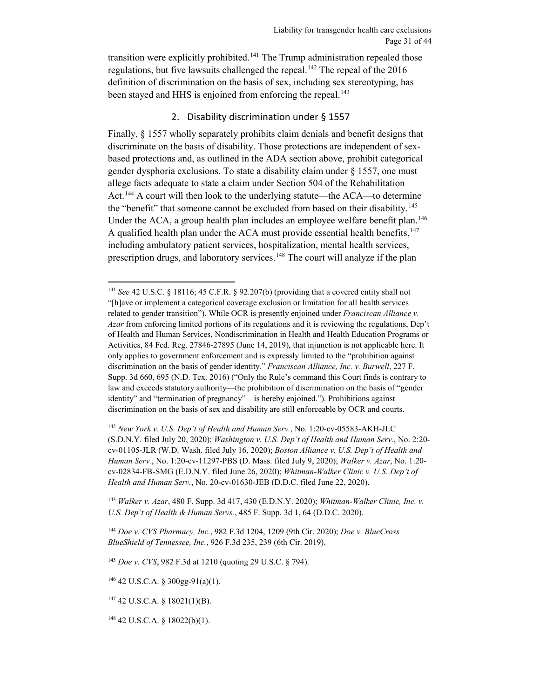transition were explicitly prohibited.<sup>[141](#page-30-0)</sup> The Trump administration repealed those regulations, but five lawsuits challenged the repeal.<sup>[142](#page-30-1)</sup> The repeal of the 2016 definition of discrimination on the basis of sex, including sex stereotyping, has been stayed and HHS is enjoined from enforcing the repeal.<sup>[143](#page-30-2)</sup>

#### 2. Disability discrimination under § 1557

Finally, § 1557 wholly separately prohibits claim denials and benefit designs that discriminate on the basis of disability. Those protections are independent of sexbased protections and, as outlined in the ADA section above, prohibit categorical gender dysphoria exclusions. To state a disability claim under § 1557, one must allege facts adequate to state a claim under Section 504 of the Rehabilitation Act.<sup>[144](#page-30-3)</sup> A court will then look to the underlying statute—the ACA—to determine the "benefit" that someone cannot be excluded from based on their disability.<sup>[145](#page-30-4)</sup> Under the ACA, a group health plan includes an employee welfare benefit plan.<sup>[146](#page-30-5)</sup> A qualified health plan under the ACA must provide essential health benefits,  $147$ including ambulatory patient services, hospitalization, mental health services, prescription drugs, and laboratory services.<sup>[148](#page-30-7)</sup> The court will analyze if the plan

<span id="page-30-2"></span><sup>143</sup> *Walker v. Azar*, 480 F. Supp. 3d 417, 430 (E.D.N.Y. 2020); *Whitman-Walker Clinic, Inc. v. U.S. Dep't of Health & Human Servs.*, 485 F. Supp. 3d 1, 64 (D.D.C. 2020).

<span id="page-30-3"></span><sup>144</sup> *Doe v. CVS Pharmacy, Inc.*, 982 F.3d 1204, 1209 (9th Cir. 2020); *Doe v. BlueCross BlueShield of Tennessee, Inc.*, 926 F.3d 235, 239 (6th Cir. 2019).

<span id="page-30-4"></span><sup>145</sup> *Doe v. CVS*, 982 F.3d at 1210 (quoting 29 U.S.C. § 794).

<span id="page-30-5"></span><sup>146</sup> 42 U.S.C.A. § 300gg-91(a)(1).

<span id="page-30-7"></span><sup>148</sup> 42 U.S.C.A. § 18022(b)(1).

<span id="page-30-0"></span> <sup>141</sup> *See* 42 U.S.C. § 18116; 45 C.F.R. § 92.207(b) (providing that a covered entity shall not "[h]ave or implement a categorical coverage exclusion or limitation for all health services related to gender transition"). While OCR is presently enjoined under *Franciscan Alliance v. Azar* from enforcing limited portions of its regulations and it is reviewing the regulations, Dep't of Health and Human Services, Nondiscrimination in Health and Health Education Programs or Activities, 84 Fed. Reg. 27846-27895 (June 14, 2019), that injunction is not applicable here. It only applies to government enforcement and is expressly limited to the "prohibition against discrimination on the basis of gender identity." *Franciscan Alliance, Inc. v. Burwell*, 227 F. Supp. 3d 660, 695 (N.D. Tex. 2016) ("Only the Rule's command this Court finds is contrary to law and exceeds statutory authority—the prohibition of discrimination on the basis of "gender identity" and "termination of pregnancy"—is hereby enjoined."). Prohibitions against discrimination on the basis of sex and disability are still enforceable by OCR and courts.

<span id="page-30-1"></span><sup>142</sup> *New York v. U.S. Dep't of Health and Human Serv.*, No. 1:20-cv-05583-AKH-JLC (S.D.N.Y. filed July 20, 2020); *Washington v. U.S. Dep't of Health and Human Serv.*, No. 2:20 cv-01105-JLR (W.D. Wash. filed July 16, 2020); *Boston Alliance v. U.S. Dep't of Health and Human Serv.*, No. 1:20-cv-11297-PBS (D. Mass. filed July 9, 2020); *Walker v. Azar*, No. 1:20 cv-02834-FB-SMG (E.D.N.Y. filed June 26, 2020); *Whitman-Walker Clinic v. U.S. Dep't of Health and Human Serv.*, No. 20-cv-01630-JEB (D.D.C. filed June 22, 2020).

<span id="page-30-6"></span><sup>147</sup> 42 U.S.C.A. § 18021(1)(B).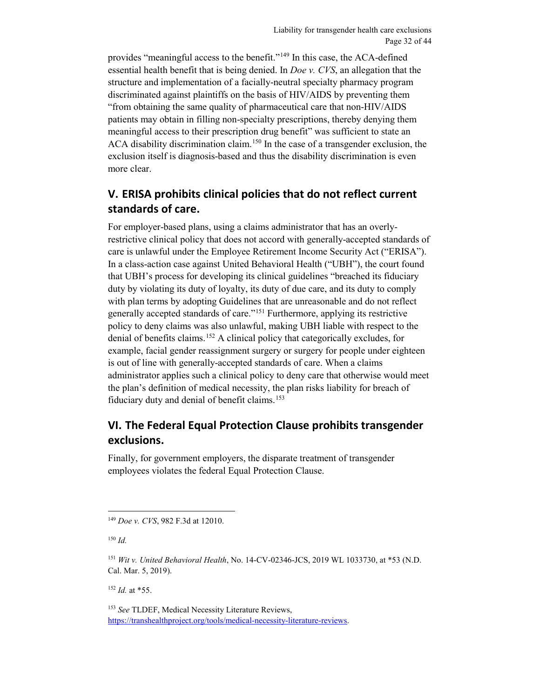provides "meaningful access to the benefit."[149](#page-31-2) In this case, the ACA-defined essential health benefit that is being denied. In *Doe v. CVS*, an allegation that the structure and implementation of a facially-neutral specialty pharmacy program discriminated against plaintiffs on the basis of HIV/AIDS by preventing them "from obtaining the same quality of pharmaceutical care that non-HIV/AIDS patients may obtain in filling non-specialty prescriptions, thereby denying them meaningful access to their prescription drug benefit" was sufficient to state an ACA disability discrimination claim.<sup>150</sup> In the case of a transgender exclusion, the exclusion itself is diagnosis-based and thus the disability discrimination is even more clear.

## <span id="page-31-0"></span>**V. ERISA prohibits clinical policies that do not reflect current standards of care.**

For employer-based plans, using a claims administrator that has an overlyrestrictive clinical policy that does not accord with generally-accepted standards of care is unlawful under the Employee Retirement Income Security Act ("ERISA"). In a class-action case against United Behavioral Health ("UBH"), the court found that UBH's process for developing its clinical guidelines "breached its fiduciary duty by violating its duty of loyalty, its duty of due care, and its duty to comply with plan terms by adopting Guidelines that are unreasonable and do not reflect generally accepted standards of care."[151](#page-31-4) Furthermore, applying its restrictive policy to deny claims was also unlawful, making UBH liable with respect to the denial of benefits claims.[152](#page-31-5) A clinical policy that categorically excludes, for example, facial gender reassignment surgery or surgery for people under eighteen is out of line with generally-accepted standards of care. When a claims administrator applies such a clinical policy to deny care that otherwise would meet the plan's definition of medical necessity, the plan risks liability for breach of fiduciary duty and denial of benefit claims.<sup>[153](#page-31-6)</sup>

## <span id="page-31-1"></span>**VI. The Federal Equal Protection Clause prohibits transgender exclusions.**

Finally, for government employers, the disparate treatment of transgender employees violates the federal Equal Protection Clause.

 $\overline{a}$ 

<span id="page-31-5"></span> $152$  *Id.* at \*55.

<span id="page-31-6"></span><sup>153</sup> *See* TLDEF, Medical Necessity Literature Reviews, [https://transhealthproject.org/tools/medical-necessity-literature-reviews.](https://transhealthproject.org/tools/medical-necessity-literature-reviews)

<span id="page-31-2"></span><sup>149</sup> *Doe v. CVS*, 982 F.3d at 12010.

<span id="page-31-3"></span><sup>150</sup> *Id.*

<span id="page-31-4"></span><sup>151</sup> *Wit v. United Behavioral Health*, No. 14-CV-02346-JCS, 2019 WL 1033730, at \*53 (N.D. Cal. Mar. 5, 2019).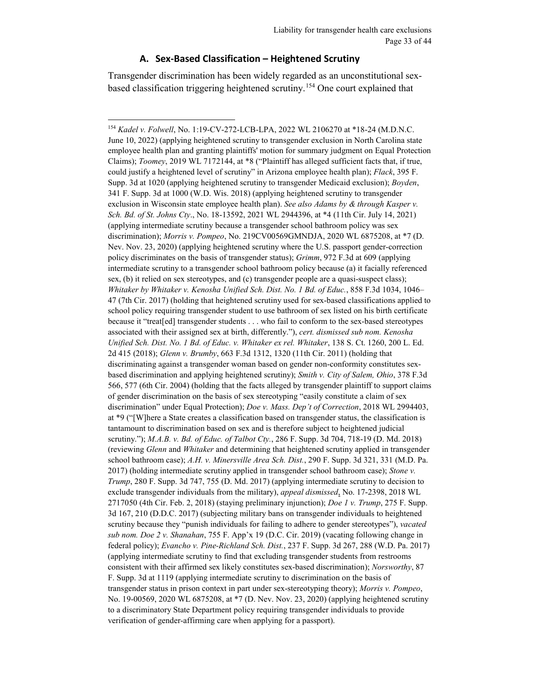#### **A. Sex-Based Classification – Heightened Scrutiny**

 $\overline{a}$ 

<span id="page-32-0"></span>Transgender discrimination has been widely regarded as an unconstitutional sexbased classification triggering heightened scrutiny.[154](#page-32-1) One court explained that

<span id="page-32-1"></span><sup>154</sup> *Kadel v. Folwell*, No. 1:19-CV-272-LCB-LPA, 2022 WL 2106270 at \*18-24 (M.D.N.C. June 10, 2022) (applying heightened scrutiny to transgender exclusion in North Carolina state employee health plan and granting plaintiffs' motion for summary judgment on Equal Protection Claims); *Toomey*, 2019 WL 7172144, at \*8 ("Plaintiff has alleged sufficient facts that, if true, could justify a heightened level of scrutiny" in Arizona employee health plan); *Flack*, 395 F. Supp. 3d at 1020 (applying heightened scrutiny to transgender Medicaid exclusion); *Boyden*, 341 F. Supp. 3d at 1000 (W.D. Wis. 2018) (applying heightened scrutiny to transgender exclusion in Wisconsin state employee health plan). *See also Adams by & through Kasper v. Sch. Bd. of St. Johns Cty*., No. 18-13592, 2021 WL 2944396, at \*4 (11th Cir. July 14, 2021) (applying intermediate scrutiny because a transgender school bathroom policy was sex discrimination); *Morris v. Pompeo*, No. 219CV00569GMNDJA, 2020 WL 6875208, at \*7 (D. Nev. Nov. 23, 2020) (applying heightened scrutiny where the U.S. passport gender-correction policy discriminates on the basis of transgender status); *Grimm*, 972 F.3d at 609 (applying intermediate scrutiny to a transgender school bathroom policy because (a) it facially referenced sex, (b) it relied on sex stereotypes, and (c) transgender people are a quasi-suspect class); *Whitaker by Whitaker v. Kenosha Unified Sch. Dist. No. 1 Bd. of Educ.*, 858 F.3d 1034, 1046– 47 (7th Cir. 2017) (holding that heightened scrutiny used for sex-based classifications applied to school policy requiring transgender student to use bathroom of sex listed on his birth certificate because it "treat[ed] transgender students . . . who fail to conform to the sex-based stereotypes associated with their assigned sex at birth, differently."), *cert. dismissed sub nom. Kenosha Unified Sch. Dist. No. 1 Bd. of Educ. v. Whitaker ex rel. Whitaker*, 138 S. Ct. 1260, 200 L. Ed. 2d 415 (2018); *Glenn v. Brumby*, 663 F.3d 1312, 1320 (11th Cir. 2011) (holding that discriminating against a transgender woman based on gender non-conformity constitutes sexbased discrimination and applying heightened scrutiny); *Smith v. City of Salem, Ohio*, 378 F.3d 566, 577 (6th Cir. 2004) (holding that the facts alleged by transgender plaintiff to support claims of gender discrimination on the basis of sex stereotyping "easily constitute a claim of sex discrimination" under Equal Protection); *Doe v. Mass. Dep't of Correction*, 2018 WL 2994403, at \*9 ("[W]here a State creates a classification based on transgender status, the classification is tantamount to discrimination based on sex and is therefore subject to heightened judicial scrutiny."); *M.A.B. v. Bd. of Educ. of Talbot Cty.*, 286 F. Supp. 3d 704, 718-19 (D. Md. 2018) (reviewing *Glenn* and *Whitaker* and determining that heightened scrutiny applied in transgender school bathroom case); *A.H. v. Minersville Area Sch. Dist.*, 290 F. Supp. 3d 321, 331 (M.D. Pa. 2017) (holding intermediate scrutiny applied in transgender school bathroom case); *Stone v. Trump*, 280 F. Supp. 3d 747, 755 (D. Md. 2017) (applying intermediate scrutiny to decision to exclude transgender individuals from the military), *appeal dismissed*, No. 17-2398, 2018 WL 2717050 (4th Cir. Feb. 2, 2018) (staying preliminary injunction); *Doe 1 v. Trump*, 275 F. Supp. 3d 167, 210 (D.D.C. 2017) (subjecting military bans on transgender individuals to heightened scrutiny because they "punish individuals for failing to adhere to gender stereotypes"), *vacated sub nom. Doe 2 v. Shanahan*, 755 F. App'x 19 (D.C. Cir. 2019) (vacating following change in federal policy); *Evancho v. Pine-Richland Sch. Dist.*, 237 F. Supp. 3d 267, 288 (W.D. Pa. 2017) (applying intermediate scrutiny to find that excluding transgender students from restrooms consistent with their affirmed sex likely constitutes sex-based discrimination); *Norsworthy*, 87 F. Supp. 3d at 1119 (applying intermediate scrutiny to discrimination on the basis of transgender status in prison context in part under sex-stereotyping theory); *Morris v. Pompeo*, No. 19-00569, 2020 WL 6875208, at \*7 (D. Nev. Nov. 23, 2020) (applying heightened scrutiny to a discriminatory State Department policy requiring transgender individuals to provide verification of gender-affirming care when applying for a passport).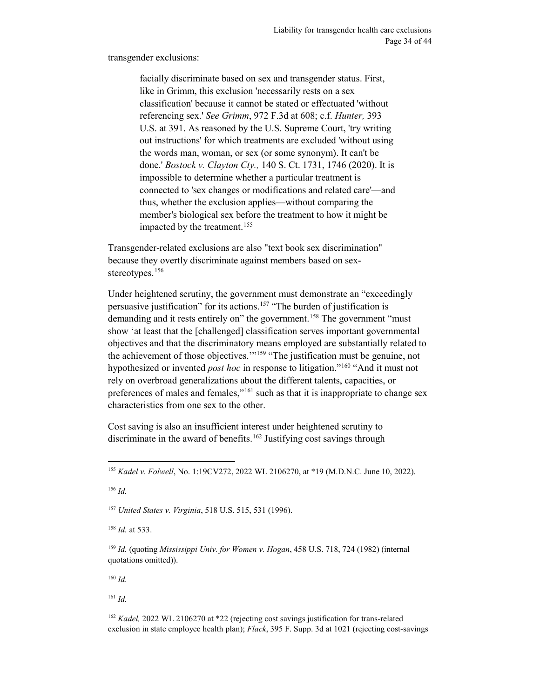transgender exclusions:

facially discriminate based on sex and transgender status. First, like in Grimm, this exclusion 'necessarily rests on a sex classification' because it cannot be stated or effectuated 'without referencing sex.' *See Grimm*, 972 F.3d at 608; c.f. *Hunter,* 393 U.S. at 391. As reasoned by the U.S. Supreme Court, 'try writing out instructions' for which treatments are excluded 'without using the words man, woman, or sex (or some synonym). It can't be done.' *Bostock v. Clayton Cty.,* 140 S. Ct. 1731, 1746 (2020). It is impossible to determine whether a particular treatment is connected to 'sex changes or modifications and related care'—and thus, whether the exclusion applies—without comparing the member's biological sex before the treatment to how it might be impacted by the treatment.<sup>[155](#page-33-0)</sup>

Transgender-related exclusions are also "text book sex discrimination" because they overtly discriminate against members based on sex-stereotypes.<sup>[156](#page-33-1)</sup>

Under heightened scrutiny, the government must demonstrate an "exceedingly persuasive justification" for its actions.<sup>[157](#page-33-2)</sup> "The burden of justification is demanding and it rests entirely on" the government.<sup>[158](#page-33-3)</sup> The government "must" show 'at least that the [challenged] classification serves important governmental objectives and that the discriminatory means employed are substantially related to the achievement of those objectives.'"[159](#page-33-4) "The justification must be genuine, not hypothesized or invented *post hoc* in response to litigation."[160](#page-33-5) "And it must not rely on overbroad generalizations about the different talents, capacities, or preferences of males and females,"<sup>[161](#page-33-6)</sup> such as that it is inappropriate to change sex characteristics from one sex to the other.

Cost saving is also an insufficient interest under heightened scrutiny to discriminate in the award of benefits.<sup>[162](#page-33-7)</sup> Justifying cost savings through

<span id="page-33-1"></span><sup>156</sup> *Id.*

<span id="page-33-2"></span><sup>157</sup> *United States v. Virginia*, 518 U.S. 515, 531 (1996).

<span id="page-33-3"></span><sup>158</sup> *Id.* at 533.

<span id="page-33-4"></span><sup>159</sup> *Id.* (quoting *Mississippi Univ. for Women v. Hogan*, 458 U.S. 718, 724 (1982) (internal quotations omitted)).

<span id="page-33-5"></span><sup>160</sup> *Id.*

<span id="page-33-6"></span><sup>161</sup> *Id.*

<span id="page-33-7"></span><sup>162</sup> *Kadel,* 2022 WL 2106270 at \*22 (rejecting cost savings justification for trans-related exclusion in state employee health plan); *Flack*, 395 F. Supp. 3d at 1021 (rejecting cost-savings

<span id="page-33-0"></span> <sup>155</sup> *Kadel v. Folwell*, No. 1:19CV272, 2022 WL 2106270, at \*19 (M.D.N.C. June 10, 2022).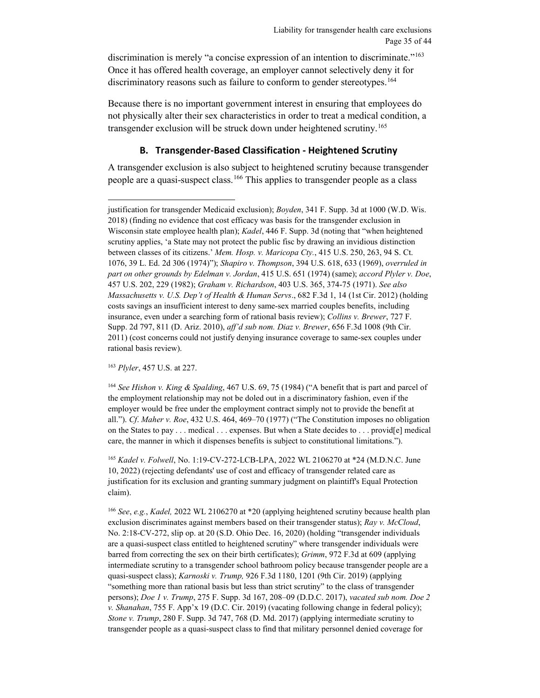discrimination is merely "a concise expression of an intention to discriminate."<sup>[163](#page-34-1)</sup> Once it has offered health coverage, an employer cannot selectively deny it for discriminatory reasons such as failure to conform to gender stereotypes.<sup>[164](#page-34-2)</sup>

Because there is no important government interest in ensuring that employees do not physically alter their sex characteristics in order to treat a medical condition, a transgender exclusion will be struck down under heightened scrutiny.<sup>[165](#page-34-3)</sup>

### **B. Transgender-Based Classification - Heightened Scrutiny**

<span id="page-34-0"></span>A transgender exclusion is also subject to heightened scrutiny because transgender people are a quasi-suspect class.<sup>[166](#page-34-4)</sup> This applies to transgender people as a class

<span id="page-34-1"></span><sup>163</sup> *Plyler*, 457 U.S. at 227.

<span id="page-34-2"></span><sup>164</sup> *See Hishon v. King & Spalding*, 467 U.S. 69, 75 (1984) ("A benefit that is part and parcel of the employment relationship may not be doled out in a discriminatory fashion, even if the employer would be free under the employment contract simply not to provide the benefit at all."). *Cf*. *Maher v. Roe*, 432 U.S. 464, 469–70 (1977) ("The Constitution imposes no obligation on the States to pay . . . medical . . . expenses. But when a State decides to . . . provid[e] medical care, the manner in which it dispenses benefits is subject to constitutional limitations.").

<span id="page-34-3"></span><sup>165</sup> *Kadel v. Folwell*, No. 1:19-CV-272-LCB-LPA, 2022 WL 2106270 at \*24 (M.D.N.C. June 10, 2022) (rejecting defendants' use of cost and efficacy of transgender related care as justification for its exclusion and granting summary judgment on plaintiff's Equal Protection claim).

<span id="page-34-4"></span><sup>166</sup> *See*, *e.g.*, *Kadel,* 2022 WL 2106270 at \*20 (applying heightened scrutiny because health plan exclusion discriminates against members based on their transgender status); *Ray v. McCloud*, No. 2:18-CV-272, slip op. at 20 (S.D. Ohio Dec. 16, 2020) (holding "transgender individuals are a quasi-suspect class entitled to heightened scrutiny" where transgender individuals were barred from correcting the sex on their birth certificates); *Grimm*, 972 F.3d at 609 (applying intermediate scrutiny to a transgender school bathroom policy because transgender people are a quasi-suspect class); *Karnoski v. Trump,* 926 F.3d 1180, 1201 (9th Cir. 2019) (applying "something more than rational basis but less than strict scrutiny" to the class of transgender persons); *Doe 1 v. Trump*, 275 F. Supp. 3d 167, 208–09 (D.D.C. 2017), *vacated sub nom. Doe 2 v. Shanahan*, 755 F. App'x 19 (D.C. Cir. 2019) (vacating following change in federal policy); *Stone v. Trump*, 280 F. Supp. 3d 747, 768 (D. Md. 2017) (applying intermediate scrutiny to transgender people as a quasi-suspect class to find that military personnel denied coverage for

justification for transgender Medicaid exclusion); *Boyden*, 341 F. Supp. 3d at 1000 (W.D. Wis. 2018) (finding no evidence that cost efficacy was basis for the transgender exclusion in Wisconsin state employee health plan); *Kadel*, 446 F. Supp. 3d (noting that "when heightened scrutiny applies, 'a State may not protect the public fisc by drawing an invidious distinction between classes of its citizens.' *Mem. Hosp. v. Maricopa Cty.*, 415 U.S. 250, 263, 94 S. Ct. 1076, 39 L. Ed. 2d 306 (1974)"); *Shapiro v. Thompson*, 394 U.S. 618, 633 (1969), *overruled in part on other grounds by Edelman v. Jordan*, 415 U.S. 651 (1974) (same); *accord Plyler v. Doe*, 457 U.S. 202, 229 (1982); *Graham v. Richardson*, 403 U.S. 365, 374-75 (1971). *See also Massachusetts v. U.S. Dep't of Health & Human Servs*., 682 F.3d 1, 14 (1st Cir. 2012) (holding costs savings an insufficient interest to deny same-sex married couples benefits, including insurance, even under a searching form of rational basis review); *Collins v. Brewer*, 727 F. Supp. 2d 797, 811 (D. Ariz. 2010), *aff'd sub nom. Diaz v. Brewer*, 656 F.3d 1008 (9th Cir. 2011) (cost concerns could not justify denying insurance coverage to same-sex couples under rational basis review).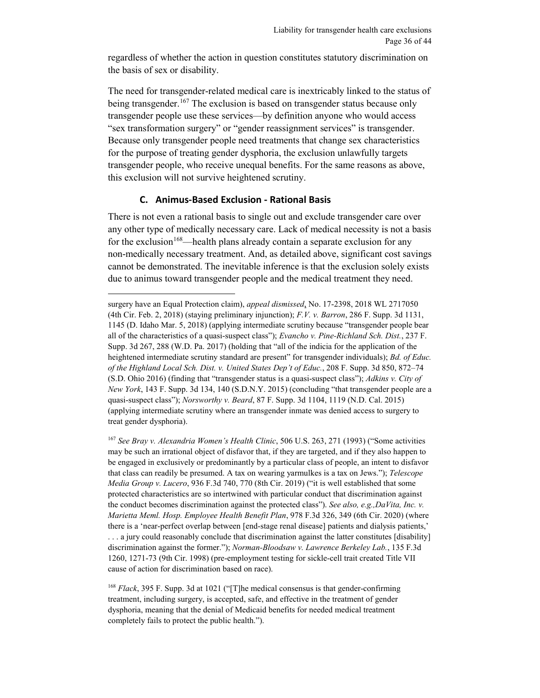regardless of whether the action in question constitutes statutory discrimination on the basis of sex or disability.

The need for transgender-related medical care is inextricably linked to the status of being transgender.<sup>[167](#page-35-1)</sup> The exclusion is based on transgender status because only transgender people use these services—by definition anyone who would access "sex transformation surgery" or "gender reassignment services" is transgender. Because only transgender people need treatments that change sex characteristics for the purpose of treating gender dysphoria, the exclusion unlawfully targets transgender people, who receive unequal benefits. For the same reasons as above, this exclusion will not survive heightened scrutiny.

#### **C. Animus-Based Exclusion - Rational Basis**

 $\overline{a}$ 

<span id="page-35-0"></span>There is not even a rational basis to single out and exclude transgender care over any other type of medically necessary care. Lack of medical necessity is not a basis for the exclusion<sup>[168](#page-35-2)</sup>—health plans already contain a separate exclusion for any non-medically necessary treatment. And, as detailed above, significant cost savings cannot be demonstrated. The inevitable inference is that the exclusion solely exists due to animus toward transgender people and the medical treatment they need.

surgery have an Equal Protection claim), *appeal dismissed*, No. 17-2398, 2018 WL 2717050 (4th Cir. Feb. 2, 2018) (staying preliminary injunction); *F.V. v. Barron*, 286 F. Supp. 3d 1131, 1145 (D. Idaho Mar. 5, 2018) (applying intermediate scrutiny because "transgender people bear all of the characteristics of a quasi-suspect class"); *Evancho v. Pine-Richland Sch. Dist.*, 237 F. Supp. 3d 267, 288 (W.D. Pa. 2017) (holding that "all of the indicia for the application of the heightened intermediate scrutiny standard are present" for transgender individuals); *Bd. of Educ. of the Highland Local Sch. Dist. v. United States Dep't of Educ.*, 208 F. Supp. 3d 850, 872–74 (S.D. Ohio 2016) (finding that "transgender status is a quasi-suspect class"); *Adkins v. City of New York*, 143 F. Supp. 3d 134, 140 (S.D.N.Y. 2015) (concluding "that transgender people are a quasi-suspect class"); *Norsworthy v. Beard*, 87 F. Supp. 3d 1104, 1119 (N.D. Cal. 2015) (applying intermediate scrutiny where an transgender inmate was denied access to surgery to treat gender dysphoria).

<span id="page-35-1"></span><sup>167</sup> *See Bray v. Alexandria Women's Health Clinic*, 506 U.S. 263, 271 (1993) ("Some activities may be such an irrational object of disfavor that, if they are targeted, and if they also happen to be engaged in exclusively or predominantly by a particular class of people, an intent to disfavor that class can readily be presumed. A tax on wearing yarmulkes is a tax on Jews."); *Telescope Media Group v. Lucero*, 936 F.3d 740, 770 (8th Cir. 2019) ("it is well established that some protected characteristics are so intertwined with particular conduct that discrimination against the conduct becomes discrimination against the protected class"). *See also, e.g.,DaVita, Inc. v. Marietta Meml. Hosp. Employee Health Benefit Plan*, 978 F.3d 326, 349 (6th Cir. 2020) (where there is a 'near-perfect overlap between [end-stage renal disease] patients and dialysis patients,' . . . a jury could reasonably conclude that discrimination against the latter constitutes [disability] discrimination against the former."); *Norman-Bloodsaw v. Lawrence Berkeley Lab.*, 135 F.3d 1260, 1271-73 (9th Cir. 1998) (pre-employment testing for sickle-cell trait created Title VII cause of action for discrimination based on race).

<span id="page-35-2"></span><sup>168</sup> *Flack*, 395 F. Supp. 3d at 1021 ("[T]he medical consensus is that gender-confirming treatment, including surgery, is accepted, safe, and effective in the treatment of gender dysphoria, meaning that the denial of Medicaid benefits for needed medical treatment completely fails to protect the public health.").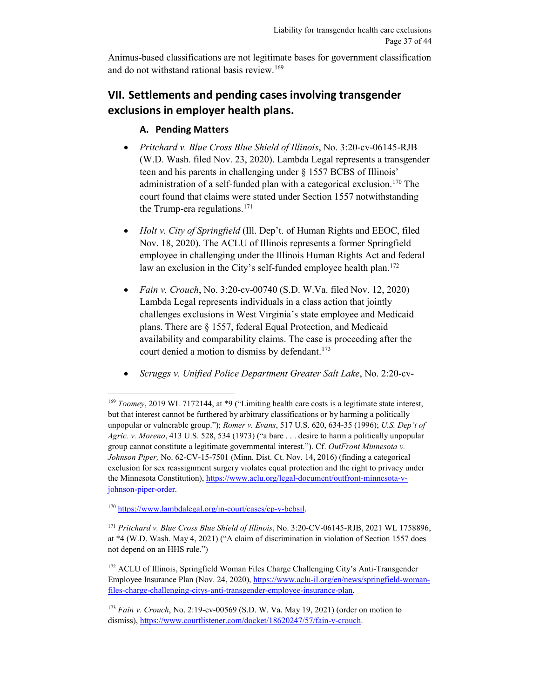Animus-based classifications are not legitimate bases for government classification and do not withstand rational basis review.<sup>169</sup>

## <span id="page-36-0"></span>**VII. Settlements and pending cases involving transgender exclusions in employer health plans.**

## **A. Pending Matters**

- <span id="page-36-1"></span>• *Pritchard v. Blue Cross Blue Shield of Illinois*, No. 3:20-cv-06145-RJB (W.D. Wash. filed Nov. 23, 2020). Lambda Legal represents a transgender teen and his parents in challenging under § 1557 BCBS of Illinois' administration of a self-funded plan with a categorical exclusion.<sup>170</sup> The court found that claims were stated under Section 1557 notwithstanding the Trump-era regulations. $171$
- *Holt v. City of Springfield* (Ill. Dep't. of Human Rights and EEOC, filed Nov. 18, 2020). The ACLU of Illinois represents a former Springfield employee in challenging under the Illinois Human Rights Act and federal law an exclusion in the City's self-funded employee health plan.<sup>[172](#page-36-5)</sup>
- *Fain v. Crouch*, No. 3:20-cv-00740 (S.D. W.Va. filed Nov. 12, 2020) Lambda Legal represents individuals in a class action that jointly challenges exclusions in West Virginia's state employee and Medicaid plans. There are § 1557, federal Equal Protection, and Medicaid availability and comparability claims. The case is proceeding after the court denied a motion to dismiss by defendant.<sup>[173](#page-36-6)</sup>
- *Scruggs v. Unified Police Department Greater Salt Lake*, No. 2:20-cv-

 $\overline{a}$ 

<span id="page-36-4"></span><sup>171</sup> *Pritchard v. Blue Cross Blue Shield of Illinois*, No. 3:20-CV-06145-RJB, 2021 WL 1758896, at \*4 (W.D. Wash. May 4, 2021) ("A claim of discrimination in violation of Section 1557 does not depend on an HHS rule.")

<span id="page-36-5"></span><sup>172</sup> ACLU of Illinois, Springfield Woman Files Charge Challenging City's Anti-Transgender Employee Insurance Plan (Nov. 24, 2020), [https://www.aclu-il.org/en/news/springfield-woman](https://www.aclu-il.org/en/news/springfield-woman-files-charge-challenging-citys-anti-transgender-employee-insurance-plan)[files-charge-challenging-citys-anti-transgender-employee-insurance-plan.](https://www.aclu-il.org/en/news/springfield-woman-files-charge-challenging-citys-anti-transgender-employee-insurance-plan)

<span id="page-36-2"></span><sup>169</sup> *Toomey*, 2019 WL 7172144, at \*9 ("Limiting health care costs is a legitimate state interest, but that interest cannot be furthered by arbitrary classifications or by harming a politically unpopular or vulnerable group."); *Romer v. Evans*, 517 U.S. 620, 634-35 (1996); *U.S. Dep't of Agric. v. Moreno*, 413 U.S. 528, 534 (1973) ("a bare . . . desire to harm a politically unpopular group cannot constitute a legitimate governmental interest."). Cf. *OutFront Minnesota v. Johnson Piper,* No. 62-CV-15-7501 (Minn. Dist. Ct. Nov. 14, 2016) (finding a categorical exclusion for sex reassignment surgery violates equal protection and the right to privacy under the Minnesota Constitution), [https://www.aclu.org/legal-document/outfront-minnesota-v](https://www.aclu.org/legal-document/outfront-minnesota-v-johnson-piper-order)[johnson-piper-order.](https://www.aclu.org/legal-document/outfront-minnesota-v-johnson-piper-order) 

<span id="page-36-3"></span><sup>170</sup> [https://www.lambdalegal.org/in-court/cases/cp-v-bcbsil.](https://www.lambdalegal.org/in-court/cases/cp-v-bcbsil) 

<span id="page-36-6"></span><sup>173</sup> *Fain v. Crouch*, No. 2:19-cv-00569 (S.D. W. Va. May 19, 2021) (order on motion to dismiss), [https://www.courtlistener.com/docket/18620247/57/fain-v-crouch.](https://www.courtlistener.com/docket/18620247/57/fain-v-crouch)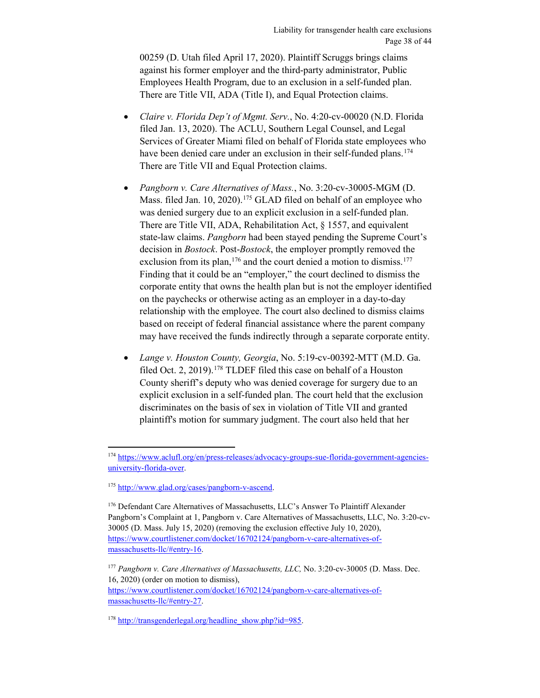00259 (D. Utah filed April 17, 2020). Plaintiff Scruggs brings claims against his former employer and the third-party administrator, Public Employees Health Program, due to an exclusion in a self-funded plan. There are Title VII, ADA (Title I), and Equal Protection claims.

- *Claire v. Florida Dep't of Mgmt. Serv.*, No. 4:20-cv-00020 (N.D. Florida filed Jan. 13, 2020). The ACLU, Southern Legal Counsel, and Legal Services of Greater Miami filed on behalf of Florida state employees who have been denied care under an exclusion in their self-funded plans.<sup>[174](#page-37-0)</sup> There are Title VII and Equal Protection claims.
- *Pangborn v. Care Alternatives of Mass.*, No. 3:20-cv-30005-MGM (D. Mass. filed Jan. 10, 2020).<sup>[175](#page-37-1)</sup> GLAD filed on behalf of an employee who was denied surgery due to an explicit exclusion in a self-funded plan. There are Title VII, ADA, Rehabilitation Act, § 1557, and equivalent state-law claims. *Pangborn* had been stayed pending the Supreme Court's decision in *Bostock*. Post-*Bostock*, the employer promptly removed the exclusion from its plan,  $176$  and the court denied a motion to dismiss.  $177$ Finding that it could be an "employer," the court declined to dismiss the corporate entity that owns the health plan but is not the employer identified on the paychecks or otherwise acting as an employer in a day-to-day relationship with the employee. The court also declined to dismiss claims based on receipt of federal financial assistance where the parent company may have received the funds indirectly through a separate corporate entity.
- *Lange v. Houston County, Georgia*, No. 5:19-cv-00392-MTT (M.D. Ga. filed Oct. 2, 2019).<sup>[178](#page-37-4)</sup> TLDEF filed this case on behalf of a Houston County sheriff's deputy who was denied coverage for surgery due to an explicit exclusion in a self-funded plan. The court held that the exclusion discriminates on the basis of sex in violation of Title VII and granted plaintiff's motion for summary judgment. The court also held that her

 $\overline{a}$ 

<span id="page-37-0"></span><sup>&</sup>lt;sup>174</sup> [https://www.aclufl.org/en/press-releases/advocacy-groups-sue-florida-government-agencies](https://www.aclufl.org/en/press-releases/advocacy-groups-sue-florida-government-agencies-university-florida-over)[university-florida-over.](https://www.aclufl.org/en/press-releases/advocacy-groups-sue-florida-government-agencies-university-florida-over)

<span id="page-37-1"></span><sup>175</sup> [http://www.glad.org/cases/pangborn-v-ascend.](http://www.glad.org/cases/pangborn-v-ascend)

<span id="page-37-2"></span><sup>176</sup> Defendant Care Alternatives of Massachusetts, LLC's Answer To Plaintiff Alexander Pangborn's Complaint at 1, Pangborn v. Care Alternatives of Massachusetts, LLC, No. 3:20-cv-30005 (D. Mass. July 15, 2020) (removing the exclusion effective July 10, 2020), [https://www.courtlistener.com/docket/16702124/pangborn-v-care-alternatives-of](https://www.courtlistener.com/docket/16702124/pangborn-v-care-alternatives-of-massachusetts-llc/#entry-16)[massachusetts-llc/#entry-16.](https://www.courtlistener.com/docket/16702124/pangborn-v-care-alternatives-of-massachusetts-llc/#entry-16) 

<span id="page-37-3"></span><sup>177</sup> *Pangborn v. Care Alternatives of Massachusetts, LLC,* No. 3:20-cv-30005 (D. Mass. Dec. 16, 2020) (order on motion to dismiss), [https://www.courtlistener.com/docket/16702124/pangborn-v-care-alternatives-of](https://www.courtlistener.com/docket/16702124/pangborn-v-care-alternatives-of-massachusetts-llc/#entry-27)[massachusetts-llc/#entry-27.](https://www.courtlistener.com/docket/16702124/pangborn-v-care-alternatives-of-massachusetts-llc/#entry-27) 

<span id="page-37-4"></span><sup>&</sup>lt;sup>178</sup> [http://transgenderlegal.org/headline\\_show.php?id=985.](http://transgenderlegal.org/headline_show.php?id=985)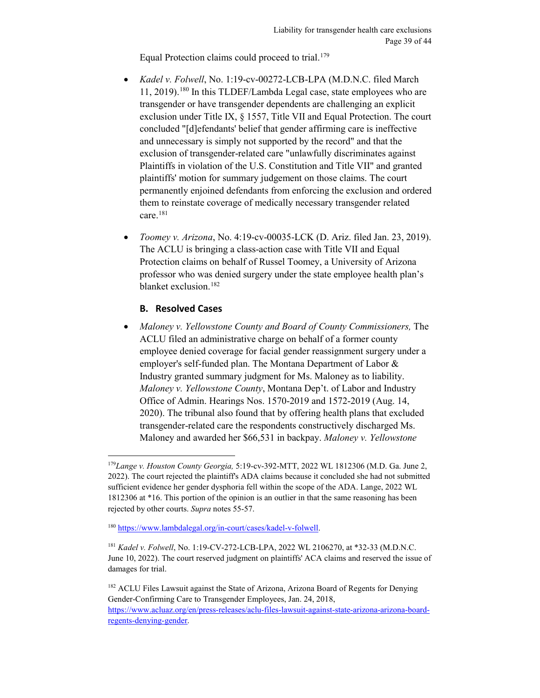Equal Protection claims could proceed to trial.<sup>[179](#page-38-1)</sup>

- *Kadel v. Folwell*, No. 1:19-cv-00272-LCB-LPA (M.D.N.C. filed March 11, 2019).[180](#page-38-2) In this TLDEF/Lambda Legal case, state employees who are transgender or have transgender dependents are challenging an explicit exclusion under Title IX, § 1557, Title VII and Equal Protection. The court concluded "[d]efendants' belief that gender affirming care is ineffective and unnecessary is simply not supported by the record" and that the exclusion of transgender-related care "unlawfully discriminates against Plaintiffs in violation of the U.S. Constitution and Title VII" and granted plaintiffs' motion for summary judgement on those claims. The court permanently enjoined defendants from enforcing the exclusion and ordered them to reinstate coverage of medically necessary transgender related care.[181](#page-38-3)
- *Toomey v. Arizona*, No. 4:19-cv-00035-LCK (D. Ariz. filed Jan. 23, 2019). The ACLU is bringing a class-action case with Title VII and Equal Protection claims on behalf of Russel Toomey, a University of Arizona professor who was denied surgery under the state employee health plan's blanket exclusion.[182](#page-38-4)

## **B. Resolved Cases**

 $\overline{a}$ 

<span id="page-38-0"></span>• *Maloney v. Yellowstone County and Board of County Commissioners,* The ACLU filed an administrative charge on behalf of a former county employee denied coverage for facial gender reassignment surgery under a employer's self-funded plan. The Montana Department of Labor & Industry granted summary judgment for Ms. Maloney as to liability. *Maloney v. Yellowstone County*, Montana Dep't. of Labor and Industry Office of Admin. Hearings Nos. 1570-2019 and 1572-2019 (Aug. 14, 2020). The tribunal also found that by offering health plans that excluded transgender-related care the respondents constructively discharged Ms. Maloney and awarded her \$66,531 in backpay. *Maloney v. Yellowstone* 

<span id="page-38-1"></span><sup>179</sup>*Lange v. Houston County Georgia,* 5:19-cv-392-MTT, 2022 WL 1812306 (M.D. Ga. June 2, 2022). The court rejected the plaintiff's ADA claims because it concluded she had not submitted sufficient evidence her gender dysphoria fell within the scope of the ADA. Lange, 2022 WL 1812306 at \*16. This portion of the opinion is an outlier in that the same reasoning has been rejected by other courts. *Supra* notes 55-57.

<span id="page-38-2"></span><sup>180</sup> [https://www.lambdalegal.org/in-court/cases/kadel-v-folwell.](https://www.lambdalegal.org/in-court/cases/kadel-v-folwell)

<span id="page-38-3"></span><sup>181</sup> *Kadel v. Folwell*, No. 1:19-CV-272-LCB-LPA, 2022 WL 2106270, at \*32-33 (M.D.N.C. June 10, 2022). The court reserved judgment on plaintiffs' ACA claims and reserved the issue of damages for trial.

<span id="page-38-4"></span><sup>&</sup>lt;sup>182</sup> ACLU Files Lawsuit against the State of Arizona, Arizona Board of Regents for Denying Gender-Confirming Care to Transgender Employees, Jan. 24, 2018,

[https://www.acluaz.org/en/press-releases/aclu-files-lawsuit-against-state-arizona-arizona-board](https://www.acluaz.org/en/press-releases/aclu-files-lawsuit-against-state-arizona-arizona-board-regents-denying-gender)[regents-denying-gender.](https://www.acluaz.org/en/press-releases/aclu-files-lawsuit-against-state-arizona-arizona-board-regents-denying-gender)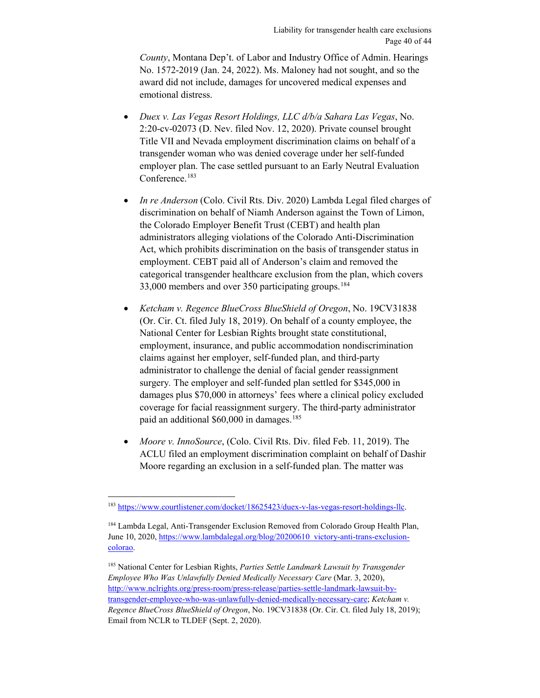*County*, Montana Dep't. of Labor and Industry Office of Admin. Hearings No. 1572-2019 (Jan. 24, 2022). Ms. Maloney had not sought, and so the award did not include, damages for uncovered medical expenses and emotional distress.

- *Duex v. Las Vegas Resort Holdings, LLC d/b/a Sahara Las Vegas*, No. 2:20-cv-02073 (D. Nev. filed Nov. 12, 2020). Private counsel brought Title VII and Nevada employment discrimination claims on behalf of a transgender woman who was denied coverage under her self-funded employer plan. The case settled pursuant to an Early Neutral Evaluation Conference.<sup>[183](#page-39-0)</sup>
- *In re Anderson* (Colo. Civil Rts. Div. 2020) Lambda Legal filed charges of discrimination on behalf of Niamh Anderson against the Town of Limon, the Colorado Employer Benefit Trust (CEBT) and health plan administrators alleging violations of the Colorado Anti-Discrimination Act, which prohibits discrimination on the basis of transgender status in employment. CEBT paid all of Anderson's claim and removed the categorical transgender healthcare exclusion from the plan, which covers 33,000 members and over 350 participating groups.[184](#page-39-1)
- *Ketcham v. Regence BlueCross BlueShield of Oregon*, No. 19CV31838 (Or. Cir. Ct. filed July 18, 2019). On behalf of a county employee, the National Center for Lesbian Rights brought state constitutional, employment, insurance, and public accommodation nondiscrimination claims against her employer, self-funded plan, and third-party administrator to challenge the denial of facial gender reassignment surgery*.* The employer and self-funded plan settled for \$345,000 in damages plus \$70,000 in attorneys' fees where a clinical policy excluded coverage for facial reassignment surgery. The third-party administrator paid an additional  $$60,000$  in damages.<sup>[185](#page-39-2)</sup>
- *Moore v. InnoSource*, (Colo. Civil Rts. Div. filed Feb. 11, 2019). The ACLU filed an employment discrimination complaint on behalf of Dashir Moore regarding an exclusion in a self-funded plan. The matter was

<span id="page-39-0"></span> $\overline{a}$ <sup>183</sup> [https://www.courtlistener.com/docket/18625423/duex-v-las-vegas-resort-holdings-llc.](https://www.courtlistener.com/docket/18625423/duex-v-las-vegas-resort-holdings-llc)

<span id="page-39-1"></span><sup>184</sup> Lambda Legal, Anti-Transgender Exclusion Removed from Colorado Group Health Plan, June 10, 2020, [https://www.lambdalegal.org/blog/20200610\\_victory-anti-trans-exclusion](https://www.lambdalegal.org/blog/20200610_victory-anti-trans-exclusion-colorao)[colorao.](https://www.lambdalegal.org/blog/20200610_victory-anti-trans-exclusion-colorao)

<span id="page-39-2"></span><sup>185</sup> National Center for Lesbian Rights, *Parties Settle Landmark Lawsuit by Transgender Employee Who Was Unlawfully Denied Medically Necessary Care* (Mar. 3, 2020), [http://www.nclrights.org/press-room/press-release/parties-settle-landmark-lawsuit-by](http://www.nclrights.org/press-room/press-release/parties-settle-landmark-lawsuit-by-transgender-employee-who-was-unlawfully-denied-medically-necessary-care)[transgender-employee-who-was-unlawfully-denied-medically-necessary-care;](http://www.nclrights.org/press-room/press-release/parties-settle-landmark-lawsuit-by-transgender-employee-who-was-unlawfully-denied-medically-necessary-care) *Ketcham v. Regence BlueCross BlueShield of Oregon*, No. 19CV31838 (Or. Cir. Ct. filed July 18, 2019); Email from NCLR to TLDEF (Sept. 2, 2020).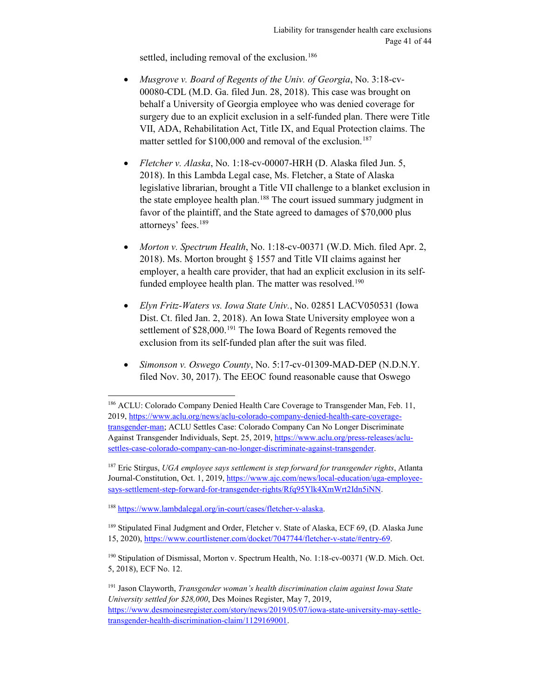settled, including removal of the exclusion.<sup>[186](#page-40-0)</sup>

- *Musgrove v. Board of Regents of the Univ. of Georgia*, No. 3:18-cv-00080-CDL (M.D. Ga. filed Jun. 28, 2018). This case was brought on behalf a University of Georgia employee who was denied coverage for surgery due to an explicit exclusion in a self-funded plan. There were Title VII, ADA, Rehabilitation Act, Title IX, and Equal Protection claims. The matter settled for \$100,000 and removal of the exclusion.<sup>[187](#page-40-1)</sup>
- *Fletcher v. Alaska*, No. 1:18-cv-00007-HRH (D. Alaska filed Jun. 5, 2018). In this Lambda Legal case, Ms. Fletcher, a State of Alaska legislative librarian, brought a Title VII challenge to a blanket exclusion in the state employee health plan.<sup>[188](#page-40-2)</sup> The court issued summary judgment in favor of the plaintiff, and the State agreed to damages of \$70,000 plus attorneys' fees.[189](#page-40-3)
- *Morton v. Spectrum Health*, No. 1:18-cv-00371 (W.D. Mich. filed Apr. 2, 2018). Ms. Morton brought § 1557 and Title VII claims against her employer, a health care provider, that had an explicit exclusion in its selffunded employee health plan. The matter was resolved.<sup>190</sup>
- *Elyn Fritz-Waters vs. Iowa State Univ.*, No. 02851 LACV050531 (Iowa Dist. Ct. filed Jan. 2, 2018). An Iowa State University employee won a settlement of \$28,000.<sup>[191](#page-40-5)</sup> The Iowa Board of Regents removed the exclusion from its self-funded plan after the suit was filed.
- *Simonson v. Oswego County*, No. 5:17-cv-01309-MAD-DEP (N.D.N.Y. filed Nov. 30, 2017). The EEOC found reasonable cause that Oswego

<span id="page-40-1"></span><sup>187</sup> Eric Stirgus, *UGA employee says settlement is step forward for transgender rights*, Atlanta Journal-Constitution, Oct. 1, 2019, [https://www.ajc.com/news/local-education/uga-employee](https://www.ajc.com/news/local-education/uga-employee-says-settlement-step-forward-for-transgender-rights/Rfq95Ylk4XmWrt2Idn5iNN)[says-settlement-step-forward-for-transgender-rights/Rfq95Ylk4XmWrt2Idn5iNN.](https://www.ajc.com/news/local-education/uga-employee-says-settlement-step-forward-for-transgender-rights/Rfq95Ylk4XmWrt2Idn5iNN)

<span id="page-40-2"></span><sup>188</sup> [https://www.lambdalegal.org/in-court/cases/fletcher-v-alaska.](https://www.lambdalegal.org/in-court/cases/fletcher-v-alaska) 

 $\overline{a}$ 

<span id="page-40-3"></span><sup>189</sup> Stipulated Final Judgment and Order, Fletcher v. State of Alaska, ECF 69, (D. Alaska June 15, 2020)[, https://www.courtlistener.com/docket/7047744/fletcher-v-state/#entry-69.](https://www.courtlistener.com/docket/7047744/fletcher-v-state/#entry-69)

<span id="page-40-5"></span><sup>191</sup> Jason Clayworth, *Transgender woman's health discrimination claim against Iowa State University settled for \$28,000*, Des Moines Register, May 7, 2019, [https://www.desmoinesregister.com/story/news/2019/05/07/iowa-state-university-may-settle](https://www.desmoinesregister.com/story/news/2019/05/07/iowa-state-university-may-settle-transgender-health-discrimination-claim/1129169001)[transgender-health-discrimination-claim/1129169001.](https://www.desmoinesregister.com/story/news/2019/05/07/iowa-state-university-may-settle-transgender-health-discrimination-claim/1129169001) 

<span id="page-40-0"></span><sup>&</sup>lt;sup>186</sup> ACLU: Colorado Company Denied Health Care Coverage to Transgender Man, Feb. 11, 2019, [https://www.aclu.org/news/aclu-colorado-company-denied-health-care-coverage](https://www.aclu.org/news/aclu-colorado-company-denied-health-care-coverage-transgender-man)[transgender-man;](https://www.aclu.org/news/aclu-colorado-company-denied-health-care-coverage-transgender-man) ACLU Settles Case: Colorado Company Can No Longer Discriminate Against Transgender Individuals, Sept. 25, 2019[, https://www.aclu.org/press-releases/aclu](https://www.aclu.org/press-releases/aclu-settles-case-colorado-company-can-no-longer-discriminate-against-transgender)[settles-case-colorado-company-can-no-longer-discriminate-against-transgender.](https://www.aclu.org/press-releases/aclu-settles-case-colorado-company-can-no-longer-discriminate-against-transgender)

<span id="page-40-4"></span><sup>&</sup>lt;sup>190</sup> Stipulation of Dismissal, Morton v. Spectrum Health, No. 1:18-cv-00371 (W.D. Mich. Oct. 5, 2018), ECF No. 12.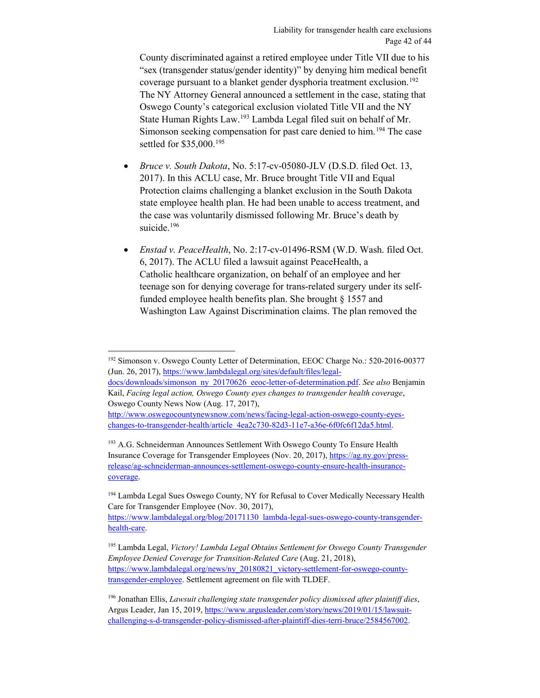County discriminated against a retired employee under Title VII due to his "sex (transgender status/gender identity)" by denying him medical benefit coverage pursuant to a blanket gender dysphoria treatment exclusion.<sup>[192](#page-41-0)</sup> The NY Attorney General announced a settlement in the case, stating that Oswego County's categorical exclusion violated Title VII and the NY State Human Rights Law.[193](#page-41-1) Lambda Legal filed suit on behalf of Mr. Simonson seeking compensation for past care denied to him.<sup>[194](#page-41-2)</sup> The case settled for \$35,000[.195](#page-41-3)

- *Bruce v. South Dakota*, No. 5:17-cv-05080-JLV (D.S.D. filed Oct. 13, 2017). In this ACLU case, Mr. Bruce brought Title VII and Equal Protection claims challenging a blanket exclusion in the South Dakota state employee health plan. He had been unable to access treatment, and the case was voluntarily dismissed following Mr. Bruce's death by suicide.<sup>[196](#page-41-4)</sup>
- *Enstad v. PeaceHealth*, No. 2:17-cv-01496-RSM (W.D. Wash. filed Oct. 6, 2017). The ACLU filed a lawsuit against PeaceHealth, a Catholic healthcare organization, on behalf of an employee and her teenage son for denying coverage for trans-related surgery under its selffunded employee health benefits plan. She brought § 1557 and Washington Law Against Discrimination claims. The plan removed the

[docs/downloads/simonson\\_ny\\_20170626\\_eeoc-letter-of-determination.pdf.](https://www.lambdalegal.org/sites/default/files/legal-docs/downloads/simonson_ny_20170626_eeoc-letter-of-determination.pdf) *See also* Benjamin Kail, *Facing legal action, Oswego County eyes changes to transgender health coverage*, Oswego County News Now (Aug. 17, 2017),

<span id="page-41-0"></span> $\overline{a}$ <sup>192</sup> Simonson v. Oswego County Letter of Determination, EEOC Charge No.: 520-2016-00377 (Jun. 26, 2017)[, https://www.lambdalegal.org/sites/default/files/legal-](https://www.lambdalegal.org/sites/default/files/legal-docs/downloads/simonson_ny_20170626_eeoc-letter-of-determination.pdf)

[http://www.oswegocountynewsnow.com/news/facing-legal-action-oswego-county-eyes](http://www.oswegocountynewsnow.com/news/facing-legal-action-oswego-county-eyes-changes-to-transgender-health/article_4ea2c730-82d3-11e7-a36e-6f0fc6f12da5.html)[changes-to-transgender-health/article\\_4ea2c730-82d3-11e7-a36e-6f0fc6f12da5.html.](http://www.oswegocountynewsnow.com/news/facing-legal-action-oswego-county-eyes-changes-to-transgender-health/article_4ea2c730-82d3-11e7-a36e-6f0fc6f12da5.html)

<span id="page-41-1"></span><sup>&</sup>lt;sup>193</sup> A.G. Schneiderman Announces Settlement With Oswego County To Ensure Health Insurance Coverage for Transgender Employees (Nov. 20, 2017), [https://ag.ny.gov/press](https://ag.ny.gov/press-release/ag-schneiderman-announces-settlement-oswego-county-ensure-health-insurance-coverage)[release/ag-schneiderman-announces-settlement-oswego-county-ensure-health-insurance](https://ag.ny.gov/press-release/ag-schneiderman-announces-settlement-oswego-county-ensure-health-insurance-coverage)[coverage.](https://ag.ny.gov/press-release/ag-schneiderman-announces-settlement-oswego-county-ensure-health-insurance-coverage)

<span id="page-41-2"></span><sup>194</sup> Lambda Legal Sues Oswego County, NY for Refusal to Cover Medically Necessary Health Care for Transgender Employee (Nov. 30, 2017),

[https://www.lambdalegal.org/blog/20171130\\_lambda-legal-sues-oswego-county-transgender](https://www.lambdalegal.org/blog/20171130_lambda-legal-sues-oswego-county-transgender-health-care)[health-care.](https://www.lambdalegal.org/blog/20171130_lambda-legal-sues-oswego-county-transgender-health-care) 

<span id="page-41-3"></span><sup>195</sup> Lambda Legal, *Victory! Lambda Legal Obtains Settlement for Oswego County Transgender Employee Denied Coverage for Transition-Related Care* (Aug. 21, 2018), [https://www.lambdalegal.org/news/ny\\_20180821\\_victory-settlement-for-oswego-county](https://www.lambdalegal.org/news/ny_20180821_victory-settlement-for-oswego-county-transgender-employee)[transgender-employee.](https://www.lambdalegal.org/news/ny_20180821_victory-settlement-for-oswego-county-transgender-employee) Settlement agreement on file with TLDEF.

<span id="page-41-4"></span><sup>196</sup> Jonathan Ellis, *Lawsuit challenging state transgender policy dismissed after plaintiff dies*, Argus Leader, Jan 15, 2019, [https://www.argusleader.com/story/news/2019/01/15/lawsuit](https://www.argusleader.com/story/news/2019/01/15/lawsuit-challenging-s-d-transgender-policy-dismissed-after-plaintiff-dies-terri-bruce/2584567002)[challenging-s-d-transgender-policy-dismissed-after-plaintiff-dies-terri-bruce/2584567002.](https://www.argusleader.com/story/news/2019/01/15/lawsuit-challenging-s-d-transgender-policy-dismissed-after-plaintiff-dies-terri-bruce/2584567002)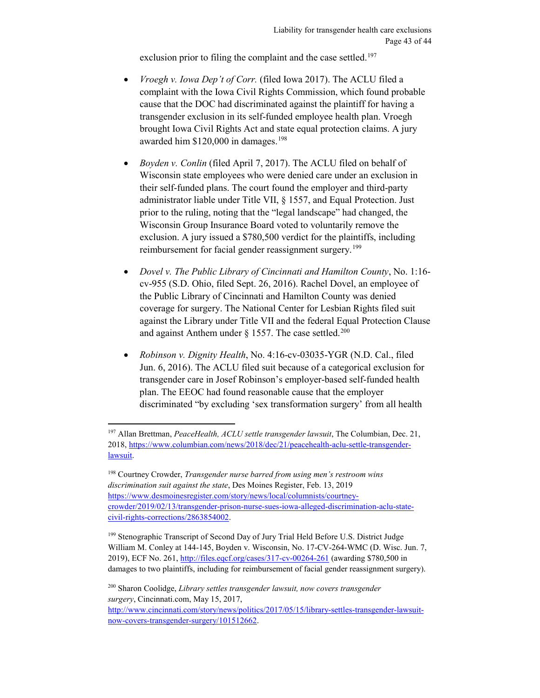exclusion prior to filing the complaint and the case settled.<sup>[197](#page-42-0)</sup>

- *Vroegh v. Iowa Dep't of Corr.* (filed Iowa 2017). The ACLU filed a complaint with the Iowa Civil Rights Commission, which found probable cause that the DOC had discriminated against the plaintiff for having a transgender exclusion in its self-funded employee health plan. Vroegh brought Iowa Civil Rights Act and state equal protection claims. A jury awarded him \$120,000 in damages.[198](#page-42-1)
- *Boyden v. Conlin* (filed April 7, 2017). The ACLU filed on behalf of Wisconsin state employees who were denied care under an exclusion in their self-funded plans. The court found the employer and third-party administrator liable under Title VII, § 1557, and Equal Protection. Just prior to the ruling, noting that the "legal landscape" had changed, the Wisconsin Group Insurance Board voted to voluntarily remove the exclusion. A jury issued a \$780,500 verdict for the plaintiffs, including reimbursement for facial gender reassignment surgery.<sup>[199](#page-42-2)</sup>
- *Dovel v. The Public Library of Cincinnati and Hamilton County*, No. 1:16 cv-955 (S.D. Ohio, filed Sept. 26, 2016). Rachel Dovel, an employee of the Public Library of Cincinnati and Hamilton County was denied coverage for surgery. The National Center for Lesbian Rights filed suit against the Library under Title VII and the federal Equal Protection Clause and against Anthem under  $\S$  1557. The case settled.<sup>[200](#page-42-3)</sup>
- *Robinson v. Dignity Health*, No. 4:16-cv-03035-YGR (N.D. Cal., filed Jun. 6, 2016). The ACLU filed suit because of a categorical exclusion for transgender care in Josef Robinson's employer-based self-funded health plan. The EEOC had found reasonable cause that the employer discriminated "by excluding 'sex transformation surgery' from all health

<span id="page-42-0"></span> $\overline{a}$ <sup>197</sup> Allan Brettman, *PeaceHealth, ACLU settle transgender lawsuit*, The Columbian, Dec. 21, 2018, [https://www.columbian.com/news/2018/dec/21/peacehealth-aclu-settle-transgender](https://www.columbian.com/news/2018/dec/21/peacehealth-aclu-settle-transgender-lawsuit)[lawsuit.](https://www.columbian.com/news/2018/dec/21/peacehealth-aclu-settle-transgender-lawsuit)

<span id="page-42-1"></span><sup>198</sup> Courtney Crowder, *Transgender nurse barred from using men's restroom wins discrimination suit against the state*, Des Moines Register, Feb. 13, 2019 [https://www.desmoinesregister.com/story/news/local/columnists/courtney](https://www.desmoinesregister.com/story/news/local/columnists/courtney-crowder/2019/02/13/transgender-prison-nurse-sues-iowa-alleged-discrimination-aclu-state-civil-rights-corrections/2863854002)[crowder/2019/02/13/transgender-prison-nurse-sues-iowa-alleged-discrimination-aclu-state](https://www.desmoinesregister.com/story/news/local/columnists/courtney-crowder/2019/02/13/transgender-prison-nurse-sues-iowa-alleged-discrimination-aclu-state-civil-rights-corrections/2863854002)[civil-rights-corrections/2863854002.](https://www.desmoinesregister.com/story/news/local/columnists/courtney-crowder/2019/02/13/transgender-prison-nurse-sues-iowa-alleged-discrimination-aclu-state-civil-rights-corrections/2863854002) 

<span id="page-42-2"></span><sup>&</sup>lt;sup>199</sup> Stenographic Transcript of Second Day of Jury Trial Held Before U.S. District Judge William M. Conley at 144-145, Boyden v. Wisconsin, No. 17-CV-264-WMC (D. Wisc. Jun. 7, 2019), ECF No. 261[, http://files.eqcf.org/cases/317-cv-00264-261](http://files.eqcf.org/cases/317-cv-00264-261) (awarding \$780,500 in damages to two plaintiffs, including for reimbursement of facial gender reassignment surgery).

<span id="page-42-3"></span><sup>200</sup> Sharon Coolidge, *Library settles transgender lawsuit, now covers transgender surgery*, Cincinnati.com, May 15, 2017,

[http://www.cincinnati.com/story/news/politics/2017/05/15/library-settles-transgender-lawsuit](http://www.cincinnati.com/story/news/politics/2017/05/15/library-settles-transgender-lawsuit-now-covers-transgender-surgery/101512662)[now-covers-transgender-surgery/101512662.](http://www.cincinnati.com/story/news/politics/2017/05/15/library-settles-transgender-lawsuit-now-covers-transgender-surgery/101512662)